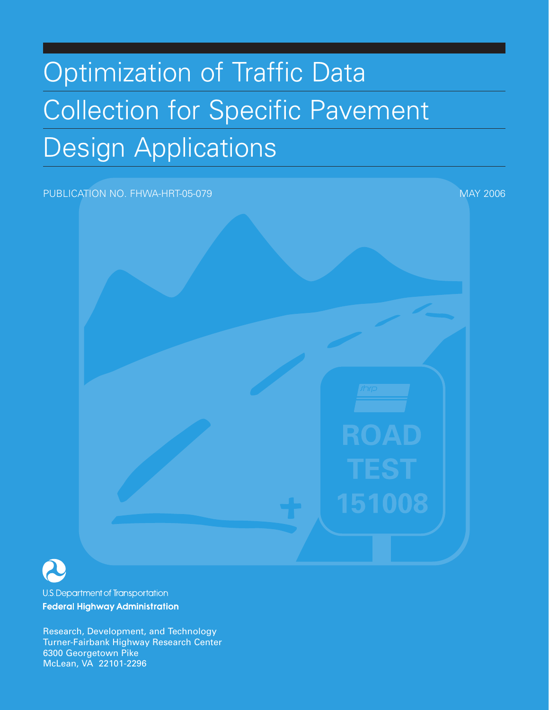# Optimization of Traffic Data Collection for Specific Pavement Design Applications

#### PUBLICATION NO. FHWA-HRT-05-079 MAY 2006 MAY 2006



U.S. Department of Transportation **Federal Highway Administration** 

Research, Development, and Technology Turner-Fairbank Highway Research Center 6300 Georgetown Pike McLean, VA 22101-2296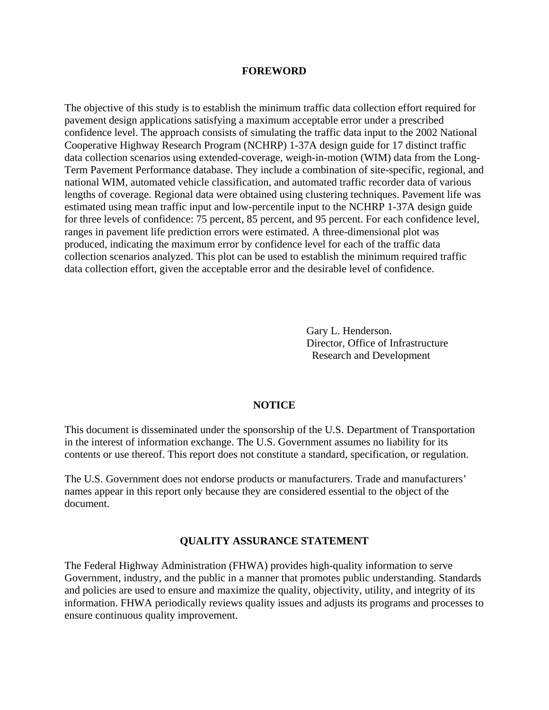#### **FOREWORD**

The objective of this study is to establish the minimum traffic data collection effort required for pavement design applications satisfying a maximum acceptable error under a prescribed confidence level. The approach consists of simulating the traffic data input to the 2002 National Cooperative Highway Research Program (NCHRP) 1-37A design guide for 17 distinct traffic data collection scenarios using extended-coverage, weigh-in-motion (WIM) data from the Long-Term Pavement Performance database. They include a combination of site-specific, regional, and national WIM, automated vehicle classification, and automated traffic recorder data of various lengths of coverage. Regional data were obtained using clustering techniques. Pavement life was estimated using mean traffic input and low-percentile input to the NCHRP 1-37A design guide for three levels of confidence: 75 percent, 85 percent, and 95 percent. For each confidence level, ranges in pavement life prediction errors were estimated. A three-dimensional plot was produced, indicating the maximum error by confidence level for each of the traffic data collection scenarios analyzed. This plot can be used to establish the minimum required traffic data collection effort, given the acceptable error and the desirable level of confidence.

> Gary L. Henderson. Director, Office of Infrastructure Research and Development

#### **NOTICE**

This document is disseminated under the sponsorship of the U.S. Department of Transportation in the interest of information exchange. The U.S. Government assumes no liability for its contents or use thereof. This report does not constitute a standard, specification, or regulation.

The U.S. Government does not endorse products or manufacturers. Trade and manufacturers' names appear in this report only because they are considered essential to the object of the document.

#### **QUALITY ASSURANCE STATEMENT**

The Federal Highway Administration (FHWA) provides high-quality information to serve Government, industry, and the public in a manner that promotes public understanding. Standards and policies are used to ensure and maximize the quality, objectivity, utility, and integrity of its information. FHWA periodically reviews quality issues and adjusts its programs and processes to ensure continuous quality improvement.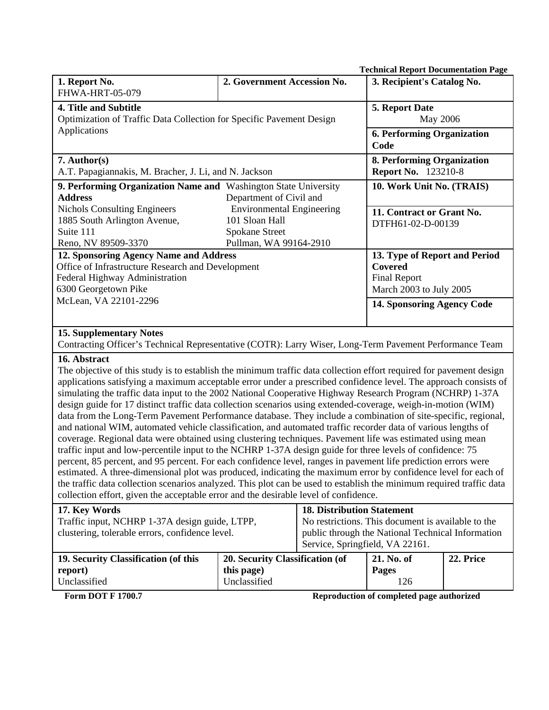| <b>Technical Report Documentation Page</b>                                                                                                                                                                                                                                                                                                                                                                                                                                                                                                                                                                                                                                                                                                                                                                                                                                                                                                                                                                                                                                                                                                                                                                                                                                                                                                                                                            |                                                                                                                    |                                                                                                   |                                                          |           |
|-------------------------------------------------------------------------------------------------------------------------------------------------------------------------------------------------------------------------------------------------------------------------------------------------------------------------------------------------------------------------------------------------------------------------------------------------------------------------------------------------------------------------------------------------------------------------------------------------------------------------------------------------------------------------------------------------------------------------------------------------------------------------------------------------------------------------------------------------------------------------------------------------------------------------------------------------------------------------------------------------------------------------------------------------------------------------------------------------------------------------------------------------------------------------------------------------------------------------------------------------------------------------------------------------------------------------------------------------------------------------------------------------------|--------------------------------------------------------------------------------------------------------------------|---------------------------------------------------------------------------------------------------|----------------------------------------------------------|-----------|
| 1. Report No.<br>FHWA-HRT-05-079                                                                                                                                                                                                                                                                                                                                                                                                                                                                                                                                                                                                                                                                                                                                                                                                                                                                                                                                                                                                                                                                                                                                                                                                                                                                                                                                                                      | 2. Government Accession No.                                                                                        |                                                                                                   | 3. Recipient's Catalog No.                               |           |
| 4. Title and Subtitle                                                                                                                                                                                                                                                                                                                                                                                                                                                                                                                                                                                                                                                                                                                                                                                                                                                                                                                                                                                                                                                                                                                                                                                                                                                                                                                                                                                 |                                                                                                                    |                                                                                                   | 5. Report Date                                           |           |
| Optimization of Traffic Data Collection for Specific Pavement Design                                                                                                                                                                                                                                                                                                                                                                                                                                                                                                                                                                                                                                                                                                                                                                                                                                                                                                                                                                                                                                                                                                                                                                                                                                                                                                                                  |                                                                                                                    | May 2006                                                                                          |                                                          |           |
| Applications                                                                                                                                                                                                                                                                                                                                                                                                                                                                                                                                                                                                                                                                                                                                                                                                                                                                                                                                                                                                                                                                                                                                                                                                                                                                                                                                                                                          |                                                                                                                    | <b>6. Performing Organization</b><br>Code                                                         |                                                          |           |
| 7. Author(s)<br>A.T. Papagiannakis, M. Bracher, J. Li, and N. Jackson                                                                                                                                                                                                                                                                                                                                                                                                                                                                                                                                                                                                                                                                                                                                                                                                                                                                                                                                                                                                                                                                                                                                                                                                                                                                                                                                 |                                                                                                                    |                                                                                                   | 8. Performing Organization<br><b>Report No.</b> 123210-8 |           |
| 9. Performing Organization Name and Washington State University<br><b>Address</b>                                                                                                                                                                                                                                                                                                                                                                                                                                                                                                                                                                                                                                                                                                                                                                                                                                                                                                                                                                                                                                                                                                                                                                                                                                                                                                                     | Department of Civil and                                                                                            |                                                                                                   | 10. Work Unit No. (TRAIS)                                |           |
| 1885 South Arlington Avenue,<br>Suite 111                                                                                                                                                                                                                                                                                                                                                                                                                                                                                                                                                                                                                                                                                                                                                                                                                                                                                                                                                                                                                                                                                                                                                                                                                                                                                                                                                             | <b>Environmental Engineering</b><br><b>Nichols Consulting Engineers</b><br>101 Sloan Hall<br><b>Spokane Street</b> |                                                                                                   | 11. Contract or Grant No.<br>DTFH61-02-D-00139           |           |
| Reno, NV 89509-3370                                                                                                                                                                                                                                                                                                                                                                                                                                                                                                                                                                                                                                                                                                                                                                                                                                                                                                                                                                                                                                                                                                                                                                                                                                                                                                                                                                                   | Pullman, WA 99164-2910                                                                                             |                                                                                                   |                                                          |           |
| 12. Sponsoring Agency Name and Address<br>Office of Infrastructure Research and Development<br>Federal Highway Administration<br>6300 Georgetown Pike                                                                                                                                                                                                                                                                                                                                                                                                                                                                                                                                                                                                                                                                                                                                                                                                                                                                                                                                                                                                                                                                                                                                                                                                                                                 |                                                                                                                    | 13. Type of Report and Period<br><b>Covered</b><br><b>Final Report</b><br>March 2003 to July 2005 |                                                          |           |
| McLean, VA 22101-2296                                                                                                                                                                                                                                                                                                                                                                                                                                                                                                                                                                                                                                                                                                                                                                                                                                                                                                                                                                                                                                                                                                                                                                                                                                                                                                                                                                                 |                                                                                                                    |                                                                                                   | <b>14. Sponsoring Agency Code</b>                        |           |
| <b>15. Supplementary Notes</b>                                                                                                                                                                                                                                                                                                                                                                                                                                                                                                                                                                                                                                                                                                                                                                                                                                                                                                                                                                                                                                                                                                                                                                                                                                                                                                                                                                        |                                                                                                                    |                                                                                                   |                                                          |           |
| Contracting Officer's Technical Representative (COTR): Larry Wiser, Long-Term Pavement Performance Team                                                                                                                                                                                                                                                                                                                                                                                                                                                                                                                                                                                                                                                                                                                                                                                                                                                                                                                                                                                                                                                                                                                                                                                                                                                                                               |                                                                                                                    |                                                                                                   |                                                          |           |
| 16. Abstract<br>The objective of this study is to establish the minimum traffic data collection effort required for pavement design<br>applications satisfying a maximum acceptable error under a prescribed confidence level. The approach consists of<br>simulating the traffic data input to the 2002 National Cooperative Highway Research Program (NCHRP) 1-37A<br>design guide for 17 distinct traffic data collection scenarios using extended-coverage, weigh-in-motion (WIM)<br>data from the Long-Term Pavement Performance database. They include a combination of site-specific, regional,<br>and national WIM, automated vehicle classification, and automated traffic recorder data of various lengths of<br>coverage. Regional data were obtained using clustering techniques. Pavement life was estimated using mean<br>traffic input and low-percentile input to the NCHRP 1-37A design guide for three levels of confidence: 75<br>percent, 85 percent, and 95 percent. For each confidence level, ranges in pavement life prediction errors were<br>estimated. A three-dimensional plot was produced, indicating the maximum error by confidence level for each of<br>the traffic data collection scenarios analyzed. This plot can be used to establish the minimum required traffic data<br>collection effort, given the acceptable error and the desirable level of confidence. |                                                                                                                    |                                                                                                   |                                                          |           |
| <b>18. Distribution Statement</b><br>17. Key Words                                                                                                                                                                                                                                                                                                                                                                                                                                                                                                                                                                                                                                                                                                                                                                                                                                                                                                                                                                                                                                                                                                                                                                                                                                                                                                                                                    |                                                                                                                    |                                                                                                   |                                                          |           |
| Traffic input, NCHRP 1-37A design guide, LTPP,<br>No restrictions. This document is available to the<br>clustering, tolerable errors, confidence level.<br>public through the National Technical Information<br>Service, Springfield, VA 22161.                                                                                                                                                                                                                                                                                                                                                                                                                                                                                                                                                                                                                                                                                                                                                                                                                                                                                                                                                                                                                                                                                                                                                       |                                                                                                                    |                                                                                                   |                                                          |           |
| 19. Security Classification (of this<br>20. Security Classification (of                                                                                                                                                                                                                                                                                                                                                                                                                                                                                                                                                                                                                                                                                                                                                                                                                                                                                                                                                                                                                                                                                                                                                                                                                                                                                                                               |                                                                                                                    |                                                                                                   | 21. No. of                                               | 22. Price |
| report)                                                                                                                                                                                                                                                                                                                                                                                                                                                                                                                                                                                                                                                                                                                                                                                                                                                                                                                                                                                                                                                                                                                                                                                                                                                                                                                                                                                               | this page)                                                                                                         |                                                                                                   | Pages                                                    |           |
| Unclassified<br>Unclassified<br>126                                                                                                                                                                                                                                                                                                                                                                                                                                                                                                                                                                                                                                                                                                                                                                                                                                                                                                                                                                                                                                                                                                                                                                                                                                                                                                                                                                   |                                                                                                                    |                                                                                                   |                                                          |           |
| <b>Form DOT F 1700.7</b>                                                                                                                                                                                                                                                                                                                                                                                                                                                                                                                                                                                                                                                                                                                                                                                                                                                                                                                                                                                                                                                                                                                                                                                                                                                                                                                                                                              |                                                                                                                    |                                                                                                   | Reproduction of completed page authorized                |           |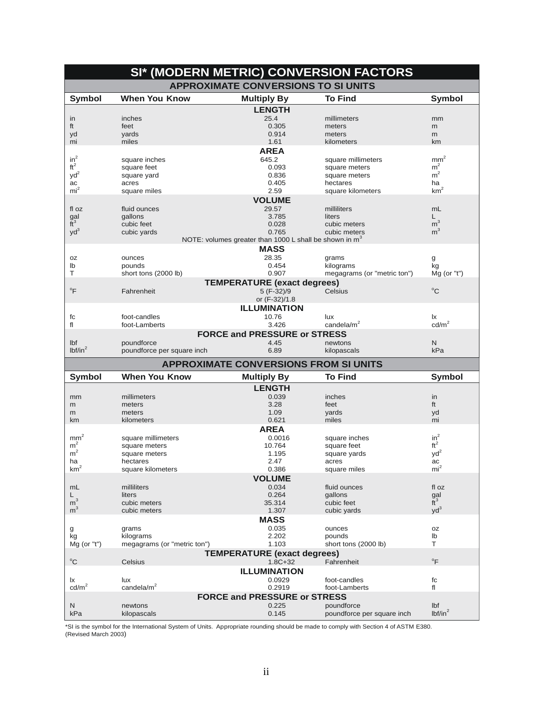| SI* (MODERN METRIC) CONVERSION FACTORS |                             |                                                                    |                                |                                 |
|----------------------------------------|-----------------------------|--------------------------------------------------------------------|--------------------------------|---------------------------------|
|                                        |                             | <b>APPROXIMATE CONVERSIONS TO SI UNITS</b>                         |                                |                                 |
| <b>Symbol</b>                          | <b>When You Know</b>        | <b>Multiply By</b>                                                 | <b>To Find</b>                 | <b>Symbol</b>                   |
|                                        |                             | <b>LENGTH</b>                                                      |                                |                                 |
| in                                     | inches                      | 25.4                                                               | millimeters                    | mm                              |
| ft                                     | feet                        | 0.305                                                              | meters                         | m                               |
| yd                                     | yards                       | 0.914                                                              | meters                         | m                               |
| mi                                     | miles                       | 1.61                                                               | kilometers                     | km                              |
| $in^2$                                 |                             | <b>AREA</b>                                                        |                                |                                 |
| $ft^2$                                 | square inches               | 645.2<br>0.093                                                     | square millimeters             | $\text{mm}^2$<br>m <sup>2</sup> |
| $yd^2$                                 | square feet                 | 0.836                                                              | square meters<br>square meters | m <sup>2</sup>                  |
| ac                                     | square yard<br>acres        | 0.405                                                              | hectares                       | ha                              |
| mi <sup>2</sup>                        | square miles                | 2.59                                                               | square kilometers              | $\mbox{km}^2$                   |
|                                        |                             | <b>VOLUME</b>                                                      |                                |                                 |
| fl oz                                  | fluid ounces                | 29.57                                                              | milliliters                    | mL                              |
| gal                                    | gallons                     | 3.785                                                              | liters                         | L                               |
| $\tilde{t}^3$                          | cubic feet                  | 0.028                                                              | cubic meters                   | m <sup>3</sup>                  |
| $yd^3$                                 | cubic yards                 | 0.765                                                              | cubic meters                   | m <sup>3</sup>                  |
|                                        |                             | NOTE: volumes greater than 1000 L shall be shown in m <sup>3</sup> |                                |                                 |
|                                        |                             | <b>MASS</b>                                                        |                                |                                 |
| 0Z                                     | ounces                      | 28.35                                                              | grams                          | g                               |
| lb                                     | pounds                      | 0.454                                                              | kilograms                      | kg                              |
| т                                      | short tons (2000 lb)        | 0.907                                                              | megagrams (or "metric ton")    | $Mg$ (or "t")                   |
|                                        |                             | <b>TEMPERATURE (exact degrees)</b>                                 |                                |                                 |
| $\mathrm{P}$                           | Fahrenheit                  | 5 (F-32)/9                                                         | Celsius                        | $^{\circ}$ C                    |
|                                        |                             | or (F-32)/1.8                                                      |                                |                                 |
|                                        |                             | <b>ILLUMINATION</b>                                                |                                |                                 |
| fc                                     | foot-candles                | 10.76                                                              | lux                            | lx                              |
| fl                                     | foot-Lamberts               | 3.426                                                              | candela/m <sup>2</sup>         | cd/m <sup>2</sup>               |
|                                        |                             | <b>FORCE and PRESSURE or STRESS</b>                                |                                |                                 |
| Ibf                                    | poundforce                  | 4.45                                                               | newtons                        | N                               |
| lbf/in <sup>2</sup>                    | poundforce per square inch  | 6.89                                                               | kilopascals                    | kPa                             |
|                                        |                             | <b>APPROXIMATE CONVERSIONS FROM SI UNITS</b>                       |                                |                                 |
| <b>Symbol</b>                          | <b>When You Know</b>        | <b>Multiply By</b>                                                 | <b>To Find</b>                 | <b>Symbol</b>                   |
|                                        |                             | <b>LENGTH</b>                                                      |                                |                                 |
| mm                                     | millimeters                 | 0.039                                                              | inches                         | in                              |
| m                                      | meters                      | 3.28                                                               | feet                           | ft                              |
| m                                      | meters                      | 1.09                                                               | yards                          | yd                              |
| km                                     | kilometers                  | 0.621                                                              | miles                          | mi                              |
|                                        |                             | <b>AREA</b>                                                        |                                |                                 |
| mm <sup>2</sup>                        | square millimeters          | 0.0016                                                             | square inches                  | $in^2$                          |
| m <sup>2</sup><br>m <sup>2</sup>       | square meters               | 10.764                                                             | square feet                    | $ft^2$                          |
|                                        | square meters<br>hectares   | 1.195<br>2.47                                                      | square yards                   | $yd^2$<br>ac                    |
| ha<br>km <sup>2</sup>                  | square kilometers           | 0.386                                                              | acres<br>square miles          | mi <sup>2</sup>                 |
|                                        |                             | <b>VOLUME</b>                                                      |                                |                                 |
| mL                                     | milliliters                 | 0.034                                                              | fluid ounces                   | fl oz                           |
| L.                                     | liters                      | 0.264                                                              | gallons                        |                                 |
| m <sup>3</sup>                         | cubic meters                | 35.314                                                             | cubic feet                     | $\frac{gal}{ft^3}$              |
| m <sup>3</sup>                         | cubic meters                | 1.307                                                              | cubic yards                    | $yd^3$                          |
|                                        |                             | <b>MASS</b>                                                        |                                |                                 |
| g                                      | grams                       | 0.035                                                              | ounces                         | oz                              |
|                                        |                             |                                                                    | pounds                         | lb                              |
| kg                                     | kilograms                   | 2.202                                                              |                                |                                 |
| Mg (or "t")                            | megagrams (or "metric ton") | 1.103                                                              | short tons (2000 lb)           | T                               |
|                                        |                             | <b>TEMPERATURE (exact degrees)</b>                                 |                                |                                 |
| $^{\circ}$ C                           | Celsius                     | $1.8C + 32$                                                        | Fahrenheit                     | $\circ$ F                       |
|                                        |                             | <b>ILLUMINATION</b>                                                |                                |                                 |
| lx                                     | lux                         | 0.0929                                                             | foot-candles                   | fc                              |
| cd/m <sup>2</sup>                      | candela/ $m2$               | 0.2919                                                             | foot-Lamberts                  | fl                              |
|                                        |                             | <b>FORCE and PRESSURE or STRESS</b>                                |                                |                                 |
| N<br>kPa                               | newtons                     | 0.225                                                              | poundforce                     | Ibf<br>lbf/in <sup>2</sup>      |

\*SI is the symbol for the International System of Units. Appropriate rounding should be made to comply with Section 4 of ASTM E380.<br>(Revised March 2003)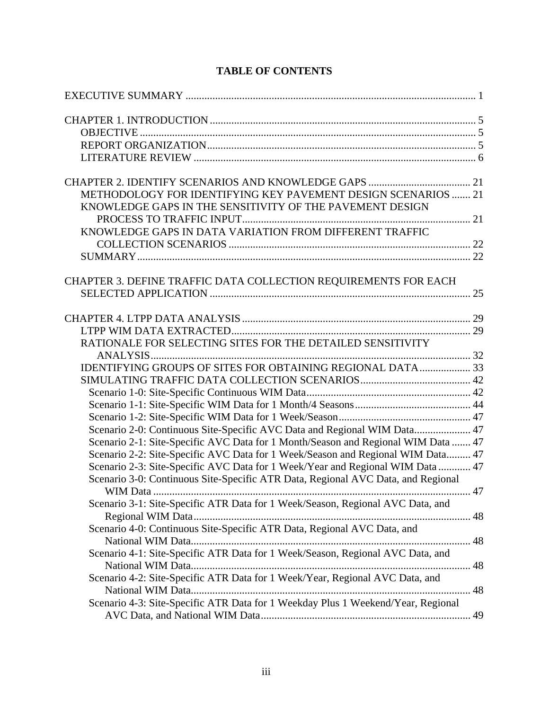| METHODOLOGY FOR IDENTIFYING KEY PAVEMENT DESIGN SCENARIOS  21                     |              |
|-----------------------------------------------------------------------------------|--------------|
| KNOWLEDGE GAPS IN THE SENSITIVITY OF THE PAVEMENT DESIGN                          |              |
|                                                                                   |              |
| KNOWLEDGE GAPS IN DATA VARIATION FROM DIFFERENT TRAFFIC                           |              |
|                                                                                   |              |
|                                                                                   |              |
|                                                                                   |              |
| CHAPTER 3. DEFINE TRAFFIC DATA COLLECTION REQUIREMENTS FOR EACH                   |              |
|                                                                                   |              |
|                                                                                   |              |
|                                                                                   |              |
|                                                                                   |              |
| RATIONALE FOR SELECTING SITES FOR THE DETAILED SENSITIVITY                        |              |
|                                                                                   |              |
| IDENTIFYING GROUPS OF SITES FOR OBTAINING REGIONAL DATA 33                        |              |
|                                                                                   |              |
|                                                                                   |              |
|                                                                                   |              |
|                                                                                   |              |
| Scenario 2-0: Continuous Site-Specific AVC Data and Regional WIM Data 47          |              |
| Scenario 2-1: Site-Specific AVC Data for 1 Month/Season and Regional WIM Data  47 |              |
| Scenario 2-2: Site-Specific AVC Data for 1 Week/Season and Regional WIM Data 47   |              |
| Scenario 2-3: Site-Specific AVC Data for 1 Week/Year and Regional WIM Data  47    |              |
| Scenario 3-0: Continuous Site-Specific ATR Data, Regional AVC Data, and Regional  |              |
|                                                                                   | $\dots$ . 47 |
| Scenario 3-1: Site-Specific ATR Data for 1 Week/Season, Regional AVC Data, and    |              |
|                                                                                   |              |
| Scenario 4-0: Continuous Site-Specific ATR Data, Regional AVC Data, and           |              |
|                                                                                   |              |
| Scenario 4-1: Site-Specific ATR Data for 1 Week/Season, Regional AVC Data, and    |              |
|                                                                                   |              |
| Scenario 4-2: Site-Specific ATR Data for 1 Week/Year, Regional AVC Data, and      |              |
|                                                                                   |              |
| Scenario 4-3: Site-Specific ATR Data for 1 Weekday Plus 1 Weekend/Year, Regional  |              |
|                                                                                   |              |

# **TABLE OF CONTENTS**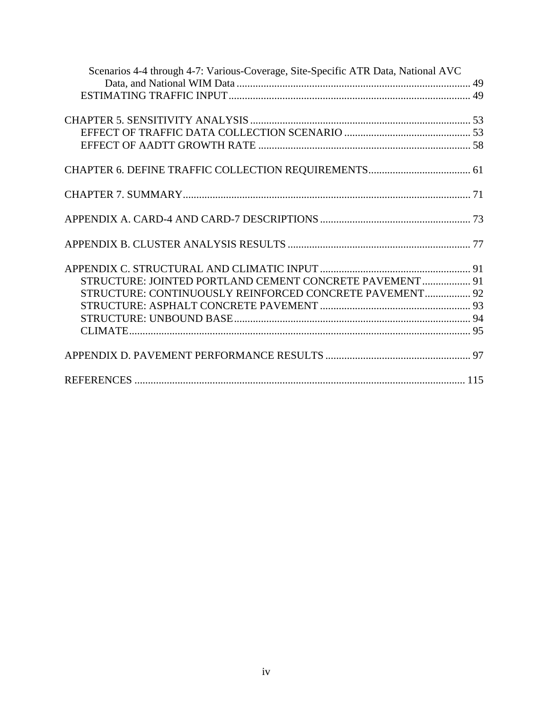| Scenarios 4-4 through 4-7: Various-Coverage, Site-Specific ATR Data, National AVC |  |
|-----------------------------------------------------------------------------------|--|
|                                                                                   |  |
|                                                                                   |  |
|                                                                                   |  |
|                                                                                   |  |
|                                                                                   |  |
|                                                                                   |  |
|                                                                                   |  |
|                                                                                   |  |
|                                                                                   |  |
|                                                                                   |  |
|                                                                                   |  |
|                                                                                   |  |
|                                                                                   |  |
|                                                                                   |  |
|                                                                                   |  |
|                                                                                   |  |
| STRUCTURE: JOINTED PORTLAND CEMENT CONCRETE PAVEMENT  91                          |  |
| STRUCTURE: CONTINUOUSLY REINFORCED CONCRETE PAVEMENT 92                           |  |
|                                                                                   |  |
|                                                                                   |  |
|                                                                                   |  |
|                                                                                   |  |
|                                                                                   |  |
|                                                                                   |  |
|                                                                                   |  |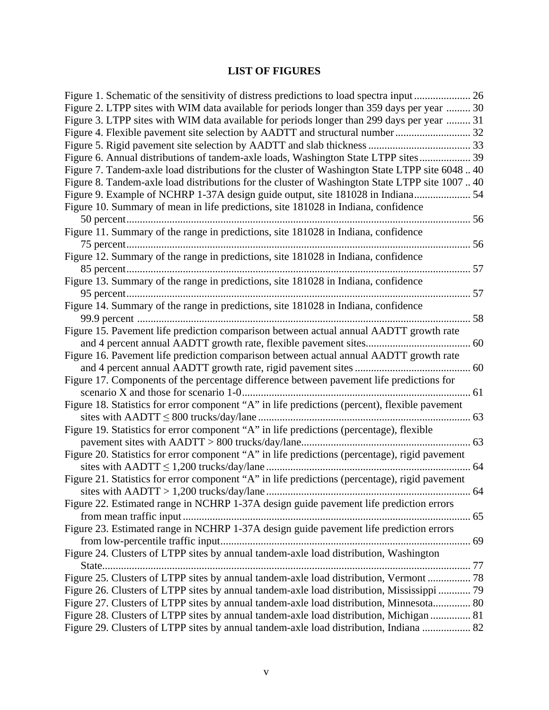# **LIST OF FIGURES**

| Figure 1. Schematic of the sensitivity of distress predictions to load spectra input  26       |    |
|------------------------------------------------------------------------------------------------|----|
| Figure 2. LTPP sites with WIM data available for periods longer than 359 days per year  30     |    |
| Figure 3. LTPP sites with WIM data available for periods longer than 299 days per year  31     |    |
|                                                                                                |    |
|                                                                                                |    |
| Figure 6. Annual distributions of tandem-axle loads, Washington State LTPP sites 39            |    |
| Figure 7. Tandem-axle load distributions for the cluster of Washington State LTPP site 604840  |    |
| Figure 8. Tandem-axle load distributions for the cluster of Washington State LTPP site 100740  |    |
| Figure 9. Example of NCHRP 1-37A design guide output, site 181028 in Indiana 54                |    |
| Figure 10. Summary of mean in life predictions, site 181028 in Indiana, confidence             |    |
|                                                                                                |    |
| Figure 11. Summary of the range in predictions, site 181028 in Indiana, confidence             |    |
|                                                                                                | 56 |
| Figure 12. Summary of the range in predictions, site 181028 in Indiana, confidence             |    |
|                                                                                                |    |
| Figure 13. Summary of the range in predictions, site 181028 in Indiana, confidence             |    |
|                                                                                                |    |
| Figure 14. Summary of the range in predictions, site 181028 in Indiana, confidence             |    |
|                                                                                                | 58 |
| Figure 15. Pavement life prediction comparison between actual annual AADTT growth rate         |    |
|                                                                                                |    |
| Figure 16. Pavement life prediction comparison between actual annual AADTT growth rate         |    |
|                                                                                                |    |
| Figure 17. Components of the percentage difference between pavement life predictions for       |    |
|                                                                                                |    |
| Figure 18. Statistics for error component "A" in life predictions (percent), flexible pavement |    |
|                                                                                                |    |
| Figure 19. Statistics for error component "A" in life predictions (percentage), flexible       |    |
|                                                                                                |    |
| Figure 20. Statistics for error component "A" in life predictions (percentage), rigid pavement |    |
|                                                                                                |    |
| Figure 21. Statistics for error component "A" in life predictions (percentage), rigid pavement |    |
| sites with AADTT > 1,200 trucks/day/lane                                                       | 64 |
| Figure 22. Estimated range in NCHRP 1-37A design guide pavement life prediction errors         |    |
|                                                                                                |    |
| Figure 23. Estimated range in NCHRP 1-37A design guide pavement life prediction errors         |    |
|                                                                                                |    |
| Figure 24. Clusters of LTPP sites by annual tandem-axle load distribution, Washington          |    |
|                                                                                                |    |
| Figure 25. Clusters of LTPP sites by annual tandem-axle load distribution, Vermont  78         |    |
| Figure 26. Clusters of LTPP sites by annual tandem-axle load distribution, Mississippi  79     |    |
| Figure 27. Clusters of LTPP sites by annual tandem-axle load distribution, Minnesota 80        |    |
| Figure 28. Clusters of LTPP sites by annual tandem-axle load distribution, Michigan  81        |    |
| Figure 29. Clusters of LTPP sites by annual tandem-axle load distribution, Indiana  82         |    |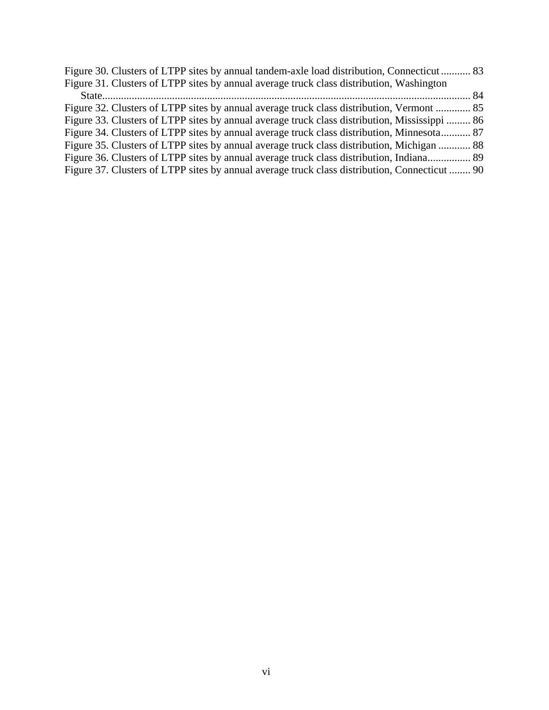| Figure 30. Clusters of LTPP sites by annual tandem-axle load distribution, Connecticut 83     |  |
|-----------------------------------------------------------------------------------------------|--|
| Figure 31. Clusters of LTPP sites by annual average truck class distribution, Washington      |  |
|                                                                                               |  |
| Figure 32. Clusters of LTPP sites by annual average truck class distribution, Vermont  85     |  |
| Figure 33. Clusters of LTPP sites by annual average truck class distribution, Mississippi  86 |  |
| Figure 34. Clusters of LTPP sites by annual average truck class distribution, Minnesota 87    |  |
| Figure 35. Clusters of LTPP sites by annual average truck class distribution, Michigan  88    |  |
| Figure 36. Clusters of LTPP sites by annual average truck class distribution, Indiana 89      |  |
| Figure 37. Clusters of LTPP sites by annual average truck class distribution, Connecticut  90 |  |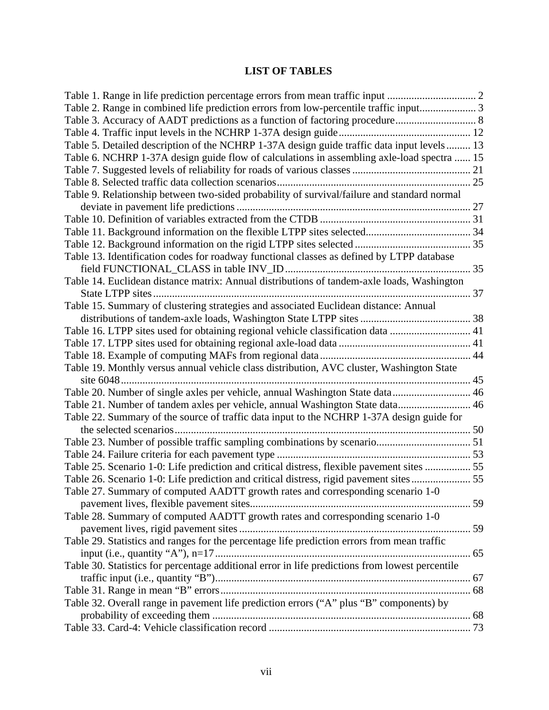# **LIST OF TABLES**

| Table 2. Range in combined life prediction errors from low-percentile traffic input3            |  |
|-------------------------------------------------------------------------------------------------|--|
| Table 3. Accuracy of AADT predictions as a function of factoring procedure 8                    |  |
|                                                                                                 |  |
| Table 5. Detailed description of the NCHRP 1-37A design guide traffic data input levels 13      |  |
| Table 6. NCHRP 1-37A design guide flow of calculations in assembling axle-load spectra  15      |  |
|                                                                                                 |  |
|                                                                                                 |  |
| Table 9. Relationship between two-sided probability of survival/failure and standard normal     |  |
|                                                                                                 |  |
|                                                                                                 |  |
|                                                                                                 |  |
|                                                                                                 |  |
| Table 13. Identification codes for roadway functional classes as defined by LTPP database       |  |
|                                                                                                 |  |
| Table 14. Euclidean distance matrix: Annual distributions of tandem-axle loads, Washington      |  |
|                                                                                                 |  |
| Table 15. Summary of clustering strategies and associated Euclidean distance: Annual            |  |
|                                                                                                 |  |
| Table 16. LTPP sites used for obtaining regional vehicle classification data  41                |  |
|                                                                                                 |  |
|                                                                                                 |  |
| Table 19. Monthly versus annual vehicle class distribution, AVC cluster, Washington State       |  |
|                                                                                                 |  |
| Table 20. Number of single axles per vehicle, annual Washington State data 46                   |  |
| Table 21. Number of tandem axles per vehicle, annual Washington State data 46                   |  |
| Table 22. Summary of the source of traffic data input to the NCHRP 1-37A design guide for       |  |
|                                                                                                 |  |
|                                                                                                 |  |
|                                                                                                 |  |
| Table 25. Scenario 1-0: Life prediction and critical distress, flexible pavement sites  55      |  |
| Table 26. Scenario 1-0: Life prediction and critical distress, rigid pavement sites 55          |  |
| Table 27. Summary of computed AADTT growth rates and corresponding scenario 1-0                 |  |
|                                                                                                 |  |
| Table 28. Summary of computed AADTT growth rates and corresponding scenario 1-0                 |  |
|                                                                                                 |  |
| Table 29. Statistics and ranges for the percentage life prediction errors from mean traffic     |  |
|                                                                                                 |  |
| Table 30. Statistics for percentage additional error in life predictions from lowest percentile |  |
|                                                                                                 |  |
|                                                                                                 |  |
| Table 32. Overall range in pavement life prediction errors ("A" plus "B" components) by         |  |
|                                                                                                 |  |
|                                                                                                 |  |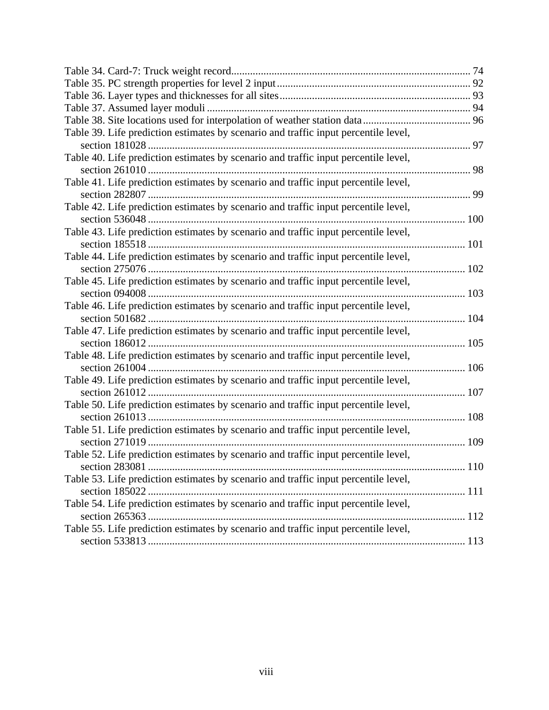| Table 39. Life prediction estimates by scenario and traffic input percentile level, |  |
|-------------------------------------------------------------------------------------|--|
|                                                                                     |  |
| Table 40. Life prediction estimates by scenario and traffic input percentile level, |  |
|                                                                                     |  |
| Table 41. Life prediction estimates by scenario and traffic input percentile level, |  |
|                                                                                     |  |
| Table 42. Life prediction estimates by scenario and traffic input percentile level, |  |
|                                                                                     |  |
| Table 43. Life prediction estimates by scenario and traffic input percentile level, |  |
|                                                                                     |  |
| Table 44. Life prediction estimates by scenario and traffic input percentile level, |  |
|                                                                                     |  |
| Table 45. Life prediction estimates by scenario and traffic input percentile level, |  |
|                                                                                     |  |
| Table 46. Life prediction estimates by scenario and traffic input percentile level, |  |
|                                                                                     |  |
| Table 47. Life prediction estimates by scenario and traffic input percentile level, |  |
|                                                                                     |  |
| Table 48. Life prediction estimates by scenario and traffic input percentile level, |  |
|                                                                                     |  |
| Table 49. Life prediction estimates by scenario and traffic input percentile level, |  |
|                                                                                     |  |
| Table 50. Life prediction estimates by scenario and traffic input percentile level, |  |
|                                                                                     |  |
| Table 51. Life prediction estimates by scenario and traffic input percentile level, |  |
|                                                                                     |  |
| Table 52. Life prediction estimates by scenario and traffic input percentile level, |  |
|                                                                                     |  |
| Table 53. Life prediction estimates by scenario and traffic input percentile level, |  |
|                                                                                     |  |
| Table 54. Life prediction estimates by scenario and traffic input percentile level, |  |
|                                                                                     |  |
| Table 55. Life prediction estimates by scenario and traffic input percentile level, |  |
|                                                                                     |  |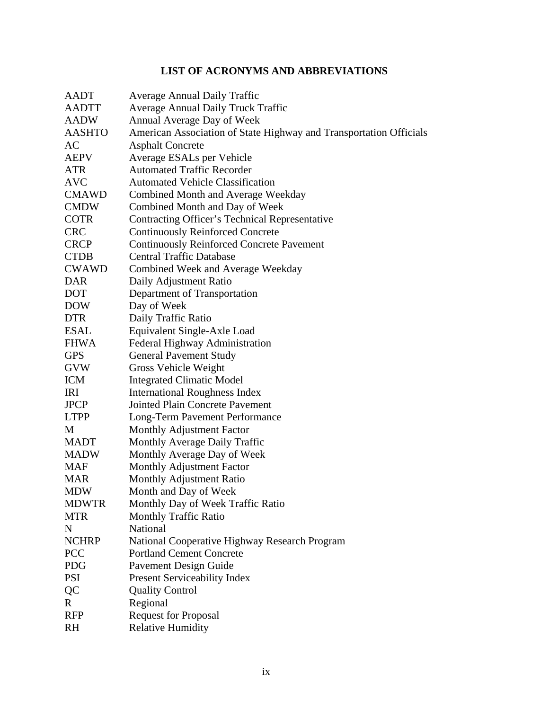# **LIST OF ACRONYMS AND ABBREVIATIONS**

| AADT          | <b>Average Annual Daily Traffic</b>                                |
|---------------|--------------------------------------------------------------------|
| <b>AADTT</b>  | <b>Average Annual Daily Truck Traffic</b>                          |
| <b>AADW</b>   | Annual Average Day of Week                                         |
| <b>AASHTO</b> | American Association of State Highway and Transportation Officials |
| AC            | <b>Asphalt Concrete</b>                                            |
| <b>AEPV</b>   | Average ESALs per Vehicle                                          |
| <b>ATR</b>    | <b>Automated Traffic Recorder</b>                                  |
| <b>AVC</b>    | <b>Automated Vehicle Classification</b>                            |
| <b>CMAWD</b>  | Combined Month and Average Weekday                                 |
| <b>CMDW</b>   | Combined Month and Day of Week                                     |
| <b>COTR</b>   | Contracting Officer's Technical Representative                     |
| <b>CRC</b>    | <b>Continuously Reinforced Concrete</b>                            |
| <b>CRCP</b>   | <b>Continuously Reinforced Concrete Pavement</b>                   |
| <b>CTDB</b>   | <b>Central Traffic Database</b>                                    |
| <b>CWAWD</b>  | Combined Week and Average Weekday                                  |
| <b>DAR</b>    | Daily Adjustment Ratio                                             |
| <b>DOT</b>    | Department of Transportation                                       |
| <b>DOW</b>    | Day of Week                                                        |
| <b>DTR</b>    | Daily Traffic Ratio                                                |
| <b>ESAL</b>   | Equivalent Single-Axle Load                                        |
| <b>FHWA</b>   | Federal Highway Administration                                     |
| <b>GPS</b>    | <b>General Pavement Study</b>                                      |
| <b>GVW</b>    | Gross Vehicle Weight                                               |
| <b>ICM</b>    | <b>Integrated Climatic Model</b>                                   |
| IRI           | <b>International Roughness Index</b>                               |
| <b>JPCP</b>   | <b>Jointed Plain Concrete Pavement</b>                             |
| <b>LTPP</b>   | Long-Term Pavement Performance                                     |
| M             | Monthly Adjustment Factor                                          |
| <b>MADT</b>   | Monthly Average Daily Traffic                                      |
| <b>MADW</b>   | Monthly Average Day of Week                                        |
| <b>MAF</b>    | Monthly Adjustment Factor                                          |
| <b>MAR</b>    | <b>Monthly Adjustment Ratio</b>                                    |
| MDW           | Month and Day of Week                                              |
| <b>MDWTR</b>  | Monthly Day of Week Traffic Ratio                                  |
| <b>MTR</b>    | <b>Monthly Traffic Ratio</b>                                       |
| N             | National                                                           |
| <b>NCHRP</b>  | National Cooperative Highway Research Program                      |
| PCC           | <b>Portland Cement Concrete</b>                                    |
| <b>PDG</b>    | Pavement Design Guide                                              |
| <b>PSI</b>    | <b>Present Serviceability Index</b>                                |
| QC            | <b>Quality Control</b>                                             |
| $\mathbf{R}$  | Regional                                                           |
| <b>RFP</b>    | <b>Request for Proposal</b>                                        |
| <b>RH</b>     | <b>Relative Humidity</b>                                           |
|               |                                                                    |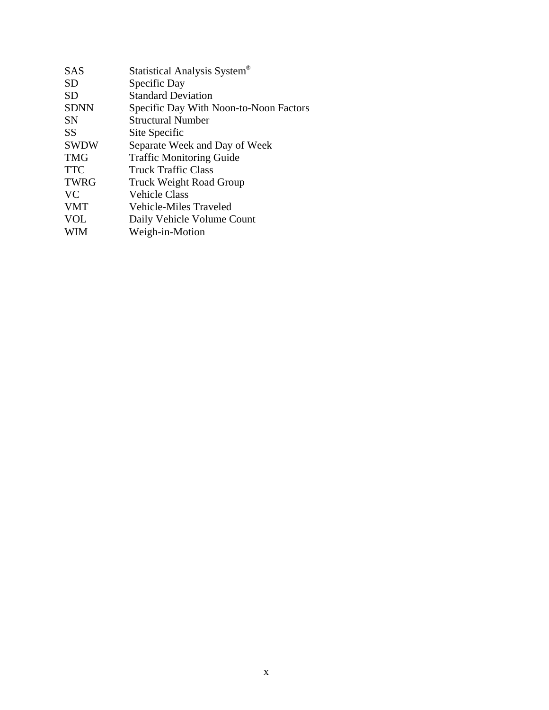| <b>SAS</b>  | Statistical Analysis System®           |
|-------------|----------------------------------------|
| SD          | Specific Day                           |
| SD          | <b>Standard Deviation</b>              |
| <b>SDNN</b> | Specific Day With Noon-to-Noon Factors |
| SΝ          | <b>Structural Number</b>               |
| <b>SS</b>   | Site Specific                          |
| <b>SWDW</b> | Separate Week and Day of Week          |
| <b>TMG</b>  | <b>Traffic Monitoring Guide</b>        |
| <b>TTC</b>  | <b>Truck Traffic Class</b>             |
| <b>TWRG</b> | <b>Truck Weight Road Group</b>         |
| <b>VC</b>   | <b>Vehicle Class</b>                   |
| <b>VMT</b>  | Vehicle-Miles Traveled                 |
| <b>VOL</b>  | Daily Vehicle Volume Count             |
| WIM         | Weigh-in-Motion                        |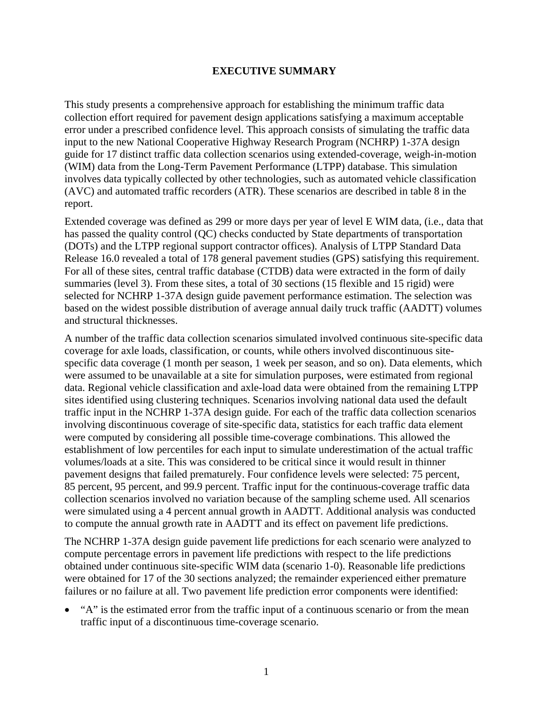#### **EXECUTIVE SUMMARY**

This study presents a comprehensive approach for establishing the minimum traffic data collection effort required for pavement design applications satisfying a maximum acceptable error under a prescribed confidence level. This approach consists of simulating the traffic data input to the new National Cooperative Highway Research Program (NCHRP) 1-37A design guide for 17 distinct traffic data collection scenarios using extended-coverage, weigh-in-motion (WIM) data from the Long-Term Pavement Performance (LTPP) database. This simulation involves data typically collected by other technologies, such as automated vehicle classification (AVC) and automated traffic recorders (ATR). These scenarios are described in table 8 in the report.

Extended coverage was defined as 299 or more days per year of level E WIM data, (i.e., data that has passed the quality control (QC) checks conducted by State departments of transportation (DOTs) and the LTPP regional support contractor offices). Analysis of LTPP Standard Data Release 16.0 revealed a total of 178 general pavement studies (GPS) satisfying this requirement. For all of these sites, central traffic database (CTDB) data were extracted in the form of daily summaries (level 3). From these sites, a total of 30 sections (15 flexible and 15 rigid) were selected for NCHRP 1-37A design guide pavement performance estimation. The selection was based on the widest possible distribution of average annual daily truck traffic (AADTT) volumes and structural thicknesses.

A number of the traffic data collection scenarios simulated involved continuous site-specific data coverage for axle loads, classification, or counts, while others involved discontinuous sitespecific data coverage (1 month per season, 1 week per season, and so on). Data elements, which were assumed to be unavailable at a site for simulation purposes, were estimated from regional data. Regional vehicle classification and axle-load data were obtained from the remaining LTPP sites identified using clustering techniques. Scenarios involving national data used the default traffic input in the NCHRP 1-37A design guide. For each of the traffic data collection scenarios involving discontinuous coverage of site-specific data, statistics for each traffic data element were computed by considering all possible time-coverage combinations. This allowed the establishment of low percentiles for each input to simulate underestimation of the actual traffic volumes/loads at a site. This was considered to be critical since it would result in thinner pavement designs that failed prematurely. Four confidence levels were selected: 75 percent, 85 percent, 95 percent, and 99.9 percent. Traffic input for the continuous-coverage traffic data collection scenarios involved no variation because of the sampling scheme used. All scenarios were simulated using a 4 percent annual growth in AADTT. Additional analysis was conducted to compute the annual growth rate in AADTT and its effect on pavement life predictions.

The NCHRP 1-37A design guide pavement life predictions for each scenario were analyzed to compute percentage errors in pavement life predictions with respect to the life predictions obtained under continuous site-specific WIM data (scenario 1-0). Reasonable life predictions were obtained for 17 of the 30 sections analyzed; the remainder experienced either premature failures or no failure at all. Two pavement life prediction error components were identified:

• "A" is the estimated error from the traffic input of a continuous scenario or from the mean traffic input of a discontinuous time-coverage scenario.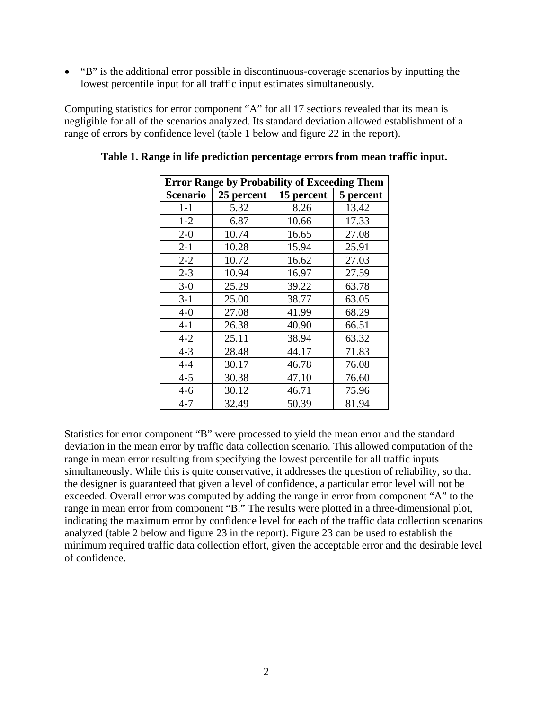• "B" is the additional error possible in discontinuous-coverage scenarios by inputting the lowest percentile input for all traffic input estimates simultaneously.

Computing statistics for error component "A" for all 17 sections revealed that its mean is negligible for all of the scenarios analyzed. Its standard deviation allowed establishment of a range of errors by confidence level (table 1 below and figure 22 in the report).

| <b>Error Range by Probability of Exceeding Them</b> |            |            |           |
|-----------------------------------------------------|------------|------------|-----------|
| <b>Scenario</b>                                     | 25 percent | 15 percent | 5 percent |
| $1 - 1$                                             | 5.32       | 8.26       | 13.42     |
| $1 - 2$                                             | 6.87       | 10.66      | 17.33     |
| $2 - 0$                                             | 10.74      | 16.65      | 27.08     |
| $2 - 1$                                             | 10.28      | 15.94      | 25.91     |
| $2 - 2$                                             | 10.72      | 16.62      | 27.03     |
| $2 - 3$                                             | 10.94      | 16.97      | 27.59     |
| $3-0$                                               | 25.29      | 39.22      | 63.78     |
| $3 - 1$                                             | 25.00      | 38.77      | 63.05     |
| $4-0$                                               | 27.08      | 41.99      | 68.29     |
| $4 - 1$                                             | 26.38      | 40.90      | 66.51     |
| $4 - 2$                                             | 25.11      | 38.94      | 63.32     |
| $4 - 3$                                             | 28.48      | 44.17      | 71.83     |
| $4 - 4$                                             | 30.17      | 46.78      | 76.08     |
| $4 - 5$                                             | 30.38      | 47.10      | 76.60     |
| $4 - 6$                                             | 30.12      | 46.71      | 75.96     |
| $4 - 7$                                             | 32.49      | 50.39      | 81.94     |

**Table 1. Range in life prediction percentage errors from mean traffic input.** 

Statistics for error component "B" were processed to yield the mean error and the standard deviation in the mean error by traffic data collection scenario. This allowed computation of the range in mean error resulting from specifying the lowest percentile for all traffic inputs simultaneously. While this is quite conservative, it addresses the question of reliability, so that the designer is guaranteed that given a level of confidence, a particular error level will not be exceeded. Overall error was computed by adding the range in error from component "A" to the range in mean error from component "B." The results were plotted in a three-dimensional plot, indicating the maximum error by confidence level for each of the traffic data collection scenarios analyzed (table 2 below and figure 23 in the report). Figure 23 can be used to establish the minimum required traffic data collection effort, given the acceptable error and the desirable level of confidence.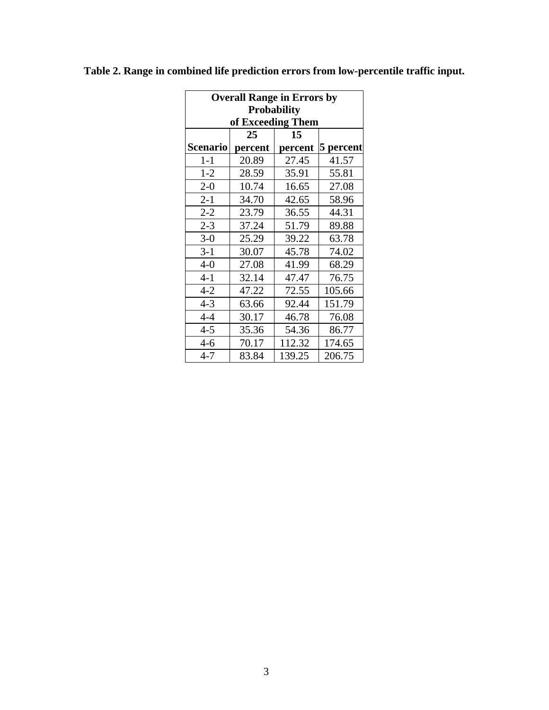| <b>Overall Range in Errors by</b> |                    |         |           |  |  |
|-----------------------------------|--------------------|---------|-----------|--|--|
|                                   | <b>Probability</b> |         |           |  |  |
|                                   | of Exceeding Them  |         |           |  |  |
|                                   | 25                 | 15      |           |  |  |
| Scenario                          | percent            | percent | 5 percent |  |  |
| $1-1$                             | 20.89              | 27.45   | 41.57     |  |  |
| $1 - 2$                           | 28.59              | 35.91   | 55.81     |  |  |
| $2 - 0$                           | 10.74              | 16.65   | 27.08     |  |  |
| $2 - 1$                           | 34.70              | 42.65   | 58.96     |  |  |
| $2 - 2$                           | 23.79              | 36.55   | 44.31     |  |  |
| $2 - 3$                           | 37.24              | 51.79   | 89.88     |  |  |
| $3-0$                             | 25.29              | 39.22   | 63.78     |  |  |
| $3-1$                             | 30.07              | 45.78   | 74.02     |  |  |
| $4-0$                             | 27.08              | 41.99   | 68.29     |  |  |
| $4 - 1$                           | 32.14              | 47.47   | 76.75     |  |  |
| $4 - 2$                           | 47.22              | 72.55   | 105.66    |  |  |
| $4 - 3$                           | 63.66              | 92.44   | 151.79    |  |  |
| $4 - 4$                           | 30.17              | 46.78   | 76.08     |  |  |
| $4 - 5$                           | 35.36              | 54.36   | 86.77     |  |  |
| $4 - 6$                           | 70.17              | 112.32  | 174.65    |  |  |
| $4 - 7$                           | 83.84              | 139.25  | 206.75    |  |  |

**Table 2. Range in combined life prediction errors from low-percentile traffic input.**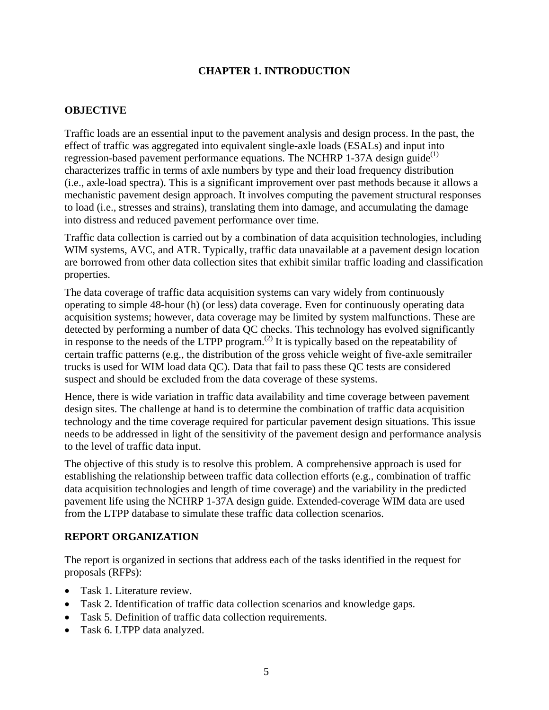## **CHAPTER 1. INTRODUCTION**

#### **OBJECTIVE**

Traffic loads are an essential input to the pavement analysis and design process. In the past, the effect of traffic was aggregated into equivalent single-axle loads (ESALs) and input into regression-based pavement performance equations. The NCHRP 1-37A design guide $^{(1)}$ characterizes traffic in terms of axle numbers by type and their load frequency distribution (i.e., axle-load spectra). This is a significant improvement over past methods because it allows a mechanistic pavement design approach. It involves computing the pavement structural responses to load (i.e., stresses and strains), translating them into damage, and accumulating the damage into distress and reduced pavement performance over time.

Traffic data collection is carried out by a combination of data acquisition technologies, including WIM systems, AVC, and ATR. Typically, traffic data unavailable at a pavement design location are borrowed from other data collection sites that exhibit similar traffic loading and classification properties.

The data coverage of traffic data acquisition systems can vary widely from continuously operating to simple 48-hour (h) (or less) data coverage. Even for continuously operating data acquisition systems; however, data coverage may be limited by system malfunctions. These are detected by performing a number of data QC checks. This technology has evolved significantly in response to the needs of the LTPP program.<sup>(2)</sup> It is typically based on the repeatability of certain traffic patterns (e.g., the distribution of the gross vehicle weight of five-axle semitrailer trucks is used for WIM load data QC). Data that fail to pass these QC tests are considered suspect and should be excluded from the data coverage of these systems.

Hence, there is wide variation in traffic data availability and time coverage between pavement design sites. The challenge at hand is to determine the combination of traffic data acquisition technology and the time coverage required for particular pavement design situations. This issue needs to be addressed in light of the sensitivity of the pavement design and performance analysis to the level of traffic data input.

The objective of this study is to resolve this problem. A comprehensive approach is used for establishing the relationship between traffic data collection efforts (e.g., combination of traffic data acquisition technologies and length of time coverage) and the variability in the predicted pavement life using the NCHRP 1-37A design guide. Extended-coverage WIM data are used from the LTPP database to simulate these traffic data collection scenarios.

### **REPORT ORGANIZATION**

The report is organized in sections that address each of the tasks identified in the request for proposals (RFPs):

- Task 1. Literature review.
- Task 2. Identification of traffic data collection scenarios and knowledge gaps.
- Task 5. Definition of traffic data collection requirements.
- Task 6. LTPP data analyzed.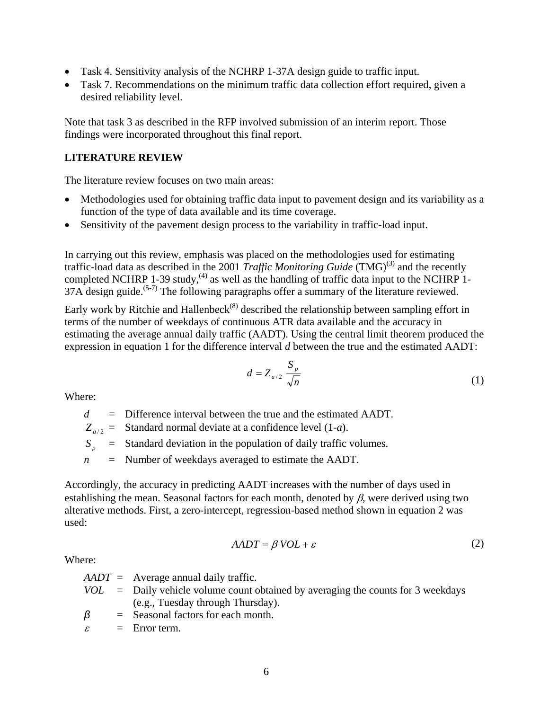- Task 4. Sensitivity analysis of the NCHRP 1-37A design guide to traffic input.
- Task 7. Recommendations on the minimum traffic data collection effort required, given a desired reliability level.

Note that task 3 as described in the RFP involved submission of an interim report. Those findings were incorporated throughout this final report.

### **LITERATURE REVIEW**

The literature review focuses on two main areas:

- Methodologies used for obtaining traffic data input to pavement design and its variability as a function of the type of data available and its time coverage.
- Sensitivity of the pavement design process to the variability in traffic-load input.

In carrying out this review, emphasis was placed on the methodologies used for estimating traffic-load data as described in the 2001 *Traffic Monitoring Guide* (TMG)<sup>(3)</sup> and the recently completed NCHRP 1-39 study,  $(4)$  as well as the handling of traffic data input to the NCHRP 1-37A design guide.<sup> $(5-7)$ </sup> The following paragraphs offer a summary of the literature reviewed.

Early work by Ritchie and Hallenbeck<sup> $(8)$ </sup> described the relationship between sampling effort in terms of the number of weekdays of continuous ATR data available and the accuracy in estimating the average annual daily traffic (AADT). Using the central limit theorem produced the expression in equation 1 for the difference interval *d* between the true and the estimated AADT:

$$
d = Z_{a/2} \frac{S_p}{\sqrt{n}} \tag{1}
$$

Where:

*d* = Difference interval between the true and the estimated AADT.

 $Z_{a/2}$  = Standard normal deviate at a confidence level (1-*a*).

 $S_p$  = Standard deviation in the population of daily traffic volumes.

*n* = Number of weekdays averaged to estimate the AADT.

Accordingly, the accuracy in predicting AADT increases with the number of days used in establishing the mean. Seasonal factors for each month, denoted by  $\beta$ , were derived using two alterative methods. First, a zero-intercept, regression-based method shown in equation 2 was used:

$$
AADT = \beta \text{ } VOL + \varepsilon \tag{2}
$$

Where:

*AADT* = Average annual daily traffic.

- *VOL* = Daily vehicle volume count obtained by averaging the counts for 3 weekdays (e.g., Tuesday through Thursday).
- *β* = Seasonal factors for each month.
- $\varepsilon =$  Error term.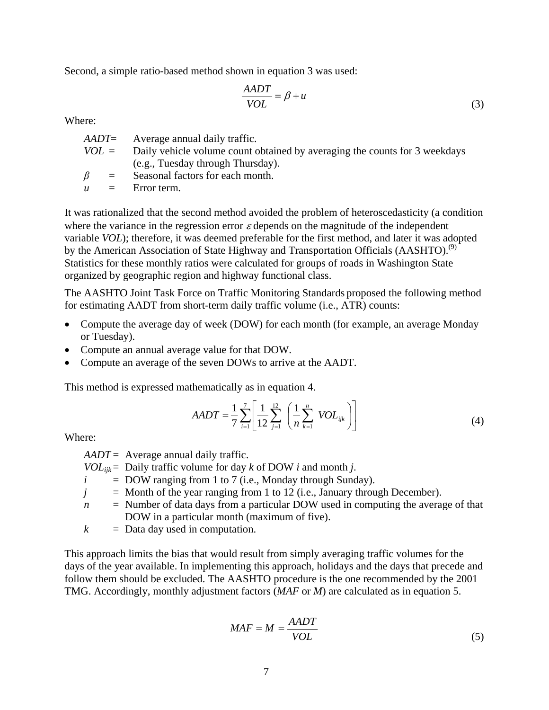Second, a simple ratio-based method shown in equation 3 was used:

$$
\frac{AADT}{VOL} = \beta + u \tag{3}
$$

Where:

|           | $AADT$ = Average annual daily traffic.                                             |
|-----------|------------------------------------------------------------------------------------|
|           | $VOL =$ Daily vehicle volume count obtained by averaging the counts for 3 weekdays |
|           | (e.g., Tuesday through Thursday).                                                  |
| $\beta =$ | Seasonal factors for each month.                                                   |
|           | $u =$ Error term.                                                                  |
|           |                                                                                    |

It was rationalized that the second method avoided the problem of heteroscedasticity (a condition where the variance in the regression error  $\varepsilon$  depends on the magnitude of the independent variable *VOL*); therefore, it was deemed preferable for the first method, and later it was adopted by the American Association of State Highway and Transportation Officials (AASHTO).<sup>(9)</sup> Statistics for these monthly ratios were calculated for groups of roads in Washington State organized by geographic region and highway functional class.

The AASHTO Joint Task Force on Traffic Monitoring Standards proposed the following method for estimating AADT from short-term daily traffic volume (i.e., ATR) counts:

- Compute the average day of week (DOW) for each month (for example, an average Monday or Tuesday).
- Compute an annual average value for that DOW.
- Compute an average of the seven DOWs to arrive at the AADT.

This method is expressed mathematically as in equation 4.

$$
AADT = \frac{1}{7} \sum_{i=1}^{7} \left[ \frac{1}{12} \sum_{j=1}^{12} \left( \frac{1}{n} \sum_{k=1}^{n} \text{VOL}_{ijk} \right) \right]
$$
(4)

Where:

*AADT* = Average annual daily traffic.

- *VOL*<sub>iik</sub> = Daily traffic volume for day *k* of DOW *i* and month *j*.
- $i =$  DOW ranging from 1 to 7 (i.e., Monday through Sunday).
- $j =$  Month of the year ranging from 1 to 12 (i.e., January through December).
- *n* = Number of data days from a particular DOW used in computing the average of that DOW in a particular month (maximum of five).
- $k =$  Data day used in computation.

This approach limits the bias that would result from simply averaging traffic volumes for the days of the year available. In implementing this approach, holidays and the days that precede and follow them should be excluded. The AASHTO procedure is the one recommended by the 2001 TMG. Accordingly, monthly adjustment factors (*MAF* or *M*) are calculated as in equation 5.

$$
MAF = M = \frac{AADT}{VOL} \tag{5}
$$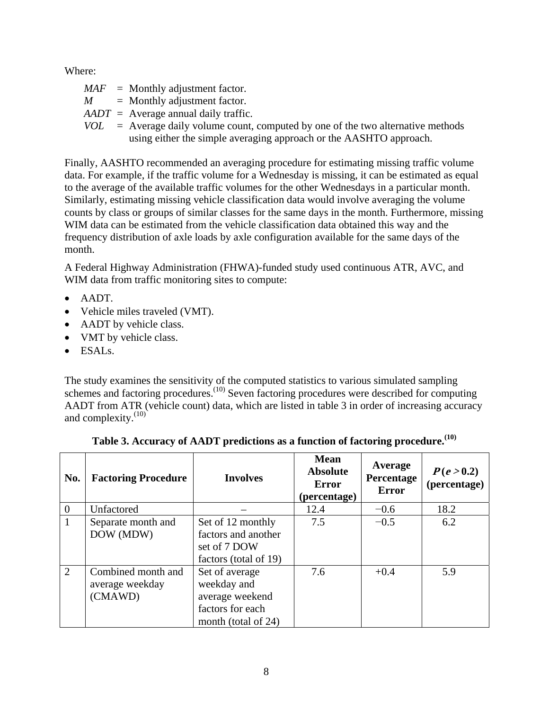Where:

- $MAF =$  Monthly adjustment factor.
- $M =$  Monthly adjustment factor.
- *AADT* = Average annual daily traffic.
- *VOL* = Average daily volume count, computed by one of the two alternative methods using either the simple averaging approach or the AASHTO approach.

Finally, AASHTO recommended an averaging procedure for estimating missing traffic volume data. For example, if the traffic volume for a Wednesday is missing, it can be estimated as equal to the average of the available traffic volumes for the other Wednesdays in a particular month. Similarly, estimating missing vehicle classification data would involve averaging the volume counts by class or groups of similar classes for the same days in the month. Furthermore, missing WIM data can be estimated from the vehicle classification data obtained this way and the frequency distribution of axle loads by axle configuration available for the same days of the month.

A Federal Highway Administration (FHWA)-funded study used continuous ATR, AVC, and WIM data from traffic monitoring sites to compute:

- AADT.
- Vehicle miles traveled (VMT).
- AADT by vehicle class.
- VMT by vehicle class.
- $\bullet$  ESALs.

The study examines the sensitivity of the computed statistics to various simulated sampling schemes and factoring procedures.<sup>(10)</sup> Seven factoring procedures were described for computing AADT from ATR (vehicle count) data, which are listed in table 3 in order of increasing accuracy and complexity. $(10)$ 

| No.          | <b>Factoring Procedure</b>                       | <b>Involves</b>                                                                             | <b>Mean</b><br><b>Absolute</b><br><b>Error</b><br>(percentage) | Average<br>Percentage<br><b>Error</b> | P(e > 0.2)<br>(percentage) |
|--------------|--------------------------------------------------|---------------------------------------------------------------------------------------------|----------------------------------------------------------------|---------------------------------------|----------------------------|
| $\theta$     | Unfactored                                       |                                                                                             | 12.4                                                           | $-0.6$                                | 18.2                       |
| $\mathbf{1}$ | Separate month and<br>DOW (MDW)                  | Set of 12 monthly<br>factors and another<br>set of 7 DOW<br>factors (total of 19)           | 7.5                                                            | $-0.5$                                | 6.2                        |
| 2            | Combined month and<br>average weekday<br>(CMAWD) | Set of average<br>weekday and<br>average weekend<br>factors for each<br>month (total of 24) | 7.6                                                            | $+0.4$                                | 5.9                        |

| Table 3. Accuracy of AADT predictions as a function of factoring procedure. $^{(10)}$ |  |  |
|---------------------------------------------------------------------------------------|--|--|
|                                                                                       |  |  |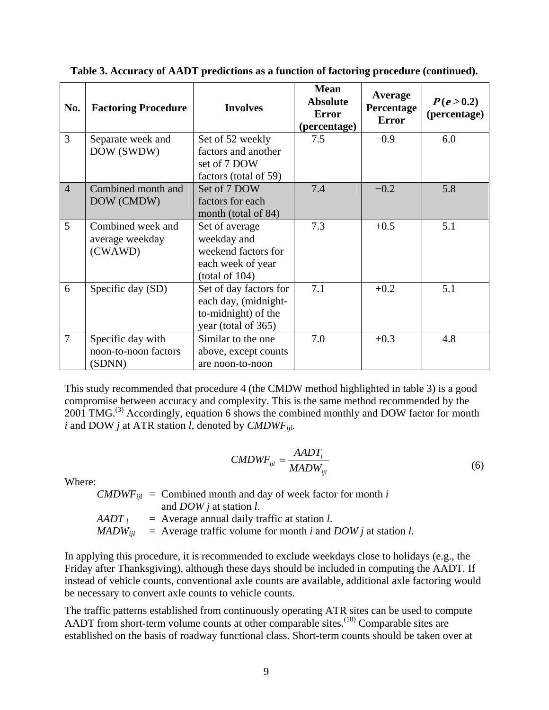| No.            | <b>Factoring Procedure</b>                          | <b>Involves</b>                                                                              | <b>Mean</b><br><b>Absolute</b><br><b>Error</b><br>(percentage) | Average<br>Percentage<br><b>Error</b> | P(e > 0.2)<br>(percentage) |
|----------------|-----------------------------------------------------|----------------------------------------------------------------------------------------------|----------------------------------------------------------------|---------------------------------------|----------------------------|
| 3              | Separate week and<br>DOW (SWDW)                     | Set of 52 weekly<br>factors and another<br>set of 7 DOW<br>factors (total of 59)             | 7.5                                                            | $-0.9$                                | 6.0                        |
| $\overline{4}$ | Combined month and<br>DOW (CMDW)                    | Set of 7 DOW<br>factors for each<br>month (total of 84)                                      | 7.4                                                            | $-0.2$                                | 5.8                        |
| 5              | Combined week and<br>average weekday<br>(CWAWD)     | Set of average<br>weekday and<br>weekend factors for<br>each week of year<br>(total of 104)  | 7.3                                                            | $+0.5$                                | 5.1                        |
| 6              | Specific day (SD)                                   | Set of day factors for<br>each day, (midnight-<br>to-midnight) of the<br>year (total of 365) | 7.1                                                            | $+0.2$                                | 5.1                        |
| $\overline{7}$ | Specific day with<br>noon-to-noon factors<br>(SDNN) | Similar to the one<br>above, except counts<br>are noon-to-noon                               | 7.0                                                            | $+0.3$                                | 4.8                        |

**Table 3. Accuracy of AADT predictions as a function of factoring procedure (continued).** 

This study recommended that procedure 4 (the CMDW method highlighted in table 3) is a good compromise between accuracy and complexity. This is the same method recommended by the 2001 TMG.<sup>(3)</sup> Accordingly, equation 6 shows the combined monthly and DOW factor for month *i* and DOW *j* at ATR station *l*, denoted by *CMDWFijl*.

$$
CMDWF_{ijl} = \frac{AADT_l}{MADW_{ijl}}\tag{6}
$$

Where:

*CMDWF*<sub>iil</sub> = Combined month and day of week factor for month *i*  and *DOW j* at station *l*. *AADT*  $\iota$  = Average annual daily traffic at station *l*.  $MADW_{ii1}$  = Average traffic volume for month *i* and *DOW j* at station *l*.

In applying this procedure, it is recommended to exclude weekdays close to holidays (e.g., the Friday after Thanksgiving), although these days should be included in computing the AADT. If instead of vehicle counts, conventional axle counts are available, additional axle factoring would be necessary to convert axle counts to vehicle counts.

The traffic patterns established from continuously operating ATR sites can be used to compute AADT from short-term volume counts at other comparable sites.<sup> $(10)$ </sup> Comparable sites are established on the basis of roadway functional class. Short-term counts should be taken over at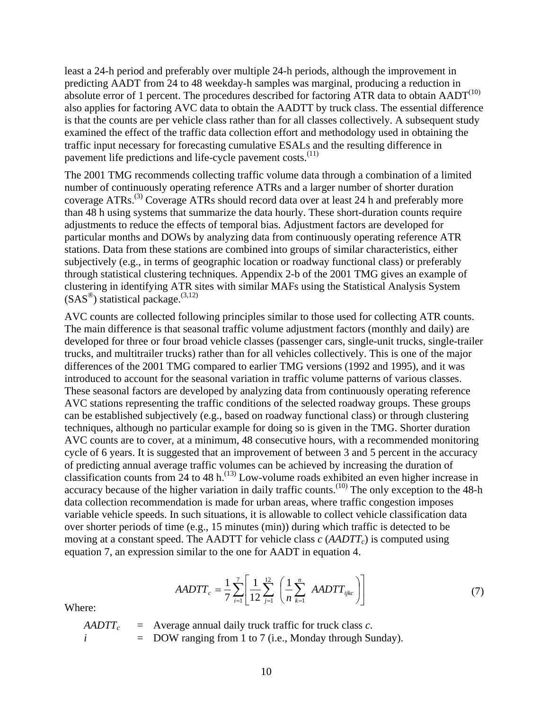least a 24-h period and preferably over multiple 24-h periods, although the improvement in predicting AADT from 24 to 48 weekday-h samples was marginal, producing a reduction in absolute error of 1 percent. The procedures described for factoring ATR data to obtain  $AADT^{(10)}$ also applies for factoring AVC data to obtain the AADTT by truck class. The essential difference is that the counts are per vehicle class rather than for all classes collectively. A subsequent study examined the effect of the traffic data collection effort and methodology used in obtaining the traffic input necessary for forecasting cumulative ESALs and the resulting difference in pavement life predictions and life-cycle pavement costs.<sup>(11)</sup>

The 2001 TMG recommends collecting traffic volume data through a combination of a limited number of continuously operating reference ATRs and a larger number of shorter duration coverage ATRs.(3) Coverage ATRs should record data over at least 24 h and preferably more than 48 h using systems that summarize the data hourly. These short-duration counts require adjustments to reduce the effects of temporal bias. Adjustment factors are developed for particular months and DOWs by analyzing data from continuously operating reference ATR stations. Data from these stations are combined into groups of similar characteristics, either subjectively (e.g., in terms of geographic location or roadway functional class) or preferably through statistical clustering techniques. Appendix 2-b of the 2001 TMG gives an example of clustering in identifying ATR sites with similar MAFs using the Statistical Analysis System  $(SAS^{\circledast})$  statistical package.<sup>(3,12)</sup>

AVC counts are collected following principles similar to those used for collecting ATR counts. The main difference is that seasonal traffic volume adjustment factors (monthly and daily) are developed for three or four broad vehicle classes (passenger cars, single-unit trucks, single-trailer trucks, and multitrailer trucks) rather than for all vehicles collectively. This is one of the major differences of the 2001 TMG compared to earlier TMG versions (1992 and 1995), and it was introduced to account for the seasonal variation in traffic volume patterns of various classes. These seasonal factors are developed by analyzing data from continuously operating reference AVC stations representing the traffic conditions of the selected roadway groups. These groups can be established subjectively (e.g., based on roadway functional class) or through clustering techniques, although no particular example for doing so is given in the TMG. Shorter duration AVC counts are to cover, at a minimum, 48 consecutive hours, with a recommended monitoring cycle of 6 years. It is suggested that an improvement of between 3 and 5 percent in the accuracy of predicting annual average traffic volumes can be achieved by increasing the duration of classification counts from 24 to 48 h.<sup> $(13)$ </sup> Low-volume roads exhibited an even higher increase in accuracy because of the higher variation in daily traffic counts.<sup>(10)</sup> The only exception to the 48-h data collection recommendation is made for urban areas, where traffic congestion imposes variable vehicle speeds. In such situations, it is allowable to collect vehicle classification data over shorter periods of time (e.g., 15 minutes (min)) during which traffic is detected to be moving at a constant speed. The AADTT for vehicle class  $c$  ( $AADTT<sub>c</sub>$ ) is computed using equation 7, an expression similar to the one for AADT in equation 4.

$$
AADTT_c = \frac{1}{7} \sum_{i=1}^{7} \left[ \frac{1}{12} \sum_{j=1}^{12} \left( \frac{1}{n} \sum_{k=1}^{n} AADTT_{ijkc} \right) \right]
$$
(7)

Where:

 $AADTT_c$  = Average annual daily truck traffic for truck class *c*.  $i =$  DOW ranging from 1 to 7 (i.e., Monday through Sunday).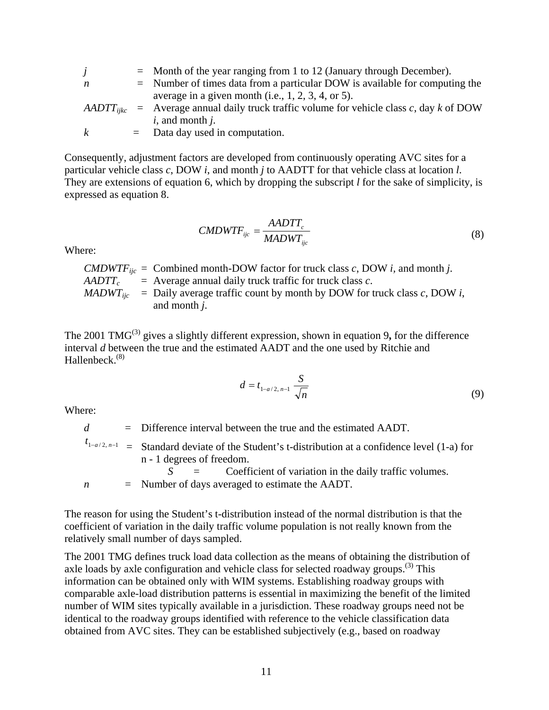|              | $=$ Month of the year ranging from 1 to 12 (January through December).                       |
|--------------|----------------------------------------------------------------------------------------------|
| n            | $=$ Number of times data from a particular DOW is available for computing the                |
|              | average in a given month (i.e., $1, 2, 3, 4$ , or 5).                                        |
|              | $AADTT_{iikc}$ = Average annual daily truck traffic volume for vehicle class c, day k of DOW |
|              | $i$ , and month $j$ .                                                                        |
| $\mathbf{k}$ | $=$ Data day used in computation.                                                            |

Consequently, adjustment factors are developed from continuously operating AVC sites for a particular vehicle class *c*, DOW *i*, and month *j* to AADTT for that vehicle class at location *l*. They are extensions of equation 6, which by dropping the subscript *l* for the sake of simplicity, is expressed as equation 8.

$$
CMDWTF_{ijc} = \frac{AADTT_c}{MADWT_{ijc}}
$$
\n(8)

Where:

*CMDWTF*<sub>iic</sub> = Combined month-DOW factor for truck class *c*, DOW *i*, and month *j*.  $AADTT_c$  = Average annual daily truck traffic for truck class *c*. *MADWT<sub>ijc</sub>* = Daily average traffic count by month by DOW for truck class  $c$ , DOW *i*, and month *j*.

The 2001 TMG<sup>(3)</sup> gives a slightly different expression, shown in equation 9, for the difference interval *d* between the true and the estimated AADT and the one used by Ritchie and Hallenbeck. $(8)$ 

$$
d = t_{1-a/2, n-1} \frac{S}{\sqrt{n}}
$$
 (9)

Where:

*d* = Difference interval between the true and the estimated AADT.

 $t_{1-a/2, n-1}$  = Standard deviate of the Student's t-distribution at a confidence level (1-a) for n - 1 degrees of freedom.

*S* = Coefficient of variation in the daily traffic volumes. *n* = Number of days averaged to estimate the AADT.

The reason for using the Student's t-distribution instead of the normal distribution is that the coefficient of variation in the daily traffic volume population is not really known from the relatively small number of days sampled.

The 2001 TMG defines truck load data collection as the means of obtaining the distribution of axle loads by axle configuration and vehicle class for selected roadway groups.<sup> $(3)$ </sup> This information can be obtained only with WIM systems. Establishing roadway groups with comparable axle-load distribution patterns is essential in maximizing the benefit of the limited number of WIM sites typically available in a jurisdiction. These roadway groups need not be identical to the roadway groups identified with reference to the vehicle classification data obtained from AVC sites. They can be established subjectively (e.g., based on roadway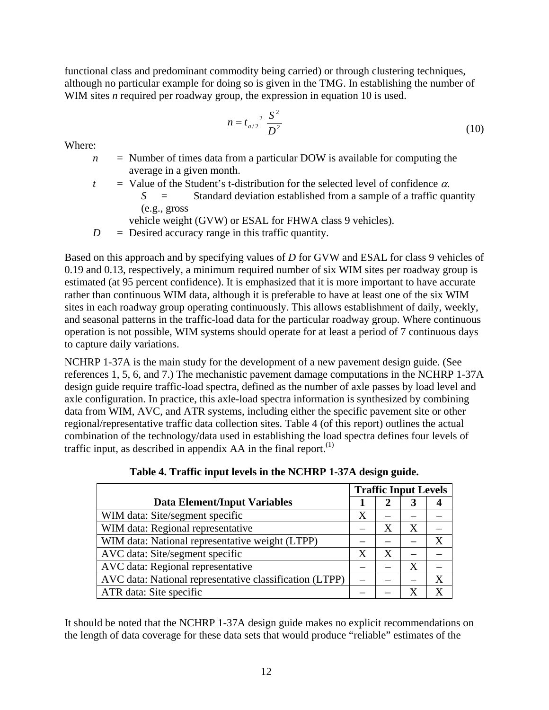functional class and predominant commodity being carried) or through clustering techniques, although no particular example for doing so is given in the TMG. In establishing the number of WIM sites *n* required per roadway group, the expression in equation 10 is used.

$$
n = t_{a/2}^2 \frac{S^2}{D^2} \tag{10}
$$

Where:

- $n =$  Number of times data from a particular DOW is available for computing the average in a given month.
- $t =$  Value of the Student's t-distribution for the selected level of confidence  $\alpha$ .  $S =$  Standard deviation established from a sample of a traffic quantity (e.g., gross
	- vehicle weight (GVW) or ESAL for FHWA class 9 vehicles).
- $D =$  Desired accuracy range in this traffic quantity.

Based on this approach and by specifying values of *D* for GVW and ESAL for class 9 vehicles of 0.19 and 0.13, respectively, a minimum required number of six WIM sites per roadway group is estimated (at 95 percent confidence). It is emphasized that it is more important to have accurate rather than continuous WIM data, although it is preferable to have at least one of the six WIM sites in each roadway group operating continuously. This allows establishment of daily, weekly, and seasonal patterns in the traffic-load data for the particular roadway group. Where continuous operation is not possible, WIM systems should operate for at least a period of 7 continuous days to capture daily variations.

NCHRP 1-37A is the main study for the development of a new pavement design guide. (See references 1, 5, 6, and 7.) The mechanistic pavement damage computations in the NCHRP 1-37A design guide require traffic-load spectra, defined as the number of axle passes by load level and axle configuration. In practice, this axle-load spectra information is synthesized by combining data from WIM, AVC, and ATR systems, including either the specific pavement site or other regional/representative traffic data collection sites. Table 4 (of this report) outlines the actual combination of the technology/data used in establishing the load spectra defines four levels of traffic input, as described in appendix  $AA$  in the final report.<sup>(1)</sup>

|                                                         | <b>Traffic Input Levels</b> |   |   |   |
|---------------------------------------------------------|-----------------------------|---|---|---|
| <b>Data Element/Input Variables</b>                     |                             |   |   |   |
| WIM data: Site/segment specific                         | Χ                           |   |   |   |
| WIM data: Regional representative                       |                             |   | X |   |
| WIM data: National representative weight (LTPP)         |                             |   |   | X |
| AVC data: Site/segment specific                         | X                           | X |   |   |
| AVC data: Regional representative                       |                             |   | Χ |   |
| AVC data: National representative classification (LTPP) |                             |   |   |   |
| ATR data: Site specific                                 |                             |   | X |   |

**Table 4. Traffic input levels in the NCHRP 1-37A design guide.** 

It should be noted that the NCHRP 1-37A design guide makes no explicit recommendations on the length of data coverage for these data sets that would produce "reliable" estimates of the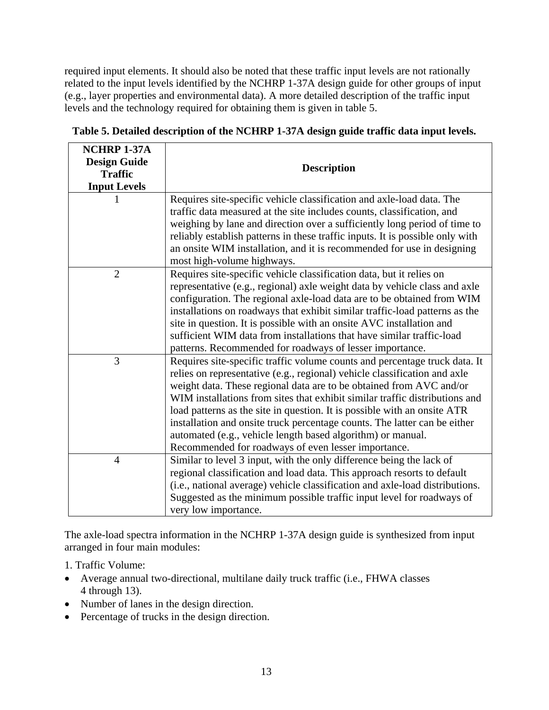required input elements. It should also be noted that these traffic input levels are not rationally related to the input levels identified by the NCHRP 1-37A design guide for other groups of input (e.g., layer properties and environmental data). A more detailed description of the traffic input levels and the technology required for obtaining them is given in table 5.

| NCHRP 1-37A         |                                                                               |
|---------------------|-------------------------------------------------------------------------------|
| <b>Design Guide</b> | <b>Description</b>                                                            |
| <b>Traffic</b>      |                                                                               |
| <b>Input Levels</b> |                                                                               |
|                     | Requires site-specific vehicle classification and axle-load data. The         |
|                     | traffic data measured at the site includes counts, classification, and        |
|                     | weighing by lane and direction over a sufficiently long period of time to     |
|                     | reliably establish patterns in these traffic inputs. It is possible only with |
|                     | an onsite WIM installation, and it is recommended for use in designing        |
|                     | most high-volume highways.                                                    |
| $\overline{2}$      | Requires site-specific vehicle classification data, but it relies on          |
|                     | representative (e.g., regional) axle weight data by vehicle class and axle    |
|                     | configuration. The regional axle-load data are to be obtained from WIM        |
|                     | installations on roadways that exhibit similar traffic-load patterns as the   |
|                     | site in question. It is possible with an onsite AVC installation and          |
|                     | sufficient WIM data from installations that have similar traffic-load         |
|                     | patterns. Recommended for roadways of lesser importance.                      |
| 3                   | Requires site-specific traffic volume counts and percentage truck data. It    |
|                     | relies on representative (e.g., regional) vehicle classification and axle     |
|                     | weight data. These regional data are to be obtained from AVC and/or           |
|                     | WIM installations from sites that exhibit similar traffic distributions and   |
|                     | load patterns as the site in question. It is possible with an onsite ATR      |
|                     | installation and onsite truck percentage counts. The latter can be either     |
|                     | automated (e.g., vehicle length based algorithm) or manual.                   |
|                     | Recommended for roadways of even lesser importance.                           |
| $\overline{4}$      | Similar to level 3 input, with the only difference being the lack of          |
|                     | regional classification and load data. This approach resorts to default       |
|                     | (i.e., national average) vehicle classification and axle-load distributions.  |
|                     | Suggested as the minimum possible traffic input level for roadways of         |
|                     | very low importance.                                                          |

**Table 5. Detailed description of the NCHRP 1-37A design guide traffic data input levels.** 

The axle-load spectra information in the NCHRP 1-37A design guide is synthesized from input arranged in four main modules:

- 1. Traffic Volume:
- Average annual two-directional, multilane daily truck traffic (i.e., FHWA classes 4 through 13).
- Number of lanes in the design direction.
- Percentage of trucks in the design direction.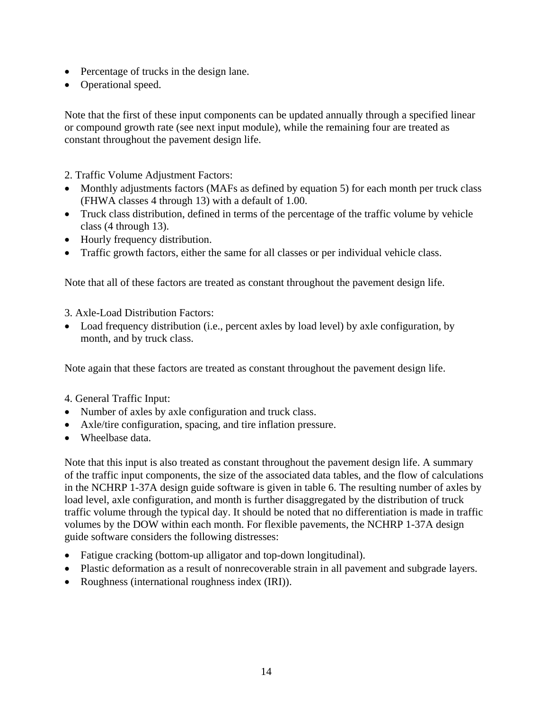- Percentage of trucks in the design lane.
- Operational speed.

Note that the first of these input components can be updated annually through a specified linear or compound growth rate (see next input module), while the remaining four are treated as constant throughout the pavement design life.

2. Traffic Volume Adjustment Factors:

- Monthly adjustments factors (MAFs as defined by equation 5) for each month per truck class (FHWA classes 4 through 13) with a default of 1.00.
- Truck class distribution, defined in terms of the percentage of the traffic volume by vehicle class (4 through 13).
- Hourly frequency distribution.
- Traffic growth factors, either the same for all classes or per individual vehicle class.

Note that all of these factors are treated as constant throughout the pavement design life.

- 3. Axle-Load Distribution Factors:
- Load frequency distribution (i.e., percent axles by load level) by axle configuration, by month, and by truck class.

Note again that these factors are treated as constant throughout the pavement design life.

- 4. General Traffic Input:
- Number of axles by axle configuration and truck class.
- Axle/tire configuration, spacing, and tire inflation pressure.
- Wheelbase data.

Note that this input is also treated as constant throughout the pavement design life. A summary of the traffic input components, the size of the associated data tables, and the flow of calculations in the NCHRP 1-37A design guide software is given in table 6. The resulting number of axles by load level, axle configuration, and month is further disaggregated by the distribution of truck traffic volume through the typical day. It should be noted that no differentiation is made in traffic volumes by the DOW within each month. For flexible pavements, the NCHRP 1-37A design guide software considers the following distresses:

- Fatigue cracking (bottom-up alligator and top-down longitudinal).
- Plastic deformation as a result of nonrecoverable strain in all pavement and subgrade layers.
- Roughness (international roughness index (IRI)).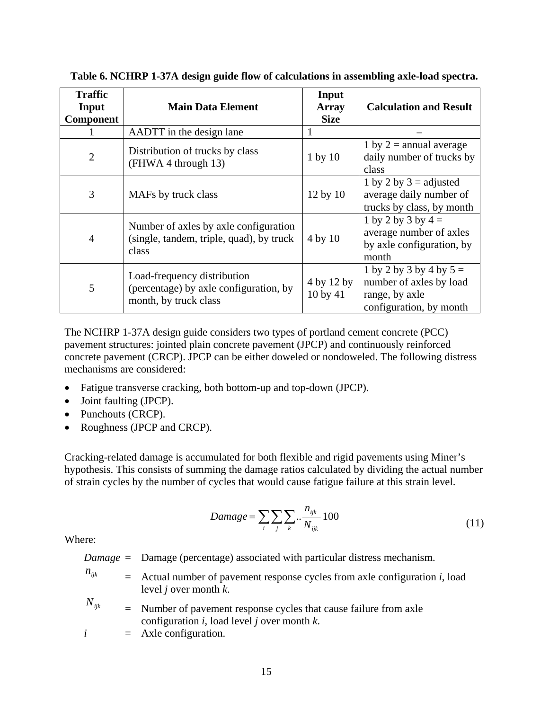| <b>Traffic</b><br>Input<br><b>Component</b> | <b>Main Data Element</b>                                                                       | Input<br><b>Array</b><br><b>Size</b> | <b>Calculation and Result</b>                                                                     |
|---------------------------------------------|------------------------------------------------------------------------------------------------|--------------------------------------|---------------------------------------------------------------------------------------------------|
|                                             | AADTT in the design lane                                                                       |                                      |                                                                                                   |
| $\overline{2}$                              | Distribution of trucks by class<br>(FHWA 4 through 13)                                         | $1$ by $10$                          | 1 by $2 =$ annual average<br>daily number of trucks by<br>class                                   |
| 3                                           | MAFs by truck class                                                                            | 12 by 10                             | 1 by 2 by $3 =$ adjusted<br>average daily number of<br>trucks by class, by month                  |
| $\overline{4}$                              | Number of axles by axle configuration<br>(single, tandem, triple, quad), by truck<br>class     | 4 by 10                              | 1 by 2 by 3 by $4 =$<br>average number of axles<br>by axle configuration, by<br>month             |
| 5                                           | Load-frequency distribution<br>(percentage) by axle configuration, by<br>month, by truck class | 4 by 12 by<br>10 by 41               | 1 by 2 by 3 by 4 by $5 =$<br>number of axles by load<br>range, by axle<br>configuration, by month |

**Table 6. NCHRP 1-37A design guide flow of calculations in assembling axle-load spectra.** 

The NCHRP 1-37A design guide considers two types of portland cement concrete (PCC) pavement structures: jointed plain concrete pavement (JPCP) and continuously reinforced concrete pavement (CRCP). JPCP can be either doweled or nondoweled. The following distress mechanisms are considered:

- Fatigue transverse cracking, both bottom-up and top-down (JPCP).
- Joint faulting (JPCP).
- Punchouts (CRCP).
- Roughness (JPCP and CRCP).

Cracking-related damage is accumulated for both flexible and rigid pavements using Miner's hypothesis. This consists of summing the damage ratios calculated by dividing the actual number of strain cycles by the number of cycles that would cause fatigue failure at this strain level.

$$
Damage = \sum_{i} \sum_{j} \sum_{k} \dots \frac{n_{ijk}}{N_{ijk}} 100 \tag{11}
$$

Where:

- *Damage* = Damage (percentage) associated with particular distress mechanism.
- $n_{ijk}$  = Actual number of pavement response cycles from axle configuration *i*, load level *j* over month *k*.
- $N_{ijk}$  = Number of pavement response cycles that cause failure from axle configuration *i*, load level *j* over month *k*.
- $i =$  Axle configuration.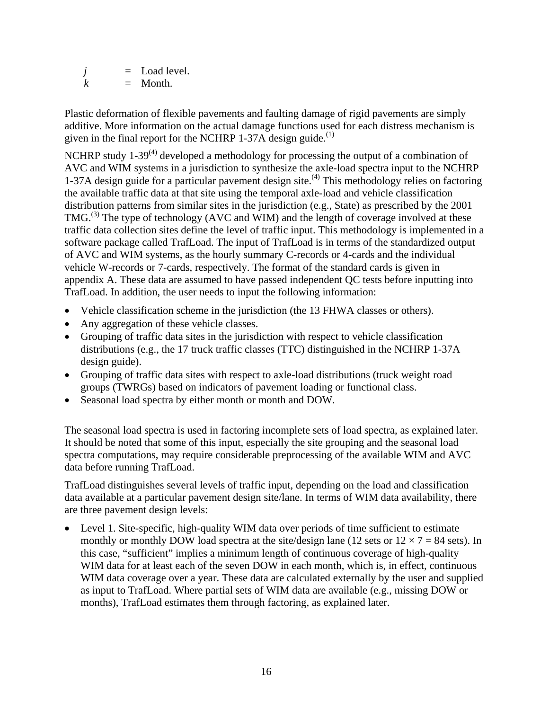$j =$  Load level.  $k =$  Month.

Plastic deformation of flexible pavements and faulting damage of rigid pavements are simply additive. More information on the actual damage functions used for each distress mechanism is given in the final report for the NCHRP 1-37A design guide.<sup>(1)</sup>

NCHRP study  $1-39^{(4)}$  developed a methodology for processing the output of a combination of AVC and WIM systems in a jurisdiction to synthesize the axle-load spectra input to the NCHRP 1-37A design guide for a particular pavement design site.<sup>(4)</sup> This methodology relies on factoring the available traffic data at that site using the temporal axle-load and vehicle classification distribution patterns from similar sites in the jurisdiction (e.g., State) as prescribed by the 2001 TMG.<sup>(3)</sup> The type of technology (AVC and WIM) and the length of coverage involved at these traffic data collection sites define the level of traffic input. This methodology is implemented in a software package called TrafLoad. The input of TrafLoad is in terms of the standardized output of AVC and WIM systems, as the hourly summary C-records or 4-cards and the individual vehicle W-records or 7-cards, respectively. The format of the standard cards is given in appendix A. These data are assumed to have passed independent QC tests before inputting into TrafLoad. In addition, the user needs to input the following information:

- Vehicle classification scheme in the jurisdiction (the 13 FHWA classes or others).
- Any aggregation of these vehicle classes.
- Grouping of traffic data sites in the jurisdiction with respect to vehicle classification distributions (e.g., the 17 truck traffic classes (TTC) distinguished in the NCHRP 1-37A design guide).
- Grouping of traffic data sites with respect to axle-load distributions (truck weight road groups (TWRGs) based on indicators of pavement loading or functional class.
- Seasonal load spectra by either month or month and DOW.

The seasonal load spectra is used in factoring incomplete sets of load spectra, as explained later. It should be noted that some of this input, especially the site grouping and the seasonal load spectra computations, may require considerable preprocessing of the available WIM and AVC data before running TrafLoad.

TrafLoad distinguishes several levels of traffic input, depending on the load and classification data available at a particular pavement design site/lane. In terms of WIM data availability, there are three pavement design levels:

Level 1. Site-specific, high-quality WIM data over periods of time sufficient to estimate monthly or monthly DOW load spectra at the site/design lane (12 sets or  $12 \times 7 = 84$  sets). In this case, "sufficient" implies a minimum length of continuous coverage of high-quality WIM data for at least each of the seven DOW in each month, which is, in effect, continuous WIM data coverage over a year. These data are calculated externally by the user and supplied as input to TrafLoad. Where partial sets of WIM data are available (e.g., missing DOW or months), TrafLoad estimates them through factoring, as explained later.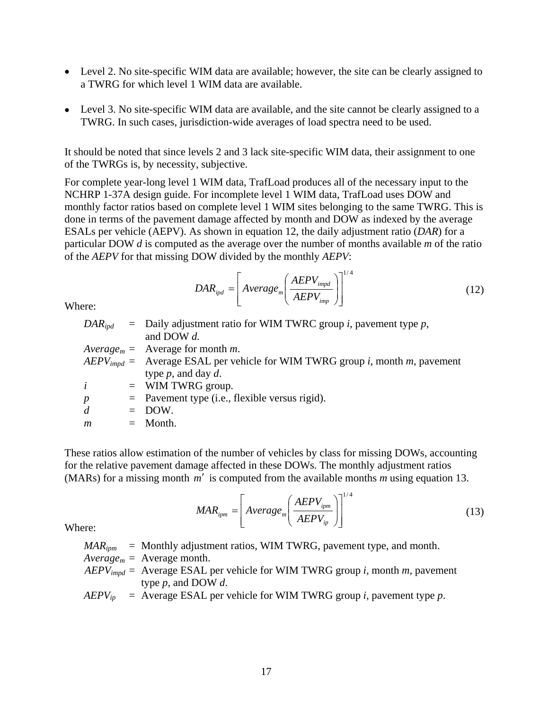- Level 2. No site-specific WIM data are available; however, the site can be clearly assigned to a TWRG for which level 1 WIM data are available.
- Level 3. No site-specific WIM data are available, and the site cannot be clearly assigned to a TWRG. In such cases, jurisdiction-wide averages of load spectra need to be used.

It should be noted that since levels 2 and 3 lack site-specific WIM data, their assignment to one of the TWRGs is, by necessity, subjective.

For complete year-long level 1 WIM data, TrafLoad produces all of the necessary input to the NCHRP 1-37A design guide. For incomplete level 1 WIM data, TrafLoad uses DOW and monthly factor ratios based on complete level 1 WIM sites belonging to the same TWRG. This is done in terms of the pavement damage affected by month and DOW as indexed by the average ESALs per vehicle (AEPV). As shown in equation 12, the daily adjustment ratio (*DAR*) for a particular DOW *d* is computed as the average over the number of months available *m* of the ratio of the *AEPV* for that missing DOW divided by the monthly *AEPV*:

$$
DAR_{ipd} = \left[ Average_m \left( \frac{AEPV_{impd}}{AEPV_{imp}} \right) \right]^{1/4}
$$
 (12)

Where:

|                  | $DAR_{i\omega d}$ = Daily adjustment ratio for WIM TWRC group <i>i</i> , pavement type <i>p</i> , |
|------------------|---------------------------------------------------------------------------------------------------|
|                  | and DOW $d$ .                                                                                     |
|                  | $Average_m = Average$ for month <i>m</i> .                                                        |
|                  | $AEPV_{impd}$ = Average ESAL per vehicle for WIM TWRG group <i>i</i> , month <i>m</i> , pavement  |
|                  | type $p$ , and day $d$ .                                                                          |
| $\dot{i}$        | $=$ WIM TWRG group.                                                                               |
| $\boldsymbol{p}$ | $=$ Pavement type (i.e., flexible versus rigid).                                                  |
| d                | $=$ DOW.                                                                                          |
| $\boldsymbol{m}$ | $=$ Month.                                                                                        |
|                  |                                                                                                   |

These ratios allow estimation of the number of vehicles by class for missing DOWs, accounting for the relative pavement damage affected in these DOWs. The monthly adjustment ratios (MARs) for a missing month *m*′ is computed from the available months *m* using equation 13.

$$
MAR_{ipm} = \left[ Average_m \left( \frac{AEPV_{ipm}}{AEPV_{ip}} \right) \right]^{1/4}
$$
 (13)

Where:

$$
MAR_{ipm}
$$
 = Monthly adjustment ratios, WIM TWRG, payment type, and month.

- $Average<sub>m</sub> = Average$  month.
- *AEPVimpd* = Average ESAL per vehicle for WIM TWRG group *i,* month *m,* pavement type *p*, and DOW *d*.

 $AEPV_{ip}$  = Average ESAL per vehicle for WIM TWRG group *i*, pavement type *p*.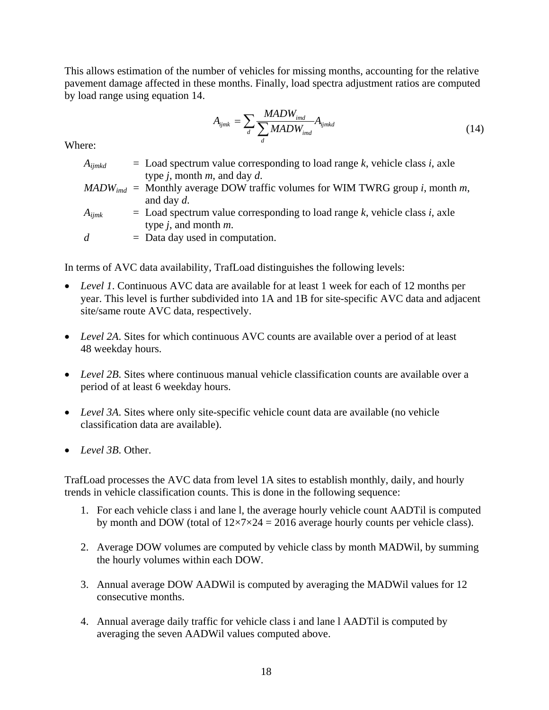This allows estimation of the number of vehicles for missing months, accounting for the relative pavement damage affected in these months. Finally, load spectra adjustment ratios are computed by load range using equation 14.

$$
A_{ijmk} = \sum_{d} \frac{MADW_{ind}}{\sum_{d} MADW_{ind}} A_{ijmkd}
$$
\n(14)

Where:

| $A_{ijmkd}$ | $\epsilon$ Load spectrum value corresponding to load range k, vehicle class i, axle               |
|-------------|---------------------------------------------------------------------------------------------------|
|             | type <i>j</i> , month <i>m</i> , and day <i>d</i> .                                               |
|             | $MADW_{ind}$ = Monthly average DOW traffic volumes for WIM TWRG group <i>i</i> , month <i>m</i> , |
|             | and day $d$ .                                                                                     |
| $A_{ijmk}$  | $\epsilon$ Load spectrum value corresponding to load range k, vehicle class i, axle               |
|             | type $j$ , and month $m$ .                                                                        |
| d.          | $=$ Data day used in computation.                                                                 |
|             |                                                                                                   |

In terms of AVC data availability, TrafLoad distinguishes the following levels:

- *Level 1*. Continuous AVC data are available for at least 1 week for each of 12 months per year. This level is further subdivided into 1A and 1B for site-specific AVC data and adjacent site/same route AVC data, respectively.
- *Level 2A*. Sites for which continuous AVC counts are available over a period of at least 48 weekday hours.
- *Level 2B*. Sites where continuous manual vehicle classification counts are available over a period of at least 6 weekday hours.
- *Level 3A*. Sites where only site-specific vehicle count data are available (no vehicle classification data are available).
- *Level 3B*. Other.

TrafLoad processes the AVC data from level 1A sites to establish monthly, daily, and hourly trends in vehicle classification counts. This is done in the following sequence:

- 1. For each vehicle class i and lane l, the average hourly vehicle count AADTil is computed by month and DOW (total of  $12\times7\times24 = 2016$  average hourly counts per vehicle class).
- 2. Average DOW volumes are computed by vehicle class by month MADWil, by summing the hourly volumes within each DOW.
- 3. Annual average DOW AADWil is computed by averaging the MADWil values for 12 consecutive months.
- 4. Annual average daily traffic for vehicle class i and lane l AADTil is computed by averaging the seven AADWil values computed above.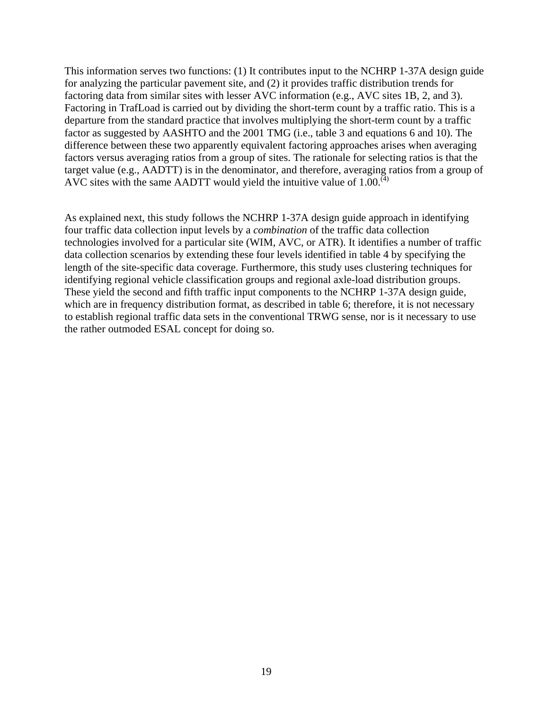This information serves two functions: (1) It contributes input to the NCHRP 1-37A design guide for analyzing the particular pavement site, and (2) it provides traffic distribution trends for factoring data from similar sites with lesser AVC information (e.g., AVC sites 1B, 2, and 3). Factoring in TrafLoad is carried out by dividing the short-term count by a traffic ratio. This is a departure from the standard practice that involves multiplying the short-term count by a traffic factor as suggested by AASHTO and the 2001 TMG (i.e., table 3 and equations 6 and 10). The difference between these two apparently equivalent factoring approaches arises when averaging factors versus averaging ratios from a group of sites. The rationale for selecting ratios is that the target value (e.g., AADTT) is in the denominator, and therefore, averaging ratios from a group of AVC sites with the same AADTT would yield the intuitive value of  $1.00<sup>(4)</sup>$ 

As explained next, this study follows the NCHRP 1-37A design guide approach in identifying four traffic data collection input levels by a *combination* of the traffic data collection technologies involved for a particular site (WIM, AVC, or ATR). It identifies a number of traffic data collection scenarios by extending these four levels identified in table 4 by specifying the length of the site-specific data coverage. Furthermore, this study uses clustering techniques for identifying regional vehicle classification groups and regional axle-load distribution groups. These yield the second and fifth traffic input components to the NCHRP 1-37A design guide, which are in frequency distribution format, as described in table 6; therefore, it is not necessary to establish regional traffic data sets in the conventional TRWG sense, nor is it necessary to use the rather outmoded ESAL concept for doing so.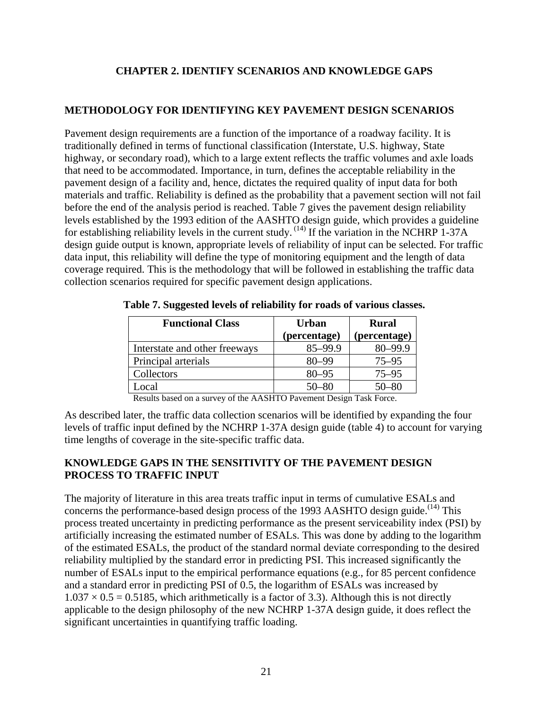## **CHAPTER 2. IDENTIFY SCENARIOS AND KNOWLEDGE GAPS**

#### **METHODOLOGY FOR IDENTIFYING KEY PAVEMENT DESIGN SCENARIOS**

Pavement design requirements are a function of the importance of a roadway facility. It is traditionally defined in terms of functional classification (Interstate, U.S. highway, State highway, or secondary road), which to a large extent reflects the traffic volumes and axle loads that need to be accommodated. Importance, in turn, defines the acceptable reliability in the pavement design of a facility and, hence, dictates the required quality of input data for both materials and traffic. Reliability is defined as the probability that a pavement section will not fail before the end of the analysis period is reached. Table 7 gives the pavement design reliability levels established by the 1993 edition of the AASHTO design guide, which provides a guideline for establishing reliability levels in the current study.  $(14)$  If the variation in the NCHRP 1-37A design guide output is known, appropriate levels of reliability of input can be selected. For traffic data input, this reliability will define the type of monitoring equipment and the length of data coverage required. This is the methodology that will be followed in establishing the traffic data collection scenarios required for specific pavement design applications.

| <b>Functional Class</b>       | <b>Urban</b><br>(percentage) | <b>Rural</b><br>(percentage) |
|-------------------------------|------------------------------|------------------------------|
| Interstate and other freeways | 85-99.9                      | $80 - 99.9$                  |
| Principal arterials           | $80 - 99$                    | $75 - 95$                    |
| Collectors                    | $80 - 95$                    | $75 - 95$                    |
| Local                         | $50 - 80$                    | 50–80                        |

**Table 7. Suggested levels of reliability for roads of various classes.** 

Results based on a survey of the AASHTO Pavement Design Task Force.

As described later, the traffic data collection scenarios will be identified by expanding the four levels of traffic input defined by the NCHRP 1-37A design guide (table 4) to account for varying time lengths of coverage in the site-specific traffic data.

### **KNOWLEDGE GAPS IN THE SENSITIVITY OF THE PAVEMENT DESIGN PROCESS TO TRAFFIC INPUT**

The majority of literature in this area treats traffic input in terms of cumulative ESALs and concerns the performance-based design process of the 1993 AASHTO design guide.<sup> $(14)$ </sup> This process treated uncertainty in predicting performance as the present serviceability index (PSI) by artificially increasing the estimated number of ESALs. This was done by adding to the logarithm of the estimated ESALs, the product of the standard normal deviate corresponding to the desired reliability multiplied by the standard error in predicting PSI. This increased significantly the number of ESALs input to the empirical performance equations (e.g., for 85 percent confidence and a standard error in predicting PSI of 0.5, the logarithm of ESALs was increased by  $1.037 \times 0.5 = 0.5185$ , which arithmetically is a factor of 3.3). Although this is not directly applicable to the design philosophy of the new NCHRP 1-37A design guide, it does reflect the significant uncertainties in quantifying traffic loading.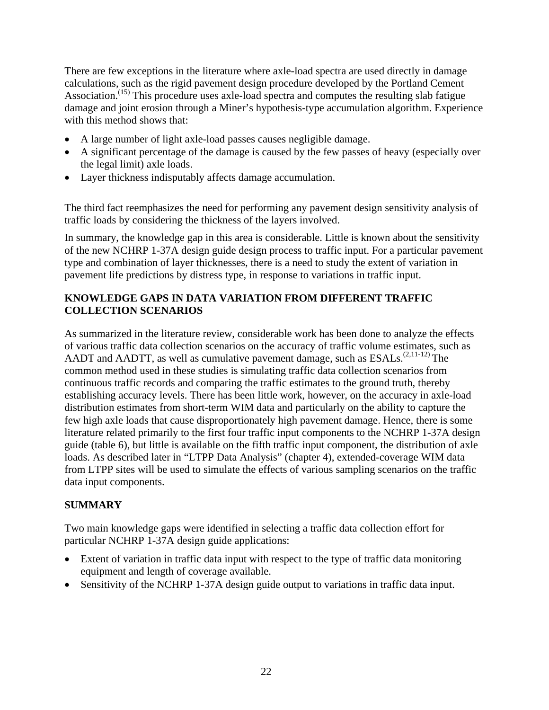There are few exceptions in the literature where axle-load spectra are used directly in damage calculations, such as the rigid pavement design procedure developed by the Portland Cement Association.<sup> $(15)$ </sup> This procedure uses axle-load spectra and computes the resulting slab fatigue damage and joint erosion through a Miner's hypothesis-type accumulation algorithm. Experience with this method shows that:

- A large number of light axle-load passes causes negligible damage.
- A significant percentage of the damage is caused by the few passes of heavy (especially over the legal limit) axle loads.
- Layer thickness indisputably affects damage accumulation.

The third fact reemphasizes the need for performing any pavement design sensitivity analysis of traffic loads by considering the thickness of the layers involved.

In summary, the knowledge gap in this area is considerable. Little is known about the sensitivity of the new NCHRP 1-37A design guide design process to traffic input. For a particular pavement type and combination of layer thicknesses, there is a need to study the extent of variation in pavement life predictions by distress type, in response to variations in traffic input.

## **KNOWLEDGE GAPS IN DATA VARIATION FROM DIFFERENT TRAFFIC COLLECTION SCENARIOS**

As summarized in the literature review, considerable work has been done to analyze the effects of various traffic data collection scenarios on the accuracy of traffic volume estimates, such as AADT and AADTT, as well as cumulative pavement damage, such as ESALs.<sup>(2,11-12)</sup> The common method used in these studies is simulating traffic data collection scenarios from continuous traffic records and comparing the traffic estimates to the ground truth, thereby establishing accuracy levels. There has been little work, however, on the accuracy in axle-load distribution estimates from short-term WIM data and particularly on the ability to capture the few high axle loads that cause disproportionately high pavement damage. Hence, there is some literature related primarily to the first four traffic input components to the NCHRP 1-37A design guide (table 6), but little is available on the fifth traffic input component, the distribution of axle loads. As described later in "LTPP Data Analysis" (chapter 4), extended-coverage WIM data from LTPP sites will be used to simulate the effects of various sampling scenarios on the traffic data input components.

# **SUMMARY**

Two main knowledge gaps were identified in selecting a traffic data collection effort for particular NCHRP 1-37A design guide applications:

- Extent of variation in traffic data input with respect to the type of traffic data monitoring equipment and length of coverage available.
- Sensitivity of the NCHRP 1-37A design guide output to variations in traffic data input.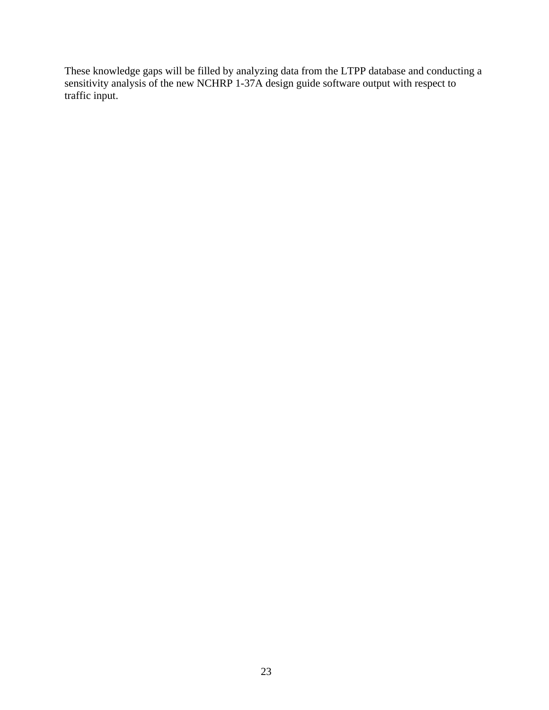These knowledge gaps will be filled by analyzing data from the LTPP database and conducting a sensitivity analysis of the new NCHRP 1-37A design guide software output with respect to traffic input.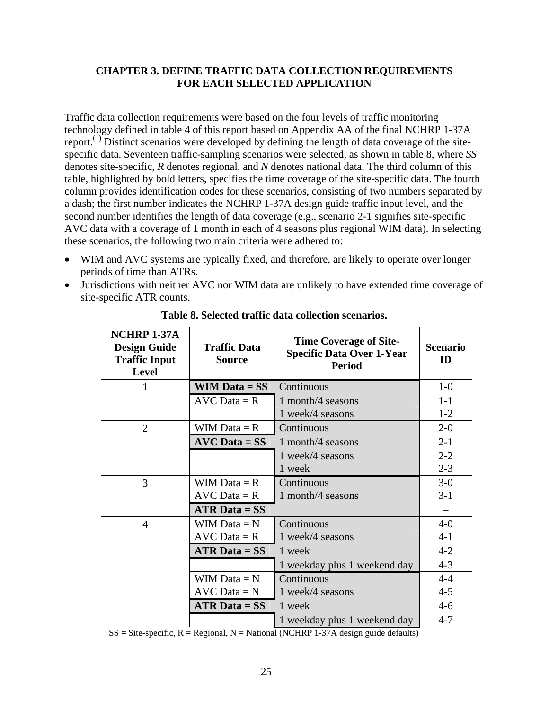### **CHAPTER 3. DEFINE TRAFFIC DATA COLLECTION REQUIREMENTS FOR EACH SELECTED APPLICATION**

Traffic data collection requirements were based on the four levels of traffic monitoring technology defined in table 4 of this report based on Appendix AA of the final NCHRP 1-37A report.(1) Distinct scenarios were developed by defining the length of data coverage of the sitespecific data. Seventeen traffic-sampling scenarios were selected, as shown in table 8, where *SS* denotes site-specific, *R* denotes regional, and *N* denotes national data. The third column of this table, highlighted by bold letters, specifies the time coverage of the site-specific data. The fourth column provides identification codes for these scenarios, consisting of two numbers separated by a dash; the first number indicates the NCHRP 1-37A design guide traffic input level, and the second number identifies the length of data coverage (e.g., scenario 2-1 signifies site-specific AVC data with a coverage of 1 month in each of 4 seasons plus regional WIM data). In selecting these scenarios, the following two main criteria were adhered to:

- WIM and AVC systems are typically fixed, and therefore, are likely to operate over longer periods of time than ATRs.
- Jurisdictions with neither AVC nor WIM data are unlikely to have extended time coverage of site-specific ATR counts.

| NCHRP 1-37A<br><b>Design Guide</b><br><b>Traffic Input</b><br><b>Level</b> | <b>Traffic Data</b><br><b>Source</b> | <b>Time Coverage of Site-</b><br><b>Specific Data Over 1-Year</b><br><b>Period</b> |         |  |  |  |  |  |  |
|----------------------------------------------------------------------------|--------------------------------------|------------------------------------------------------------------------------------|---------|--|--|--|--|--|--|
|                                                                            | $WIM Data = SS$                      | Continuous                                                                         | $1-0$   |  |  |  |  |  |  |
|                                                                            | $AVC Data = R$                       | 1 month/4 seasons                                                                  | $1 - 1$ |  |  |  |  |  |  |
|                                                                            |                                      | 1 week/4 seasons                                                                   | $1-2$   |  |  |  |  |  |  |
| $\overline{2}$                                                             | WIM Data $=$ R                       | Continuous                                                                         | $2 - 0$ |  |  |  |  |  |  |
|                                                                            | $AVC Data = SS$                      | 1 month/4 seasons                                                                  | $2 - 1$ |  |  |  |  |  |  |
|                                                                            |                                      | 1 week/4 seasons                                                                   | $2 - 2$ |  |  |  |  |  |  |
|                                                                            |                                      | 1 week                                                                             | $2 - 3$ |  |  |  |  |  |  |
| 3                                                                          | WIM Data $=$ R                       | Continuous                                                                         | $3-0$   |  |  |  |  |  |  |
|                                                                            | $AVC Data = R$                       | 1 month/4 seasons                                                                  | $3-1$   |  |  |  |  |  |  |
|                                                                            | $ATR Data = SS$                      |                                                                                    |         |  |  |  |  |  |  |
| $\overline{4}$                                                             | WIM Data $= N$                       | Continuous                                                                         | $4-0$   |  |  |  |  |  |  |
|                                                                            | $AVC Data = R$                       | 1 week/4 seasons                                                                   | $4 - 1$ |  |  |  |  |  |  |
|                                                                            | $ATR Data = SS$                      | 1 week                                                                             | $4 - 2$ |  |  |  |  |  |  |
|                                                                            |                                      | 1 weekday plus 1 weekend day                                                       | $4 - 3$ |  |  |  |  |  |  |
|                                                                            | WIM Data $= N$                       | Continuous                                                                         | $4 - 4$ |  |  |  |  |  |  |
|                                                                            | $AVC Data = N$                       | 1 week/4 seasons                                                                   | $4 - 5$ |  |  |  |  |  |  |
|                                                                            | $ATR Data = SS$                      | 1 week                                                                             | $4-6$   |  |  |  |  |  |  |
|                                                                            |                                      | 1 weekday plus 1 weekend day                                                       | $4 - 7$ |  |  |  |  |  |  |

**Table 8. Selected traffic data collection scenarios.** 

 $SS = Site-specific$ ,  $R = Regional$ ,  $N = National (NCHRP 1-37A design guide defaults)$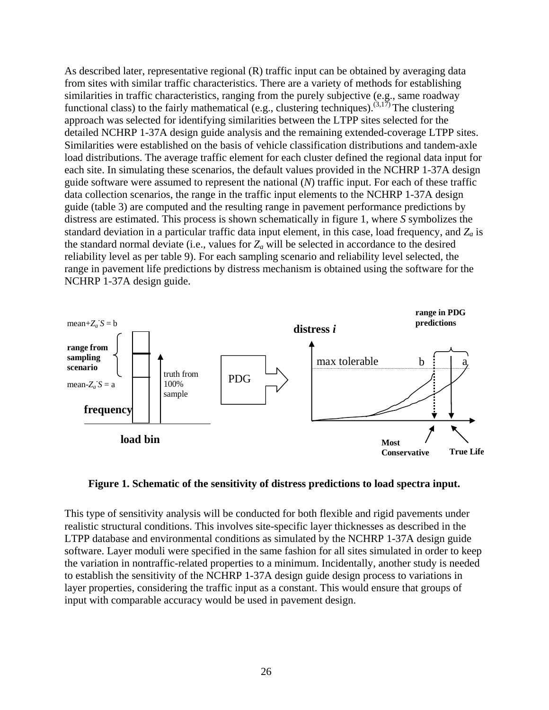As described later, representative regional (R) traffic input can be obtained by averaging data from sites with similar traffic characteristics. There are a variety of methods for establishing similarities in traffic characteristics, ranging from the purely subjective (e.g., same roadway functional class) to the fairly mathematical (e.g., clustering techniques).<sup> $(3,17)$ </sup> The clustering approach was selected for identifying similarities between the LTPP sites selected for the detailed NCHRP 1-37A design guide analysis and the remaining extended-coverage LTPP sites. Similarities were established on the basis of vehicle classification distributions and tandem-axle load distributions. The average traffic element for each cluster defined the regional data input for each site. In simulating these scenarios, the default values provided in the NCHRP 1-37A design guide software were assumed to represent the national (*N*) traffic input. For each of these traffic data collection scenarios, the range in the traffic input elements to the NCHRP 1-37A design guide (table 3) are computed and the resulting range in pavement performance predictions by distress are estimated. This process is shown schematically in figure 1, where *S* symbolizes the standard deviation in a particular traffic data input element, in this case, load frequency, and *Za* is the standard normal deviate (i.e., values for *Za* will be selected in accordance to the desired reliability level as per table 9). For each sampling scenario and reliability level selected, the range in pavement life predictions by distress mechanism is obtained using the software for the NCHRP 1-37A design guide.



**Figure 1. Schematic of the sensitivity of distress predictions to load spectra input.** 

This type of sensitivity analysis will be conducted for both flexible and rigid pavements under realistic structural conditions. This involves site-specific layer thicknesses as described in the LTPP database and environmental conditions as simulated by the NCHRP 1-37A design guide software. Layer moduli were specified in the same fashion for all sites simulated in order to keep the variation in nontraffic-related properties to a minimum. Incidentally, another study is needed to establish the sensitivity of the NCHRP 1-37A design guide design process to variations in layer properties, considering the traffic input as a constant. This would ensure that groups of input with comparable accuracy would be used in pavement design.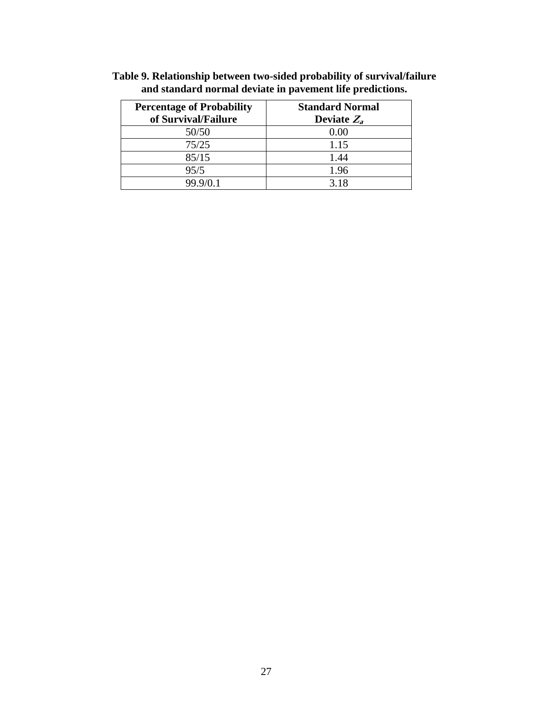| <b>Percentage of Probability</b> | <b>Standard Normal</b> |
|----------------------------------|------------------------|
| of Survival/Failure              | Deviate $Z_a$          |
| 50/50                            | 0.00                   |
| 75/25                            | 1.15                   |
| 85/15                            | 1.44                   |
| 95/5                             | 1.96                   |
| 99.9/0.1                         | 3.18                   |

**Table 9. Relationship between two-sided probability of survival/failure and standard normal deviate in pavement life predictions.**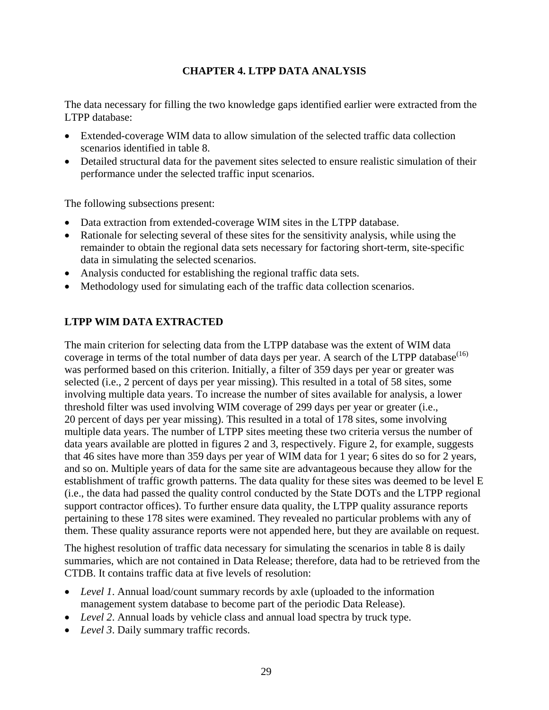# **CHAPTER 4. LTPP DATA ANALYSIS**

The data necessary for filling the two knowledge gaps identified earlier were extracted from the LTPP database:

- Extended-coverage WIM data to allow simulation of the selected traffic data collection scenarios identified in table 8.
- Detailed structural data for the pavement sites selected to ensure realistic simulation of their performance under the selected traffic input scenarios.

The following subsections present:

- Data extraction from extended-coverage WIM sites in the LTPP database.
- Rationale for selecting several of these sites for the sensitivity analysis, while using the remainder to obtain the regional data sets necessary for factoring short-term, site-specific data in simulating the selected scenarios.
- Analysis conducted for establishing the regional traffic data sets.
- Methodology used for simulating each of the traffic data collection scenarios.

# **LTPP WIM DATA EXTRACTED**

The main criterion for selecting data from the LTPP database was the extent of WIM data coverage in terms of the total number of data days per year. A search of the LTPP database<sup>(16)</sup> was performed based on this criterion. Initially, a filter of 359 days per year or greater was selected (i.e., 2 percent of days per year missing). This resulted in a total of 58 sites, some involving multiple data years. To increase the number of sites available for analysis, a lower threshold filter was used involving WIM coverage of 299 days per year or greater (i.e., 20 percent of days per year missing). This resulted in a total of 178 sites, some involving multiple data years. The number of LTPP sites meeting these two criteria versus the number of data years available are plotted in figures 2 and 3, respectively. Figure 2, for example, suggests that 46 sites have more than 359 days per year of WIM data for 1 year; 6 sites do so for 2 years, and so on. Multiple years of data for the same site are advantageous because they allow for the establishment of traffic growth patterns. The data quality for these sites was deemed to be level E (i.e., the data had passed the quality control conducted by the State DOTs and the LTPP regional support contractor offices). To further ensure data quality, the LTPP quality assurance reports pertaining to these 178 sites were examined. They revealed no particular problems with any of them. These quality assurance reports were not appended here, but they are available on request.

The highest resolution of traffic data necessary for simulating the scenarios in table 8 is daily summaries, which are not contained in Data Release; therefore, data had to be retrieved from the CTDB. It contains traffic data at five levels of resolution:

- *Level 1*. Annual load/count summary records by axle (uploaded to the information management system database to become part of the periodic Data Release).
- *Level 2*. Annual loads by vehicle class and annual load spectra by truck type.
- *Level 3*. Daily summary traffic records.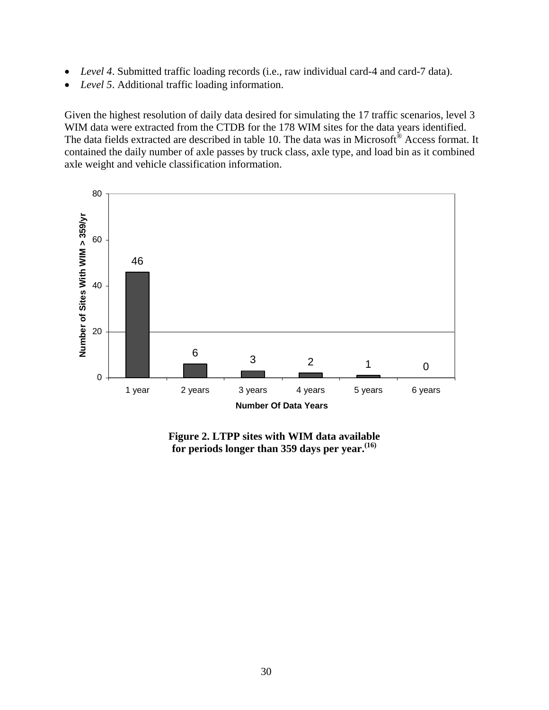- *Level 4*. Submitted traffic loading records (i.e., raw individual card-4 and card-7 data).
- *Level 5*. Additional traffic loading information.

Given the highest resolution of daily data desired for simulating the 17 traffic scenarios, level 3 WIM data were extracted from the CTDB for the 178 WIM sites for the data years identified. The data fields extracted are described in table 10. The data was in Microsoft® Access format. It contained the daily number of axle passes by truck class, axle type, and load bin as it combined axle weight and vehicle classification information.



**Figure 2. LTPP sites with WIM data available for periods longer than 359 days per year.(16)**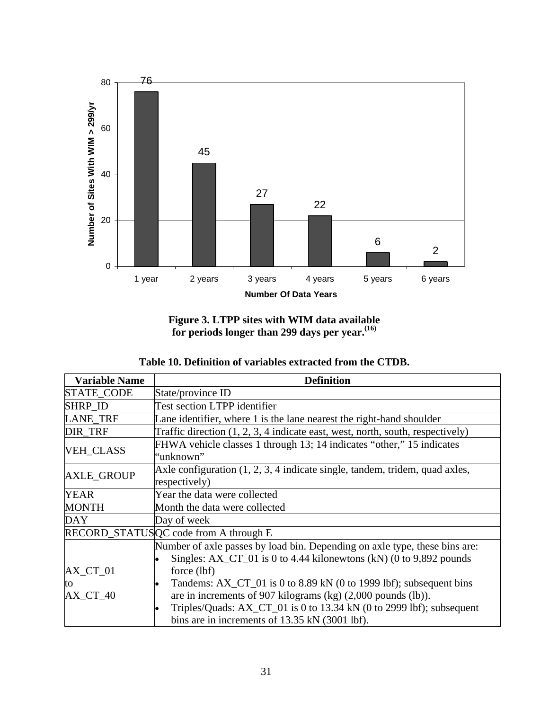

**Figure 3. LTPP sites with WIM data available for periods longer than 299 days per year.(16)**

| Table 10. Definition of variables extracted from the CTDB. |  |  |  |
|------------------------------------------------------------|--|--|--|
|------------------------------------------------------------|--|--|--|

| <b>Variable Name</b> | <b>Definition</b>                                                                                                                                         |
|----------------------|-----------------------------------------------------------------------------------------------------------------------------------------------------------|
| STATE_CODE           | State/province ID                                                                                                                                         |
| SHRP_ID              | Test section LTPP identifier                                                                                                                              |
| <b>LANE TRF</b>      | Lane identifier, where 1 is the lane nearest the right-hand shoulder                                                                                      |
| <b>DIR TRF</b>       | Traffic direction $(1, 2, 3, 4)$ indicate east, west, north, south, respectively)                                                                         |
| <b>VEH_CLASS</b>     | FHWA vehicle classes 1 through 13; 14 indicates "other," 15 indicates<br>"unknown"                                                                        |
| <b>AXLE_GROUP</b>    | Axle configuration $(1, 2, 3, 4)$ indicate single, tandem, tridem, quad axles,<br>respectively)                                                           |
| <b>YEAR</b>          | Year the data were collected                                                                                                                              |
| <b>MONTH</b>         | Month the data were collected                                                                                                                             |
| <b>DAY</b>           | Day of week                                                                                                                                               |
|                      | RECORD_STATUSQC code from A through E                                                                                                                     |
|                      | Number of axle passes by load bin. Depending on axle type, these bins are:<br>Singles: $AX\_CT\_01$ is 0 to 4.44 kilonewtons (kN) (0 to 9,892 pounds      |
| $AX_C$ $T_01$        | force (lbf)                                                                                                                                               |
| to<br>$AX_C$ $T_40$  | Tandems: AX_CT_01 is 0 to 8.89 kN (0 to 1999 lbf); subsequent bins<br>$\bullet$<br>are in increments of 907 kilograms (kg) $(2,000 \text{ pounds}$ (lb)). |
|                      | Triples/Quads: AX_CT_01 is 0 to 13.34 kN (0 to 2999 lbf); subsequent<br>bins are in increments of 13.35 kN (3001 lbf).                                    |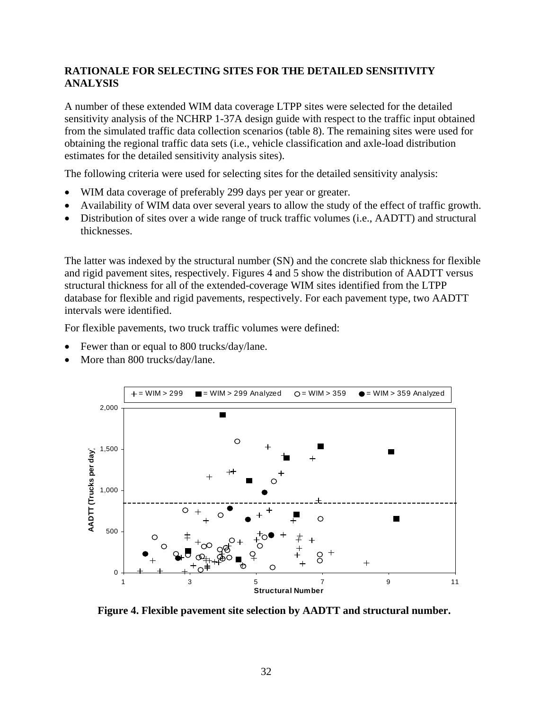### **RATIONALE FOR SELECTING SITES FOR THE DETAILED SENSITIVITY ANALYSIS**

A number of these extended WIM data coverage LTPP sites were selected for the detailed sensitivity analysis of the NCHRP 1-37A design guide with respect to the traffic input obtained from the simulated traffic data collection scenarios (table 8). The remaining sites were used for obtaining the regional traffic data sets (i.e., vehicle classification and axle-load distribution estimates for the detailed sensitivity analysis sites).

The following criteria were used for selecting sites for the detailed sensitivity analysis:

- WIM data coverage of preferably 299 days per year or greater.
- Availability of WIM data over several years to allow the study of the effect of traffic growth.
- Distribution of sites over a wide range of truck traffic volumes (i.e., AADTT) and structural thicknesses.

The latter was indexed by the structural number (SN) and the concrete slab thickness for flexible and rigid pavement sites, respectively. Figures 4 and 5 show the distribution of AADTT versus structural thickness for all of the extended-coverage WIM sites identified from the LTPP database for flexible and rigid pavements, respectively. For each pavement type, two AADTT intervals were identified.

For flexible pavements, two truck traffic volumes were defined:

- Fewer than or equal to 800 trucks/day/lane.
- More than 800 trucks/day/lane.



**Figure 4. Flexible pavement site selection by AADTT and structural number.**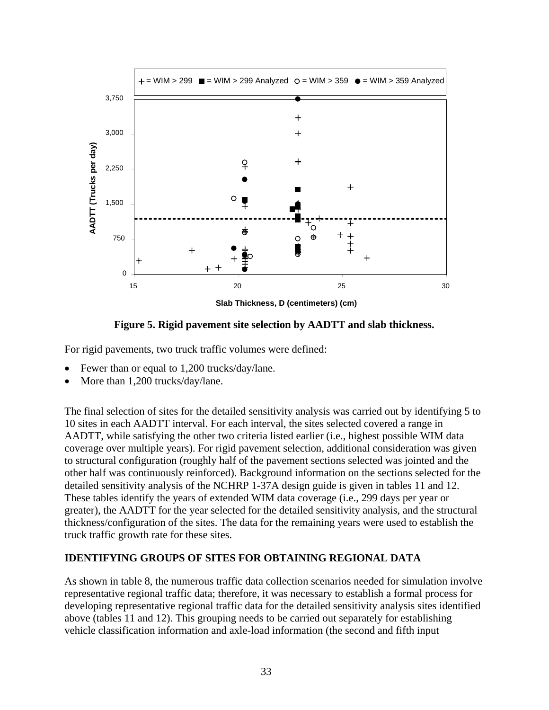

**Slab Thickness, D (centimeters) (cm)**



For rigid pavements, two truck traffic volumes were defined:

- Fewer than or equal to 1,200 trucks/day/lane.
- More than 1,200 trucks/day/lane.

The final selection of sites for the detailed sensitivity analysis was carried out by identifying 5 to 10 sites in each AADTT interval. For each interval, the sites selected covered a range in AADTT, while satisfying the other two criteria listed earlier (i.e., highest possible WIM data coverage over multiple years). For rigid pavement selection, additional consideration was given to structural configuration (roughly half of the pavement sections selected was jointed and the other half was continuously reinforced). Background information on the sections selected for the detailed sensitivity analysis of the NCHRP 1-37A design guide is given in tables 11 and 12. These tables identify the years of extended WIM data coverage (i.e., 299 days per year or greater), the AADTT for the year selected for the detailed sensitivity analysis, and the structural thickness/configuration of the sites. The data for the remaining years were used to establish the truck traffic growth rate for these sites.

### **IDENTIFYING GROUPS OF SITES FOR OBTAINING REGIONAL DATA**

As shown in table 8, the numerous traffic data collection scenarios needed for simulation involve representative regional traffic data; therefore, it was necessary to establish a formal process for developing representative regional traffic data for the detailed sensitivity analysis sites identified above (tables 11 and 12). This grouping needs to be carried out separately for establishing vehicle classification information and axle-load information (the second and fifth input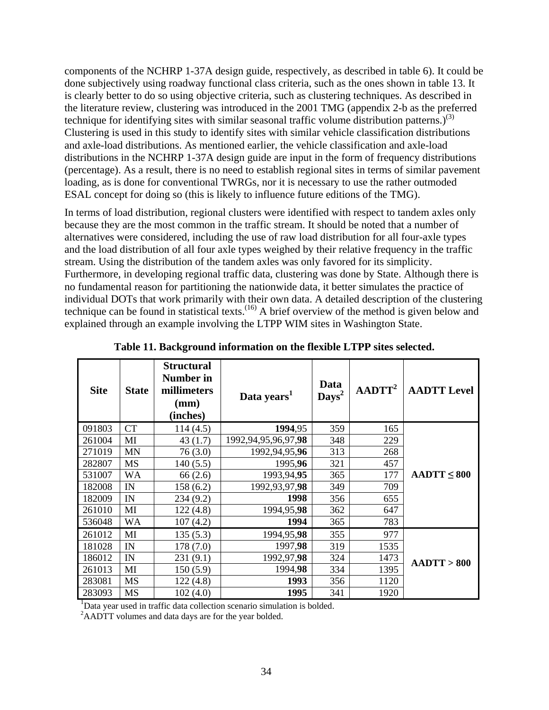components of the NCHRP 1-37A design guide, respectively, as described in table 6). It could be done subjectively using roadway functional class criteria, such as the ones shown in table 13. It is clearly better to do so using objective criteria, such as clustering techniques. As described in the literature review, clustering was introduced in the 2001 TMG (appendix 2-b as the preferred technique for identifying sites with similar seasonal traffic volume distribution patterns.)<sup>(3)</sup> Clustering is used in this study to identify sites with similar vehicle classification distributions and axle-load distributions. As mentioned earlier, the vehicle classification and axle-load distributions in the NCHRP 1-37A design guide are input in the form of frequency distributions (percentage). As a result, there is no need to establish regional sites in terms of similar pavement loading, as is done for conventional TWRGs, nor it is necessary to use the rather outmoded ESAL concept for doing so (this is likely to influence future editions of the TMG).

In terms of load distribution, regional clusters were identified with respect to tandem axles only because they are the most common in the traffic stream. It should be noted that a number of alternatives were considered, including the use of raw load distribution for all four-axle types and the load distribution of all four axle types weighed by their relative frequency in the traffic stream. Using the distribution of the tandem axles was only favored for its simplicity. Furthermore, in developing regional traffic data, clustering was done by State. Although there is no fundamental reason for partitioning the nationwide data, it better simulates the practice of individual DOTs that work primarily with their own data. A detailed description of the clustering technique can be found in statistical texts.<sup>(16)</sup> A brief overview of the method is given below and explained through an example involving the LTPP WIM sites in Washington State.

| <b>Site</b> | <b>State</b> | <b>Structural</b><br><b>Number in</b><br>millimeters<br>(mm)<br>(inches) | Data years <sup>1</sup>  | Data<br>$\mathbf{Days}^2$ | AADTT <sup>2</sup> | <b>AADTT Level</b> |
|-------------|--------------|--------------------------------------------------------------------------|--------------------------|---------------------------|--------------------|--------------------|
| 091803      | <b>CT</b>    | 114(4.5)                                                                 | 1994,95                  | 359                       | 165                |                    |
| 261004      | MI           | 43(1.7)                                                                  | 1992, 94, 95, 96, 97, 98 | 348                       | 229                |                    |
| 271019      | <b>MN</b>    | 76(3.0)                                                                  | 1992, 94, 95, 96         | 313                       | 268                |                    |
| 282807      | MS           | 140(5.5)                                                                 | 1995,96                  | 321                       | 457                |                    |
| 531007      | <b>WA</b>    | 66(2.6)                                                                  | 1993,94,95               | 365                       | 177                | $AADTT \leq 800$   |
| 182008      | IN           | 158(6.2)                                                                 | 1992, 93, 97, 98         | 349                       | 709                |                    |
| 182009      | IN           | 234 (9.2)                                                                | 1998                     | 356                       | 655                |                    |
| 261010      | MI           | 122(4.8)                                                                 | 1994, 95, 98             | 362                       | 647                |                    |
| 536048      | WA           | 107(4.2)                                                                 | 1994                     | 365                       | 783                |                    |
| 261012      | MI           | 135(5.3)                                                                 | 1994, 95, 98             | 355                       | 977                |                    |
| 181028      | IN           | 178(7.0)                                                                 | 1997,98                  | 319                       | 1535               |                    |
| 186012      | IN           | 231(9.1)                                                                 | 1992,97,98               | 324                       | 1473               | AADTT > 800        |
| 261013      | MI           | 150(5.9)                                                                 | 1994,98                  | 334                       | 1395               |                    |
| 283081      | MS           | 122(4.8)                                                                 | 1993                     | 356                       | 1120               |                    |
| 283093      | MS           | 102(4.0)                                                                 | 1995                     | 341                       | 1920               |                    |

| Table 11. Background information on the flexible LTPP sites selected. |
|-----------------------------------------------------------------------|
|-----------------------------------------------------------------------|

<sup>1</sup>Data year used in traffic data collection scenario simulation is bolded.

<sup>2</sup>AADTT volumes and data days are for the year bolded.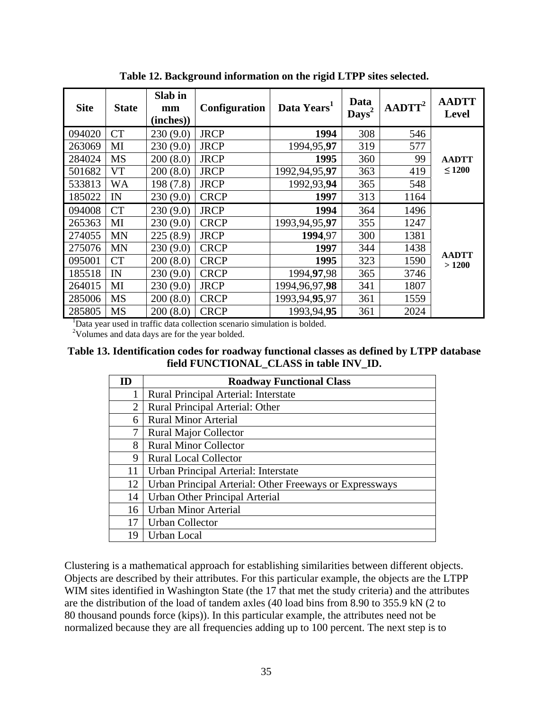| <b>Site</b> | <b>State</b> | Slab in<br>mm<br>(inches)) | <b>Configuration</b> | Data Years <sup>1</sup> | Data<br>$\mathbf{Days}^2$ | AADTT <sup>2</sup> | <b>AADTT</b><br><b>Level</b> |
|-------------|--------------|----------------------------|----------------------|-------------------------|---------------------------|--------------------|------------------------------|
| 094020      | <b>CT</b>    | 230(9.0)                   | <b>JRCP</b>          | 1994                    | 308                       | 546                |                              |
| 263069      | MI           | 230(9.0)                   | <b>JRCP</b>          | 1994,95,97              | 319                       | 577                |                              |
| 284024      | <b>MS</b>    | 200(8.0)                   | <b>JRCP</b>          | 1995                    | 360                       | 99                 | <b>AADTT</b>                 |
| 501682      | <b>VT</b>    | 200(8.0)                   | <b>JRCP</b>          | 1992, 94, 95, 97        | 363                       | 419                | $\leq 1200$                  |
| 533813      | WA           | 198 (7.8)                  | <b>JRCP</b>          | 1992,93,94              | 365                       | 548                |                              |
| 185022      | IN           | 230(9.0)                   | <b>CRCP</b>          | 1997                    | 313                       | 1164               |                              |
| 094008      | <b>CT</b>    | 230(9.0)                   | <b>JRCP</b>          | 1994                    | 364                       | 1496               |                              |
| 265363      | MI           | 230(9.0)                   | <b>CRCP</b>          | 1993, 94, 95, 97        | 355                       | 1247               |                              |
| 274055      | <b>MN</b>    | 225(8.9)                   | <b>JRCP</b>          | 1994.97                 | 300                       | 1381               |                              |
| 275076      | <b>MN</b>    | 230(9.0)                   | <b>CRCP</b>          | 1997                    | 344                       | 1438               |                              |
| 095001      | <b>CT</b>    | 200(8.0)                   | <b>CRCP</b>          | 1995                    | 323                       | 1590               | <b>AADTT</b><br>>1200        |
| 185518      | IN           | 230(9.0)                   | <b>CRCP</b>          | 1994, 97, 98            | 365                       | 3746               |                              |
| 264015      | MI           | 230(9.0)                   | <b>JRCP</b>          | 1994, 96, 97, 98        | 341                       | 1807               |                              |
| 285006      | <b>MS</b>    | 200(8.0)                   | <b>CRCP</b>          | 1993, 94, 95, 97        | 361                       | 1559               |                              |
| 285805      | <b>MS</b>    | 200(8.0)                   | <b>CRCP</b>          | 1993,94,95              | 361                       | 2024               |                              |

**Table 12. Background information on the rigid LTPP sites selected.** 

<sup>1</sup>Data year used in traffic data collection scenario simulation is bolded.

<sup>2</sup>Volumes and data days are for the year bolded.

**Table 13. Identification codes for roadway functional classes as defined by LTPP database field FUNCTIONAL\_CLASS in table INV\_ID.** 

| ID | <b>Roadway Functional Class</b>                         |
|----|---------------------------------------------------------|
|    | Rural Principal Arterial: Interstate                    |
| 2  | Rural Principal Arterial: Other                         |
| 6  | <b>Rural Minor Arterial</b>                             |
| 7  | <b>Rural Major Collector</b>                            |
| 8  | <b>Rural Minor Collector</b>                            |
| 9  | <b>Rural Local Collector</b>                            |
| 11 | Urban Principal Arterial: Interstate                    |
| 12 | Urban Principal Arterial: Other Freeways or Expressways |
| 14 | Urban Other Principal Arterial                          |
| 16 | <b>Urban Minor Arterial</b>                             |
| 17 | <b>Urban Collector</b>                                  |
| 19 | Urban Local                                             |

Clustering is a mathematical approach for establishing similarities between different objects. Objects are described by their attributes. For this particular example, the objects are the LTPP WIM sites identified in Washington State (the 17 that met the study criteria) and the attributes are the distribution of the load of tandem axles (40 load bins from 8.90 to 355.9 kN (2 to 80 thousand pounds force (kips)). In this particular example, the attributes need not be normalized because they are all frequencies adding up to 100 percent. The next step is to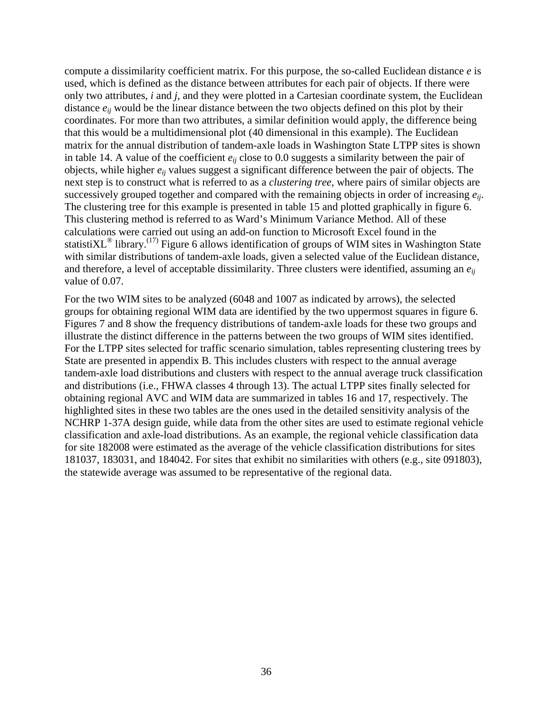compute a dissimilarity coefficient matrix. For this purpose, the so-called Euclidean distance *e* is used, which is defined as the distance between attributes for each pair of objects. If there were only two attributes, *i* and *j*, and they were plotted in a Cartesian coordinate system, the Euclidean distance *eij* would be the linear distance between the two objects defined on this plot by their coordinates. For more than two attributes, a similar definition would apply, the difference being that this would be a multidimensional plot (40 dimensional in this example). The Euclidean matrix for the annual distribution of tandem-axle loads in Washington State LTPP sites is shown in table 14. A value of the coefficient *eij* close to 0.0 suggests a similarity between the pair of objects, while higher *eij* values suggest a significant difference between the pair of objects. The next step is to construct what is referred to as a *clustering tree*, where pairs of similar objects are successively grouped together and compared with the remaining objects in order of increasing *eij*. The clustering tree for this example is presented in table 15 and plotted graphically in figure 6. This clustering method is referred to as Ward's Minimum Variance Method. All of these calculations were carried out using an add-on function to Microsoft Excel found in the statisti $\text{XL}^{\textcircled{}}$  library.<sup>(17)</sup> Figure 6 allows identification of groups of WIM sites in Washington State with similar distributions of tandem-axle loads, given a selected value of the Euclidean distance, and therefore, a level of acceptable dissimilarity. Three clusters were identified, assuming an *eij* value of 0.07.

For the two WIM sites to be analyzed (6048 and 1007 as indicated by arrows), the selected groups for obtaining regional WIM data are identified by the two uppermost squares in figure 6. Figures 7 and 8 show the frequency distributions of tandem-axle loads for these two groups and illustrate the distinct difference in the patterns between the two groups of WIM sites identified. For the LTPP sites selected for traffic scenario simulation, tables representing clustering trees by State are presented in appendix B. This includes clusters with respect to the annual average tandem-axle load distributions and clusters with respect to the annual average truck classification and distributions (i.e., FHWA classes 4 through 13). The actual LTPP sites finally selected for obtaining regional AVC and WIM data are summarized in tables 16 and 17, respectively. The highlighted sites in these two tables are the ones used in the detailed sensitivity analysis of the NCHRP 1-37A design guide, while data from the other sites are used to estimate regional vehicle classification and axle-load distributions. As an example, the regional vehicle classification data for site 182008 were estimated as the average of the vehicle classification distributions for sites 181037, 183031, and 184042. For sites that exhibit no similarities with others (e.g., site 091803), the statewide average was assumed to be representative of the regional data.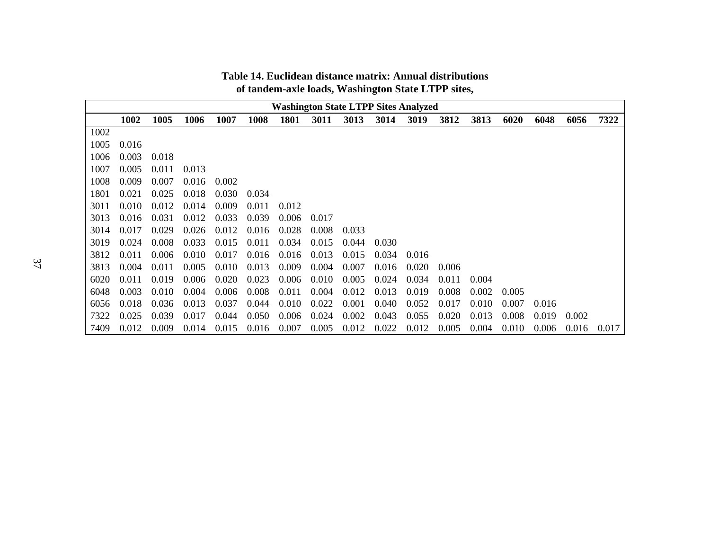|      | <b>Washington State LTPP Sites Analyzed</b> |       |       |       |       |             |       |       |       |       |       |       |       |       |       |       |
|------|---------------------------------------------|-------|-------|-------|-------|-------------|-------|-------|-------|-------|-------|-------|-------|-------|-------|-------|
|      | 1002                                        | 1005  | 1006  | 1007  | 1008  | <b>1801</b> | 3011  | 3013  | 3014  | 3019  | 3812  | 3813  | 6020  | 6048  | 6056  | 7322  |
| 1002 |                                             |       |       |       |       |             |       |       |       |       |       |       |       |       |       |       |
| 1005 | 0.016                                       |       |       |       |       |             |       |       |       |       |       |       |       |       |       |       |
| 1006 | 0.003                                       | 0.018 |       |       |       |             |       |       |       |       |       |       |       |       |       |       |
| 1007 | 0.005                                       | 0.011 | 0.013 |       |       |             |       |       |       |       |       |       |       |       |       |       |
| 1008 | 0.009                                       | 0.007 | 0.016 | 0.002 |       |             |       |       |       |       |       |       |       |       |       |       |
| 1801 | 0.021                                       | 0.025 | 0.018 | 0.030 | 0.034 |             |       |       |       |       |       |       |       |       |       |       |
| 3011 | 0.010                                       | 0.012 | 0.014 | 0.009 | 0.011 | 0.012       |       |       |       |       |       |       |       |       |       |       |
| 3013 | 0.016                                       | 0.031 | 0.012 | 0.033 | 0.039 | 0.006       | 0.017 |       |       |       |       |       |       |       |       |       |
| 3014 | 0.017                                       | 0.029 | 0.026 | 0.012 | 0.016 | 0.028       | 0.008 | 0.033 |       |       |       |       |       |       |       |       |
| 3019 | 0.024                                       | 0.008 | 0.033 | 0.015 | 0.011 | 0.034       | 0.015 | 0.044 | 0.030 |       |       |       |       |       |       |       |
| 3812 | 0.011                                       | 0.006 | 0.010 | 0.017 | 0.016 | 0.016       | 0.013 | 0.015 | 0.034 | 0.016 |       |       |       |       |       |       |
| 3813 | 0.004                                       | 0.011 | 0.005 | 0.010 | 0.013 | 0.009       | 0.004 | 0.007 | 0.016 | 0.020 | 0.006 |       |       |       |       |       |
| 6020 | 0.011                                       | 0.019 | 0.006 | 0.020 | 0.023 | 0.006       | 0.010 | 0.005 | 0.024 | 0.034 | 0.011 | 0.004 |       |       |       |       |
| 6048 | 0.003                                       | 0.010 | 0.004 | 0.006 | 0.008 | 0.011       | 0.004 | 0.012 | 0.013 | 0.019 | 0.008 | 0.002 | 0.005 |       |       |       |
| 6056 | 0.018                                       | 0.036 | 0.013 | 0.037 | 0.044 | 0.010       | 0.022 | 0.001 | 0.040 | 0.052 | 0.017 | 0.010 | 0.007 | 0.016 |       |       |
| 7322 | 0.025                                       | 0.039 | 0.017 | 0.044 | 0.050 | 0.006       | 0.024 | 0.002 | 0.043 | 0.055 | 0.020 | 0.013 | 0.008 | 0.019 | 0.002 |       |
| 7409 | 0.012                                       | 0.009 | 0.014 | 0.015 | 0.016 | 0.007       | 0.005 | 0.012 | 0.022 | 0.012 | 0.005 | 0.004 | 0.010 | 0.006 | 0.016 | 0.017 |

#### **Table 14. Euclidean distance matrix: Annual distributions of tandem-axle loads, Washington State LTPP sites,**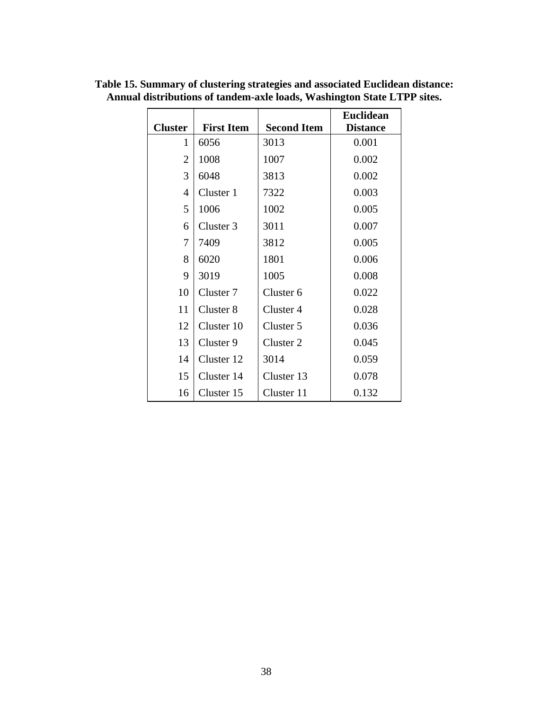|                |                   |                      | <b>Euclidean</b> |
|----------------|-------------------|----------------------|------------------|
| <b>Cluster</b> | <b>First Item</b> | <b>Second Item</b>   | <b>Distance</b>  |
| 1              | 6056              | 3013                 | 0.001            |
| $\overline{2}$ | 1008              | 1007                 | 0.002            |
| 3              | 6048              | 3813                 | 0.002            |
| 4              | Cluster 1         | 7322                 | 0.003            |
| 5              | 1006              | 1002                 | 0.005            |
| 6              | Cluster 3         | 3011                 | 0.007            |
| 7              | 7409              | 3812                 | 0.005            |
| 8              | 6020              | 1801                 | 0.006            |
| 9              | 3019              | 1005                 | 0.008            |
| 10             | Cluster 7         | Cluster <sub>6</sub> | 0.022            |
| 11             | Cluster 8         | Cluster 4            | 0.028            |
| 12             | Cluster 10        | Cluster 5            | 0.036            |
| 13             | Cluster 9         | Cluster 2            | 0.045            |
| 14             | Cluster 12        | 3014                 | 0.059            |
| 15             | Cluster 14        | Cluster 13           | 0.078            |
| 16             | Cluster 15        | Cluster 11           | 0.132            |

**Table 15. Summary of clustering strategies and associated Euclidean distance: Annual distributions of tandem-axle loads, Washington State LTPP sites.**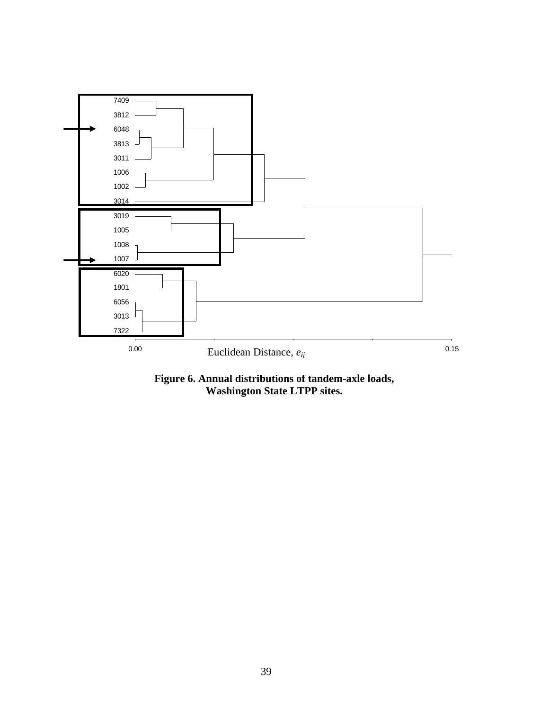

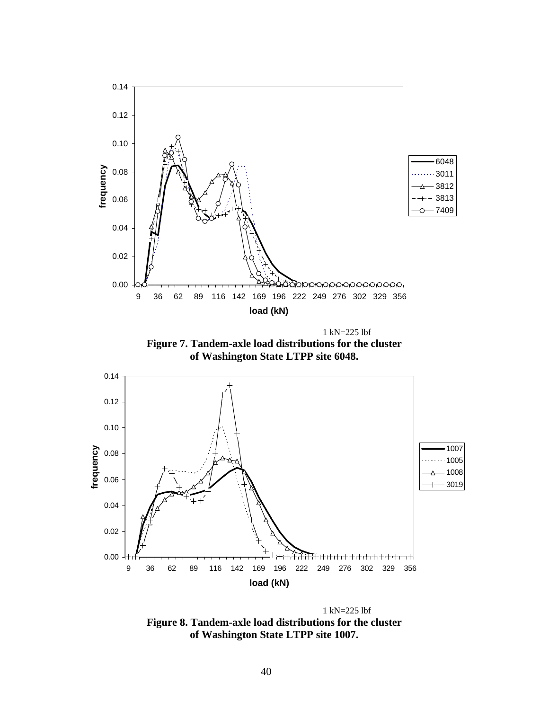

 1 kN=225 lbf **Figure 8. Tandem-axle load distributions for the cluster of Washington State LTPP site 1007.**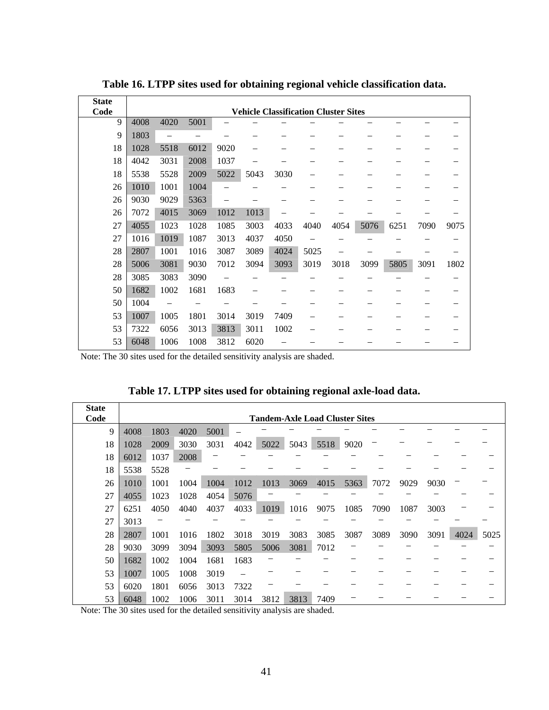| <b>State</b><br>Code |      |      |      |      |      | <b>Vehicle Classification Cluster Sites</b> |      |      |      |      |      |      |
|----------------------|------|------|------|------|------|---------------------------------------------|------|------|------|------|------|------|
| 9                    | 4008 | 4020 | 5001 |      |      |                                             |      |      |      |      |      |      |
| 9                    | 1803 |      |      |      |      |                                             |      |      |      |      |      |      |
| 18                   | 1028 | 5518 | 6012 | 9020 |      |                                             |      |      |      |      |      |      |
| 18                   | 4042 | 3031 | 2008 | 1037 |      |                                             |      |      |      |      |      |      |
| 18                   | 5538 | 5528 | 2009 | 5022 | 5043 | 3030                                        |      |      |      |      |      |      |
| 26                   | 1010 | 1001 | 1004 | -    |      |                                             |      |      |      |      |      |      |
| 26                   | 9030 | 9029 | 5363 |      |      |                                             |      |      |      |      |      |      |
| 26                   | 7072 | 4015 | 3069 | 1012 | 1013 |                                             |      |      |      |      |      |      |
| 27                   | 4055 | 1023 | 1028 | 1085 | 3003 | 4033                                        | 4040 | 4054 | 5076 | 6251 | 7090 | 9075 |
| 27                   | 1016 | 1019 | 1087 | 3013 | 4037 | 4050                                        |      |      |      |      |      |      |
| 28                   | 2807 | 1001 | 1016 | 3087 | 3089 | 4024                                        | 5025 |      |      |      |      |      |
| 28                   | 5006 | 3081 | 9030 | 7012 | 3094 | 3093                                        | 3019 | 3018 | 3099 | 5805 | 3091 | 1802 |
| 28                   | 3085 | 3083 | 3090 |      |      |                                             |      |      |      |      |      |      |
| 50                   | 1682 | 1002 | 1681 | 1683 |      |                                             |      |      |      |      |      |      |
| 50                   | 1004 |      |      |      |      |                                             |      |      |      |      |      |      |
| 53                   | 1007 | 1005 | 1801 | 3014 | 3019 | 7409                                        |      |      |      |      |      |      |
| 53                   | 7322 | 6056 | 3013 | 3813 | 3011 | 1002                                        |      |      |      |      |      |      |
| 53                   | 6048 | 1006 | 1008 | 3812 | 6020 |                                             |      |      |      |      |      |      |

**Table 16. LTPP sites used for obtaining regional vehicle classification data.** 

Note: The 30 sites used for the detailed sensitivity analysis are shaded.

**Table 17. LTPP sites used for obtaining regional axle-load data.** 

| <b>State</b> |      |      |      |      |      |      |      |                                       |      |      |      |      |      |      |
|--------------|------|------|------|------|------|------|------|---------------------------------------|------|------|------|------|------|------|
| Code         |      |      |      |      |      |      |      | <b>Tandem-Axle Load Cluster Sites</b> |      |      |      |      |      |      |
| 9            | 4008 | 1803 | 4020 | 5001 |      |      |      |                                       |      |      |      |      |      |      |
| 18           | 1028 | 2009 | 3030 | 3031 | 4042 | 5022 | 5043 | 5518                                  | 9020 |      |      |      |      |      |
| 18           | 6012 | 1037 | 2008 |      |      |      |      |                                       |      |      |      |      |      |      |
| 18           | 5538 | 5528 |      |      |      |      |      |                                       |      |      |      |      |      |      |
| 26           | 1010 | 1001 | 1004 | 1004 | 1012 | 1013 | 3069 | 4015                                  | 5363 | 7072 | 9029 | 9030 |      |      |
| 27           | 4055 | 1023 | 1028 | 4054 | 5076 |      |      |                                       |      |      |      |      |      |      |
| 27           | 6251 | 4050 | 4040 | 4037 | 4033 | 1019 | 1016 | 9075                                  | 1085 | 7090 | 1087 | 3003 |      |      |
| 27           | 3013 |      |      |      |      |      |      |                                       |      |      |      |      |      |      |
| 28           | 2807 | 1001 | 1016 | 1802 | 3018 | 3019 | 3083 | 3085                                  | 3087 | 3089 | 3090 | 3091 | 4024 | 5025 |
| 28           | 9030 | 3099 | 3094 | 3093 | 5805 | 5006 | 3081 | 7012                                  |      |      |      |      |      |      |
| 50           | 1682 | 1002 | 1004 | 1681 | 1683 |      |      |                                       |      |      |      |      |      |      |
| 53           | 1007 | 1005 | 1008 | 3019 |      |      |      |                                       |      |      |      |      |      |      |
| 53           | 6020 | 1801 | 6056 | 3013 | 7322 |      |      |                                       |      |      |      |      |      |      |
| 53           | 6048 | 1002 | 1006 | 3011 | 3014 | 3812 | 3813 | 7409                                  |      |      |      |      |      |      |

Note: The 30 sites used for the detailed sensitivity analysis are shaded.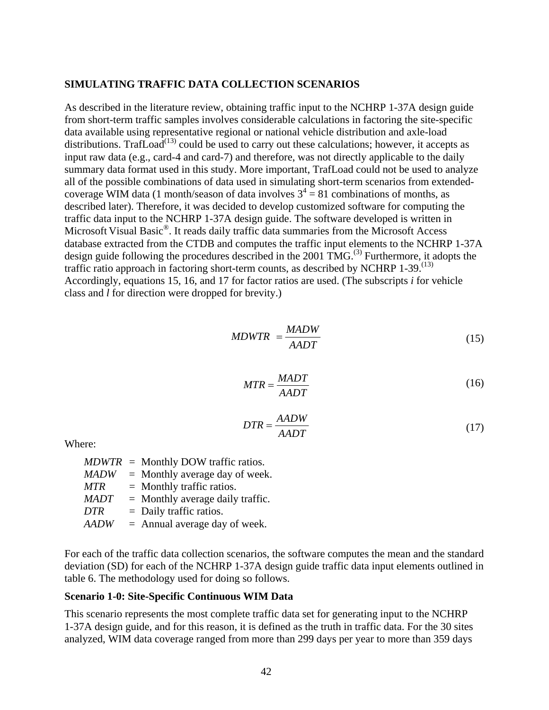#### **SIMULATING TRAFFIC DATA COLLECTION SCENARIOS**

As described in the literature review, obtaining traffic input to the NCHRP 1-37A design guide from short-term traffic samples involves considerable calculations in factoring the site-specific data available using representative regional or national vehicle distribution and axle-load distributions. TrafLoad<sup> $(13)$ </sup> could be used to carry out these calculations; however, it accepts as input raw data (e.g., card-4 and card-7) and therefore, was not directly applicable to the daily summary data format used in this study. More important, TrafLoad could not be used to analyze all of the possible combinations of data used in simulating short-term scenarios from extendedcoverage WIM data (1 month/season of data involves  $3^4 = 81$  combinations of months, as described later). Therefore, it was decided to develop customized software for computing the traffic data input to the NCHRP 1-37A design guide. The software developed is written in Microsoft Visual Basic<sup>®</sup>. It reads daily traffic data summaries from the Microsoft Access database extracted from the CTDB and computes the traffic input elements to the NCHRP 1-37A design guide following the procedures described in the  $2001 \text{ TMG}^{(3)}$  Furthermore, it adopts the traffic ratio approach in factoring short-term counts, as described by NCHRP  $1-39$ .<sup>(13)</sup> Accordingly, equations 15, 16, and 17 for factor ratios are used. (The subscripts *i* for vehicle class and *l* for direction were dropped for brevity.)

$$
MDWTR = \frac{MADW}{AADT} \tag{15}
$$

$$
MTR = \frac{MADT}{AADT}
$$
 (16)

$$
DTR = \frac{AADW}{AADT} \tag{17}
$$

Where:

|             | $MDWTR =$ Monthly DOW traffic ratios. |
|-------------|---------------------------------------|
| <b>MADW</b> | $=$ Monthly average day of week.      |
| <b>MTR</b>  | $=$ Monthly traffic ratios.           |
| <b>MADT</b> | $=$ Monthly average daily traffic.    |
| <b>DTR</b>  | $=$ Daily traffic ratios.             |
| <b>AADW</b> | $=$ Annual average day of week.       |

For each of the traffic data collection scenarios, the software computes the mean and the standard deviation (SD) for each of the NCHRP 1-37A design guide traffic data input elements outlined in table 6. The methodology used for doing so follows.

#### **Scenario 1-0: Site-Specific Continuous WIM Data**

This scenario represents the most complete traffic data set for generating input to the NCHRP 1-37A design guide, and for this reason, it is defined as the truth in traffic data. For the 30 sites analyzed, WIM data coverage ranged from more than 299 days per year to more than 359 days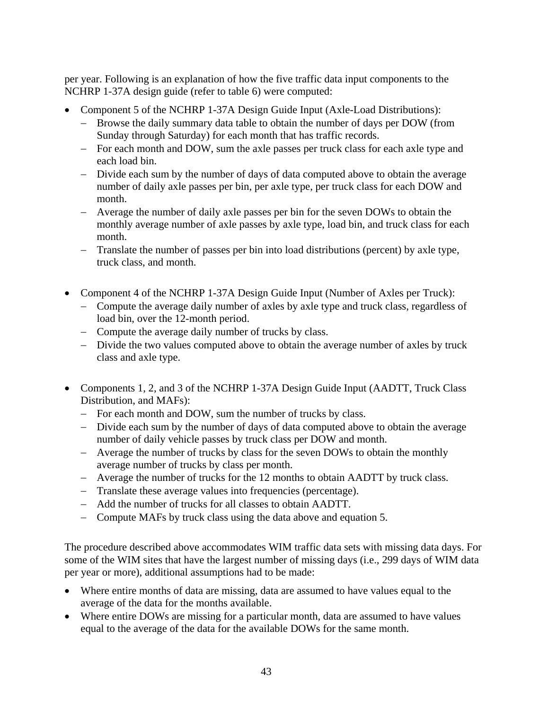per year. Following is an explanation of how the five traffic data input components to the NCHRP 1-37A design guide (refer to table 6) were computed:

- Component 5 of the NCHRP 1-37A Design Guide Input (Axle-Load Distributions):
	- − Browse the daily summary data table to obtain the number of days per DOW (from Sunday through Saturday) for each month that has traffic records.
	- − For each month and DOW, sum the axle passes per truck class for each axle type and each load bin.
	- − Divide each sum by the number of days of data computed above to obtain the average number of daily axle passes per bin, per axle type, per truck class for each DOW and month.
	- − Average the number of daily axle passes per bin for the seven DOWs to obtain the monthly average number of axle passes by axle type, load bin, and truck class for each month.
	- − Translate the number of passes per bin into load distributions (percent) by axle type, truck class, and month.
- Component 4 of the NCHRP 1-37A Design Guide Input (Number of Axles per Truck):
	- − Compute the average daily number of axles by axle type and truck class, regardless of load bin, over the 12-month period.
	- − Compute the average daily number of trucks by class.
	- − Divide the two values computed above to obtain the average number of axles by truck class and axle type.
- Components 1, 2, and 3 of the NCHRP 1-37A Design Guide Input (AADTT, Truck Class Distribution, and MAFs):
	- − For each month and DOW, sum the number of trucks by class.
	- − Divide each sum by the number of days of data computed above to obtain the average number of daily vehicle passes by truck class per DOW and month.
	- − Average the number of trucks by class for the seven DOWs to obtain the monthly average number of trucks by class per month.
	- − Average the number of trucks for the 12 months to obtain AADTT by truck class.
	- − Translate these average values into frequencies (percentage).
	- − Add the number of trucks for all classes to obtain AADTT.
	- − Compute MAFs by truck class using the data above and equation 5.

The procedure described above accommodates WIM traffic data sets with missing data days. For some of the WIM sites that have the largest number of missing days (i.e., 299 days of WIM data per year or more), additional assumptions had to be made:

- Where entire months of data are missing, data are assumed to have values equal to the average of the data for the months available.
- Where entire DOWs are missing for a particular month, data are assumed to have values equal to the average of the data for the available DOWs for the same month.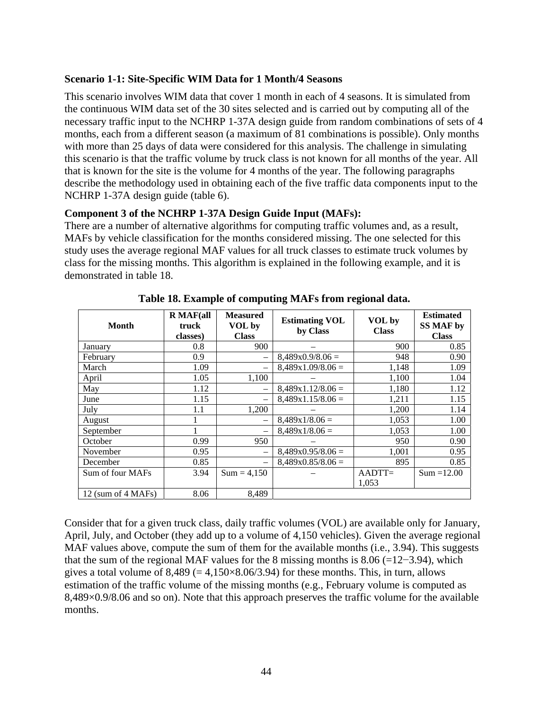#### **Scenario 1-1: Site-Specific WIM Data for 1 Month/4 Seasons**

This scenario involves WIM data that cover 1 month in each of 4 seasons. It is simulated from the continuous WIM data set of the 30 sites selected and is carried out by computing all of the necessary traffic input to the NCHRP 1-37A design guide from random combinations of sets of 4 months, each from a different season (a maximum of 81 combinations is possible). Only months with more than 25 days of data were considered for this analysis. The challenge in simulating this scenario is that the traffic volume by truck class is not known for all months of the year. All that is known for the site is the volume for 4 months of the year. The following paragraphs describe the methodology used in obtaining each of the five traffic data components input to the NCHRP 1-37A design guide (table 6).

### **Component 3 of the NCHRP 1-37A Design Guide Input (MAFs):**

There are a number of alternative algorithms for computing traffic volumes and, as a result, MAFs by vehicle classification for the months considered missing. The one selected for this study uses the average regional MAF values for all truck classes to estimate truck volumes by class for the missing months. This algorithm is explained in the following example, and it is demonstrated in table 18.

| Month              | $R$ MAF(all<br>truck<br>classes) | <b>Measured</b><br>VOL by<br><b>Class</b> | <b>Estimating VOL</b><br>by Class | VOL by<br><b>Class</b> | <b>Estimated</b><br><b>SS MAF by</b><br><b>Class</b> |
|--------------------|----------------------------------|-------------------------------------------|-----------------------------------|------------------------|------------------------------------------------------|
| January            | 0.8                              | 900                                       |                                   | 900                    | 0.85                                                 |
| February           | 0.9                              |                                           | $8,489x0.9/8.06=$                 | 948                    | 0.90                                                 |
| March              | 1.09                             |                                           | $8,489x1.09/8.06=$                | 1,148                  | 1.09                                                 |
| April              | 1.05                             | 1,100                                     |                                   | 1,100                  | 1.04                                                 |
| May                | 1.12                             |                                           | $8,489x1.12/8.06=$                | 1,180                  | 1.12                                                 |
| June               | 1.15                             |                                           | $8,489x1.15/8.06=$                | 1,211                  | 1.15                                                 |
| July               | 1.1                              | 1,200                                     |                                   | 1,200                  | 1.14                                                 |
| August             | 1                                | $\overline{\phantom{0}}$                  | $8,489x1/8.06=$                   | 1,053                  | 1.00                                                 |
| September          | 1                                | -                                         | $8,489x1/8.06=$                   | 1,053                  | 1.00                                                 |
| October            | 0.99                             | 950                                       |                                   | 950                    | 0.90                                                 |
| November           | 0.95                             |                                           | $8,489x0.95/8.06=$                | 1,001                  | 0.95                                                 |
| December           | 0.85                             |                                           | $8,489x0.85/8.06=$                | 895                    | 0.85                                                 |
| Sum of four MAFs   | 3.94                             | $Sum = 4,150$                             |                                   | $AADTT=$               | $Sum = 12.00$                                        |
|                    |                                  |                                           |                                   | 1,053                  |                                                      |
| 12 (sum of 4 MAFs) | 8.06                             | 8,489                                     |                                   |                        |                                                      |

**Table 18. Example of computing MAFs from regional data.** 

Consider that for a given truck class, daily traffic volumes (VOL) are available only for January, April, July, and October (they add up to a volume of 4,150 vehicles). Given the average regional MAF values above, compute the sum of them for the available months (i.e., 3.94). This suggests that the sum of the regional MAF values for the 8 missing months is  $8.06$  (=12−3.94), which gives a total volume of  $8,489 (= 4,150 \times 8.06/3.94)$  for these months. This, in turn, allows estimation of the traffic volume of the missing months (e.g., February volume is computed as 8,489×0.9/8.06 and so on). Note that this approach preserves the traffic volume for the available months.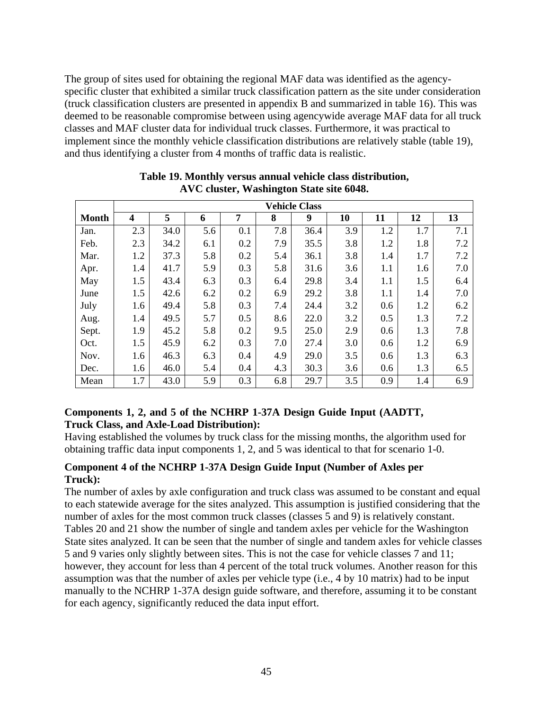The group of sites used for obtaining the regional MAF data was identified as the agencyspecific cluster that exhibited a similar truck classification pattern as the site under consideration (truck classification clusters are presented in appendix B and summarized in table 16). This was deemed to be reasonable compromise between using agencywide average MAF data for all truck classes and MAF cluster data for individual truck classes. Furthermore, it was practical to implement since the monthly vehicle classification distributions are relatively stable (table 19), and thus identifying a cluster from 4 months of traffic data is realistic.

|              | <b>Vehicle Class</b>    |      |     |     |     |      |     |     |     |     |
|--------------|-------------------------|------|-----|-----|-----|------|-----|-----|-----|-----|
| <b>Month</b> | $\overline{\mathbf{4}}$ | 5    | 6   | 7   | 8   | 9    | 10  | 11  | 12  | 13  |
| Jan.         | 2.3                     | 34.0 | 5.6 | 0.1 | 7.8 | 36.4 | 3.9 | 1.2 | 1.7 | 7.1 |
| Feb.         | 2.3                     | 34.2 | 6.1 | 0.2 | 7.9 | 35.5 | 3.8 | 1.2 | 1.8 | 7.2 |
| Mar.         | 1.2                     | 37.3 | 5.8 | 0.2 | 5.4 | 36.1 | 3.8 | 1.4 | 1.7 | 7.2 |
| Apr.         | 1.4                     | 41.7 | 5.9 | 0.3 | 5.8 | 31.6 | 3.6 | 1.1 | 1.6 | 7.0 |
| May          | 1.5                     | 43.4 | 6.3 | 0.3 | 6.4 | 29.8 | 3.4 | 1.1 | 1.5 | 6.4 |
| June         | 1.5                     | 42.6 | 6.2 | 0.2 | 6.9 | 29.2 | 3.8 | 1.1 | 1.4 | 7.0 |
| July         | 1.6                     | 49.4 | 5.8 | 0.3 | 7.4 | 24.4 | 3.2 | 0.6 | 1.2 | 6.2 |
| Aug.         | 1.4                     | 49.5 | 5.7 | 0.5 | 8.6 | 22.0 | 3.2 | 0.5 | 1.3 | 7.2 |
| Sept.        | 1.9                     | 45.2 | 5.8 | 0.2 | 9.5 | 25.0 | 2.9 | 0.6 | 1.3 | 7.8 |
| Oct.         | 1.5                     | 45.9 | 6.2 | 0.3 | 7.0 | 27.4 | 3.0 | 0.6 | 1.2 | 6.9 |
| Nov.         | 1.6                     | 46.3 | 6.3 | 0.4 | 4.9 | 29.0 | 3.5 | 0.6 | 1.3 | 6.3 |
| Dec.         | 1.6                     | 46.0 | 5.4 | 0.4 | 4.3 | 30.3 | 3.6 | 0.6 | 1.3 | 6.5 |
| Mean         | 1.7                     | 43.0 | 5.9 | 0.3 | 6.8 | 29.7 | 3.5 | 0.9 | 1.4 | 6.9 |

#### **Table 19. Monthly versus annual vehicle class distribution, AVC cluster, Washington State site 6048.**

### **Components 1, 2, and 5 of the NCHRP 1-37A Design Guide Input (AADTT, Truck Class, and Axle-Load Distribution):**

Having established the volumes by truck class for the missing months, the algorithm used for obtaining traffic data input components 1, 2, and 5 was identical to that for scenario 1-0.

### **Component 4 of the NCHRP 1-37A Design Guide Input (Number of Axles per Truck):**

The number of axles by axle configuration and truck class was assumed to be constant and equal to each statewide average for the sites analyzed. This assumption is justified considering that the number of axles for the most common truck classes (classes 5 and 9) is relatively constant. Tables 20 and 21 show the number of single and tandem axles per vehicle for the Washington State sites analyzed. It can be seen that the number of single and tandem axles for vehicle classes 5 and 9 varies only slightly between sites. This is not the case for vehicle classes 7 and 11; however, they account for less than 4 percent of the total truck volumes. Another reason for this assumption was that the number of axles per vehicle type (i.e., 4 by 10 matrix) had to be input manually to the NCHRP 1-37A design guide software, and therefore, assuming it to be constant for each agency, significantly reduced the data input effort.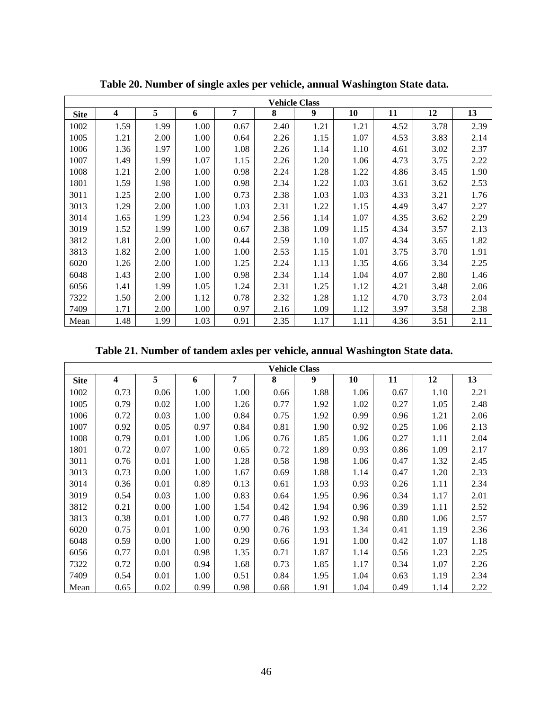|             | <b>Vehicle Class</b>    |      |      |      |      |      |      |      |      |      |
|-------------|-------------------------|------|------|------|------|------|------|------|------|------|
| <b>Site</b> | $\overline{\mathbf{4}}$ | 5    | 6    | 7    | 8    | 9    | 10   | 11   | 12   | 13   |
| 1002        | 1.59                    | 1.99 | 1.00 | 0.67 | 2.40 | 1.21 | 1.21 | 4.52 | 3.78 | 2.39 |
| 1005        | 1.21                    | 2.00 | 1.00 | 0.64 | 2.26 | 1.15 | 1.07 | 4.53 | 3.83 | 2.14 |
| 1006        | 1.36                    | 1.97 | 1.00 | 1.08 | 2.26 | 1.14 | 1.10 | 4.61 | 3.02 | 2.37 |
| 1007        | 1.49                    | 1.99 | 1.07 | 1.15 | 2.26 | 1.20 | 1.06 | 4.73 | 3.75 | 2.22 |
| 1008        | 1.21                    | 2.00 | 1.00 | 0.98 | 2.24 | 1.28 | 1.22 | 4.86 | 3.45 | 1.90 |
| 1801        | 1.59                    | 1.98 | 1.00 | 0.98 | 2.34 | 1.22 | 1.03 | 3.61 | 3.62 | 2.53 |
| 3011        | 1.25                    | 2.00 | 1.00 | 0.73 | 2.38 | 1.03 | 1.03 | 4.33 | 3.21 | 1.76 |
| 3013        | 1.29                    | 2.00 | 1.00 | 1.03 | 2.31 | 1.22 | 1.15 | 4.49 | 3.47 | 2.27 |
| 3014        | 1.65                    | 1.99 | 1.23 | 0.94 | 2.56 | 1.14 | 1.07 | 4.35 | 3.62 | 2.29 |
| 3019        | 1.52                    | 1.99 | 1.00 | 0.67 | 2.38 | 1.09 | 1.15 | 4.34 | 3.57 | 2.13 |
| 3812        | 1.81                    | 2.00 | 1.00 | 0.44 | 2.59 | 1.10 | 1.07 | 4.34 | 3.65 | 1.82 |
| 3813        | 1.82                    | 2.00 | 1.00 | 1.00 | 2.53 | 1.15 | 1.01 | 3.75 | 3.70 | 1.91 |
| 6020        | 1.26                    | 2.00 | 1.00 | 1.25 | 2.24 | 1.13 | 1.35 | 4.66 | 3.34 | 2.25 |
| 6048        | 1.43                    | 2.00 | 1.00 | 0.98 | 2.34 | 1.14 | 1.04 | 4.07 | 2.80 | 1.46 |
| 6056        | 1.41                    | 1.99 | 1.05 | 1.24 | 2.31 | 1.25 | 1.12 | 4.21 | 3.48 | 2.06 |
| 7322        | 1.50                    | 2.00 | 1.12 | 0.78 | 2.32 | 1.28 | 1.12 | 4.70 | 3.73 | 2.04 |
| 7409        | 1.71                    | 2.00 | 1.00 | 0.97 | 2.16 | 1.09 | 1.12 | 3.97 | 3.58 | 2.38 |
| Mean        | 1.48                    | 1.99 | 1.03 | 0.91 | 2.35 | 1.17 | 1.11 | 4.36 | 3.51 | 2.11 |

**Table 20. Number of single axles per vehicle, annual Washington State data.** 

**Table 21. Number of tandem axles per vehicle, annual Washington State data.** 

|             | <b>Vehicle Class</b> |      |      |      |      |      |      |      |      |      |
|-------------|----------------------|------|------|------|------|------|------|------|------|------|
| <b>Site</b> | 4                    | 5    | 6    | 7    | 8    | 9    | 10   | 11   | 12   | 13   |
| 1002        | 0.73                 | 0.06 | 1.00 | 1.00 | 0.66 | 1.88 | 1.06 | 0.67 | 1.10 | 2.21 |
| 1005        | 0.79                 | 0.02 | 1.00 | 1.26 | 0.77 | 1.92 | 1.02 | 0.27 | 1.05 | 2.48 |
| 1006        | 0.72                 | 0.03 | 1.00 | 0.84 | 0.75 | 1.92 | 0.99 | 0.96 | 1.21 | 2.06 |
| 1007        | 0.92                 | 0.05 | 0.97 | 0.84 | 0.81 | 1.90 | 0.92 | 0.25 | 1.06 | 2.13 |
| 1008        | 0.79                 | 0.01 | 1.00 | 1.06 | 0.76 | 1.85 | 1.06 | 0.27 | 1.11 | 2.04 |
| 1801        | 0.72                 | 0.07 | 1.00 | 0.65 | 0.72 | 1.89 | 0.93 | 0.86 | 1.09 | 2.17 |
| 3011        | 0.76                 | 0.01 | 1.00 | 1.28 | 0.58 | 1.98 | 1.06 | 0.47 | 1.32 | 2.45 |
| 3013        | 0.73                 | 0.00 | 1.00 | 1.67 | 0.69 | 1.88 | 1.14 | 0.47 | 1.20 | 2.33 |
| 3014        | 0.36                 | 0.01 | 0.89 | 0.13 | 0.61 | 1.93 | 0.93 | 0.26 | 1.11 | 2.34 |
| 3019        | 0.54                 | 0.03 | 1.00 | 0.83 | 0.64 | 1.95 | 0.96 | 0.34 | 1.17 | 2.01 |
| 3812        | 0.21                 | 0.00 | 1.00 | 1.54 | 0.42 | 1.94 | 0.96 | 0.39 | 1.11 | 2.52 |
| 3813        | 0.38                 | 0.01 | 1.00 | 0.77 | 0.48 | 1.92 | 0.98 | 0.80 | 1.06 | 2.57 |
| 6020        | 0.75                 | 0.01 | 1.00 | 0.90 | 0.76 | 1.93 | 1.34 | 0.41 | 1.19 | 2.36 |
| 6048        | 0.59                 | 0.00 | 1.00 | 0.29 | 0.66 | 1.91 | 1.00 | 0.42 | 1.07 | 1.18 |
| 6056        | 0.77                 | 0.01 | 0.98 | 1.35 | 0.71 | 1.87 | 1.14 | 0.56 | 1.23 | 2.25 |
| 7322        | 0.72                 | 0.00 | 0.94 | 1.68 | 0.73 | 1.85 | 1.17 | 0.34 | 1.07 | 2.26 |
| 7409        | 0.54                 | 0.01 | 1.00 | 0.51 | 0.84 | 1.95 | 1.04 | 0.63 | 1.19 | 2.34 |
| Mean        | 0.65                 | 0.02 | 0.99 | 0.98 | 0.68 | 1.91 | 1.04 | 0.49 | 1.14 | 2.22 |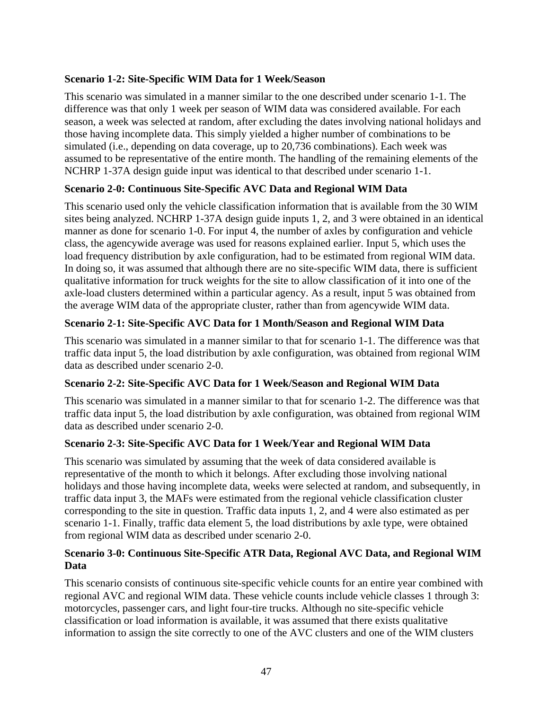### **Scenario 1-2: Site-Specific WIM Data for 1 Week/Season**

This scenario was simulated in a manner similar to the one described under scenario 1-1. The difference was that only 1 week per season of WIM data was considered available. For each season, a week was selected at random, after excluding the dates involving national holidays and those having incomplete data. This simply yielded a higher number of combinations to be simulated (i.e., depending on data coverage, up to 20,736 combinations). Each week was assumed to be representative of the entire month. The handling of the remaining elements of the NCHRP 1-37A design guide input was identical to that described under scenario 1-1.

### **Scenario 2-0: Continuous Site-Specific AVC Data and Regional WIM Data**

This scenario used only the vehicle classification information that is available from the 30 WIM sites being analyzed. NCHRP 1-37A design guide inputs 1, 2, and 3 were obtained in an identical manner as done for scenario 1-0. For input 4, the number of axles by configuration and vehicle class, the agencywide average was used for reasons explained earlier. Input 5, which uses the load frequency distribution by axle configuration, had to be estimated from regional WIM data. In doing so, it was assumed that although there are no site-specific WIM data, there is sufficient qualitative information for truck weights for the site to allow classification of it into one of the axle-load clusters determined within a particular agency. As a result, input 5 was obtained from the average WIM data of the appropriate cluster, rather than from agencywide WIM data.

# **Scenario 2-1: Site-Specific AVC Data for 1 Month/Season and Regional WIM Data**

This scenario was simulated in a manner similar to that for scenario 1-1. The difference was that traffic data input 5, the load distribution by axle configuration, was obtained from regional WIM data as described under scenario 2-0.

# **Scenario 2-2: Site-Specific AVC Data for 1 Week/Season and Regional WIM Data**

This scenario was simulated in a manner similar to that for scenario 1-2. The difference was that traffic data input 5, the load distribution by axle configuration, was obtained from regional WIM data as described under scenario 2-0.

# **Scenario 2-3: Site-Specific AVC Data for 1 Week/Year and Regional WIM Data**

This scenario was simulated by assuming that the week of data considered available is representative of the month to which it belongs. After excluding those involving national holidays and those having incomplete data, weeks were selected at random, and subsequently, in traffic data input 3, the MAFs were estimated from the regional vehicle classification cluster corresponding to the site in question. Traffic data inputs 1, 2, and 4 were also estimated as per scenario 1-1. Finally, traffic data element 5, the load distributions by axle type, were obtained from regional WIM data as described under scenario 2-0.

### **Scenario 3-0: Continuous Site-Specific ATR Data, Regional AVC Data, and Regional WIM Data**

This scenario consists of continuous site-specific vehicle counts for an entire year combined with regional AVC and regional WIM data. These vehicle counts include vehicle classes 1 through 3: motorcycles, passenger cars, and light four-tire trucks. Although no site-specific vehicle classification or load information is available, it was assumed that there exists qualitative information to assign the site correctly to one of the AVC clusters and one of the WIM clusters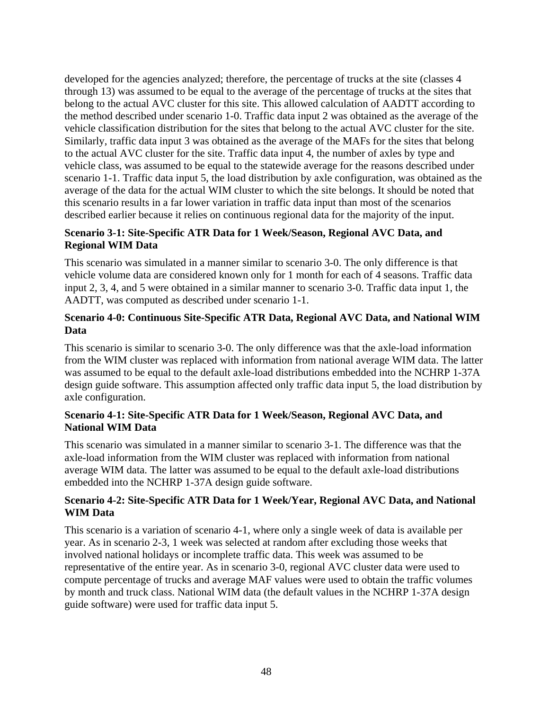developed for the agencies analyzed; therefore, the percentage of trucks at the site (classes 4 through 13) was assumed to be equal to the average of the percentage of trucks at the sites that belong to the actual AVC cluster for this site. This allowed calculation of AADTT according to the method described under scenario 1-0. Traffic data input 2 was obtained as the average of the vehicle classification distribution for the sites that belong to the actual AVC cluster for the site. Similarly, traffic data input 3 was obtained as the average of the MAFs for the sites that belong to the actual AVC cluster for the site. Traffic data input 4, the number of axles by type and vehicle class, was assumed to be equal to the statewide average for the reasons described under scenario 1-1. Traffic data input 5, the load distribution by axle configuration, was obtained as the average of the data for the actual WIM cluster to which the site belongs. It should be noted that this scenario results in a far lower variation in traffic data input than most of the scenarios described earlier because it relies on continuous regional data for the majority of the input.

### **Scenario 3-1: Site-Specific ATR Data for 1 Week/Season, Regional AVC Data, and Regional WIM Data**

This scenario was simulated in a manner similar to scenario 3-0. The only difference is that vehicle volume data are considered known only for 1 month for each of 4 seasons. Traffic data input 2, 3, 4, and 5 were obtained in a similar manner to scenario 3-0. Traffic data input 1, the AADTT, was computed as described under scenario 1-1.

### **Scenario 4-0: Continuous Site-Specific ATR Data, Regional AVC Data, and National WIM Data**

This scenario is similar to scenario 3-0. The only difference was that the axle-load information from the WIM cluster was replaced with information from national average WIM data. The latter was assumed to be equal to the default axle-load distributions embedded into the NCHRP 1-37A design guide software. This assumption affected only traffic data input 5, the load distribution by axle configuration.

### **Scenario 4-1: Site-Specific ATR Data for 1 Week/Season, Regional AVC Data, and National WIM Data**

This scenario was simulated in a manner similar to scenario 3-1. The difference was that the axle-load information from the WIM cluster was replaced with information from national average WIM data. The latter was assumed to be equal to the default axle-load distributions embedded into the NCHRP 1-37A design guide software.

### **Scenario 4-2: Site-Specific ATR Data for 1 Week/Year, Regional AVC Data, and National WIM Data**

This scenario is a variation of scenario 4-1, where only a single week of data is available per year. As in scenario 2-3, 1 week was selected at random after excluding those weeks that involved national holidays or incomplete traffic data. This week was assumed to be representative of the entire year. As in scenario 3-0, regional AVC cluster data were used to compute percentage of trucks and average MAF values were used to obtain the traffic volumes by month and truck class. National WIM data (the default values in the NCHRP 1-37A design guide software) were used for traffic data input 5.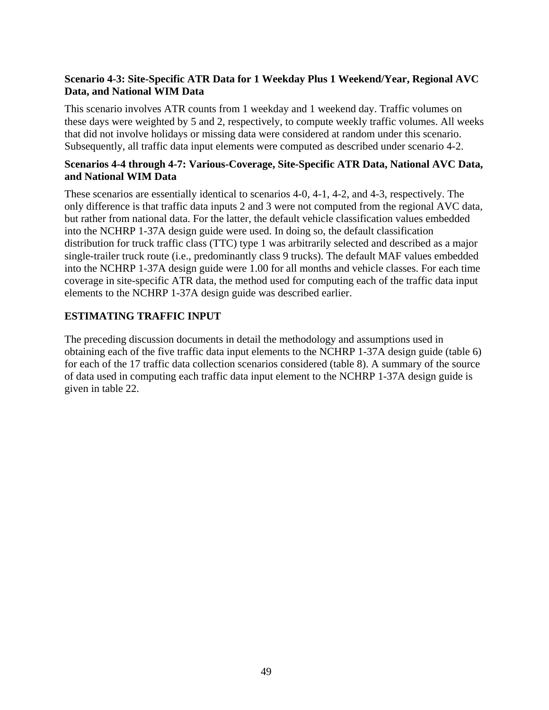### **Scenario 4-3: Site-Specific ATR Data for 1 Weekday Plus 1 Weekend/Year, Regional AVC Data, and National WIM Data**

This scenario involves ATR counts from 1 weekday and 1 weekend day. Traffic volumes on these days were weighted by 5 and 2, respectively, to compute weekly traffic volumes. All weeks that did not involve holidays or missing data were considered at random under this scenario. Subsequently, all traffic data input elements were computed as described under scenario 4-2.

### **Scenarios 4-4 through 4-7: Various-Coverage, Site-Specific ATR Data, National AVC Data, and National WIM Data**

These scenarios are essentially identical to scenarios 4-0, 4-1, 4-2, and 4-3, respectively. The only difference is that traffic data inputs 2 and 3 were not computed from the regional AVC data, but rather from national data. For the latter, the default vehicle classification values embedded into the NCHRP 1-37A design guide were used. In doing so, the default classification distribution for truck traffic class (TTC) type 1 was arbitrarily selected and described as a major single-trailer truck route (i.e., predominantly class 9 trucks). The default MAF values embedded into the NCHRP 1-37A design guide were 1.00 for all months and vehicle classes. For each time coverage in site-specific ATR data, the method used for computing each of the traffic data input elements to the NCHRP 1-37A design guide was described earlier.

# **ESTIMATING TRAFFIC INPUT**

The preceding discussion documents in detail the methodology and assumptions used in obtaining each of the five traffic data input elements to the NCHRP 1-37A design guide (table 6) for each of the 17 traffic data collection scenarios considered (table 8). A summary of the source of data used in computing each traffic data input element to the NCHRP 1-37A design guide is given in table 22.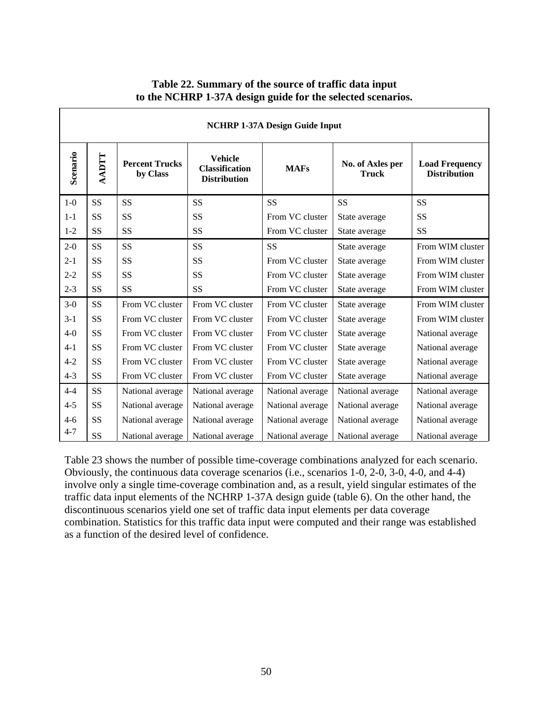|                 | <b>NCHRP 1-37A Design Guide Input</b> |                                   |                                                                |                  |                                  |                                              |  |
|-----------------|---------------------------------------|-----------------------------------|----------------------------------------------------------------|------------------|----------------------------------|----------------------------------------------|--|
| <b>Scenario</b> | TICKY                                 | <b>Percent Trucks</b><br>by Class | <b>Vehicle</b><br><b>Classification</b><br><b>Distribution</b> | <b>MAFs</b>      | No. of Axles per<br><b>Truck</b> | <b>Load Frequency</b><br><b>Distribution</b> |  |
| $1-0$           | SS                                    | <b>SS</b>                         | SS                                                             | <b>SS</b>        | <b>SS</b>                        | <b>SS</b>                                    |  |
| $1-1$           | SS                                    | SS                                | <b>SS</b>                                                      | From VC cluster  | State average                    | <b>SS</b>                                    |  |
| $1 - 2$         | SS                                    | SS                                | SS                                                             | From VC cluster  | State average                    | <b>SS</b>                                    |  |
| $2 - 0$         | SS                                    | SS                                | SS                                                             | <b>SS</b>        | State average                    | From WIM cluster                             |  |
| $2 - 1$         | SS                                    | SS                                | <b>SS</b>                                                      | From VC cluster  | State average                    | From WIM cluster                             |  |
| $2 - 2$         | SS                                    | SS                                | SS                                                             | From VC cluster  | State average                    | From WIM cluster                             |  |
| $2 - 3$         | SS                                    | SS                                | <b>SS</b>                                                      | From VC cluster  | State average                    | From WIM cluster                             |  |
| $3-0$           | SS                                    | From VC cluster                   | From VC cluster                                                | From VC cluster  | State average                    | From WIM cluster                             |  |
| $3-1$           | SS                                    | From VC cluster                   | From VC cluster                                                | From VC cluster  | State average                    | From WIM cluster                             |  |
| $4-0$           | SS                                    | From VC cluster                   | From VC cluster                                                | From VC cluster  | State average                    | National average                             |  |
| $4 - 1$         | SS                                    | From VC cluster                   | From VC cluster                                                | From VC cluster  | State average                    | National average                             |  |
| $4 - 2$         | SS                                    | From VC cluster                   | From VC cluster                                                | From VC cluster  | State average                    | National average                             |  |
| $4 - 3$         | SS                                    | From VC cluster                   | From VC cluster                                                | From VC cluster  | State average                    | National average                             |  |
| $4 - 4$         | SS                                    | National average                  | National average                                               | National average | National average                 | National average                             |  |
| $4 - 5$         | SS                                    | National average                  | National average                                               | National average | National average                 | National average                             |  |
| $4 - 6$         | SS                                    | National average                  | National average                                               | National average | National average                 | National average                             |  |
| $4 - 7$         | SS                                    | National average                  | National average                                               | National average | National average                 | National average                             |  |

### **Table 22. Summary of the source of traffic data input to the NCHRP 1-37A design guide for the selected scenarios.**

Table 23 shows the number of possible time-coverage combinations analyzed for each scenario. Obviously, the continuous data coverage scenarios (i.e., scenarios 1-0, 2-0, 3-0, 4-0, and 4-4) involve only a single time-coverage combination and, as a result, yield singular estimates of the traffic data input elements of the NCHRP 1-37A design guide (table 6). On the other hand, the discontinuous scenarios yield one set of traffic data input elements per data coverage combination. Statistics for this traffic data input were computed and their range was established as a function of the desired level of confidence.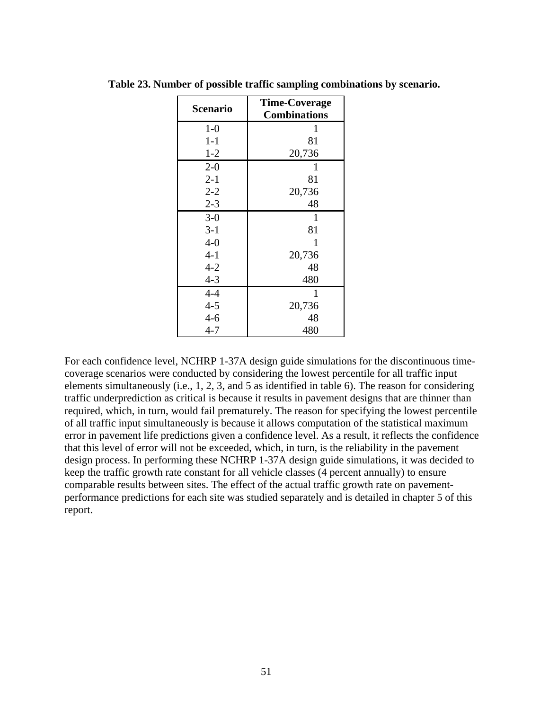| <b>Scenario</b> | <b>Time-Coverage</b> |
|-----------------|----------------------|
|                 | <b>Combinations</b>  |
| $1-0$           | 1                    |
| $1 - 1$         | 81                   |
| $1 - 2$         | 20,736               |
| $2 - 0$         | 1                    |
| $2 - 1$         | 81                   |
| $2 - 2$         | 20,736               |
| $2 - 3$         | 48                   |
| $3-0$           | 1                    |
| $3-1$           | 81                   |
| $4 - 0$         | 1                    |
| $4 - 1$         | 20,736               |
| $4 - 2$         | 48                   |
| $4 - 3$         | 480                  |
| $4 - 4$         | $\mathbf{1}$         |
| $4 - 5$         | 20,736               |
| $4 - 6$         | 48                   |
| $4 - 7$         | 480                  |

**Table 23. Number of possible traffic sampling combinations by scenario.** 

For each confidence level, NCHRP 1-37A design guide simulations for the discontinuous timecoverage scenarios were conducted by considering the lowest percentile for all traffic input elements simultaneously (i.e., 1, 2, 3, and 5 as identified in table 6). The reason for considering traffic underprediction as critical is because it results in pavement designs that are thinner than required, which, in turn, would fail prematurely. The reason for specifying the lowest percentile of all traffic input simultaneously is because it allows computation of the statistical maximum error in pavement life predictions given a confidence level. As a result, it reflects the confidence that this level of error will not be exceeded, which, in turn, is the reliability in the pavement design process. In performing these NCHRP 1-37A design guide simulations, it was decided to keep the traffic growth rate constant for all vehicle classes (4 percent annually) to ensure comparable results between sites. The effect of the actual traffic growth rate on pavementperformance predictions for each site was studied separately and is detailed in chapter 5 of this report.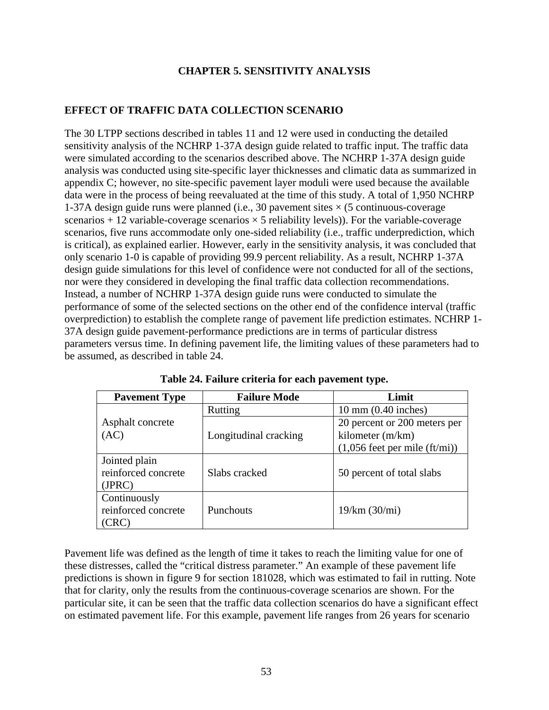### **CHAPTER 5. SENSITIVITY ANALYSIS**

### **EFFECT OF TRAFFIC DATA COLLECTION SCENARIO**

The 30 LTPP sections described in tables 11 and 12 were used in conducting the detailed sensitivity analysis of the NCHRP 1-37A design guide related to traffic input. The traffic data were simulated according to the scenarios described above. The NCHRP 1-37A design guide analysis was conducted using site-specific layer thicknesses and climatic data as summarized in appendix C; however, no site-specific pavement layer moduli were used because the available data were in the process of being reevaluated at the time of this study. A total of 1,950 NCHRP 1-37A design guide runs were planned (i.e., 30 pavement sites  $\times$  (5 continuous-coverage scenarios  $+ 12$  variable-coverage scenarios  $\times$  5 reliability levels)). For the variable-coverage scenarios, five runs accommodate only one-sided reliability (i.e., traffic underprediction, which is critical), as explained earlier. However, early in the sensitivity analysis, it was concluded that only scenario 1-0 is capable of providing 99.9 percent reliability. As a result, NCHRP 1-37A design guide simulations for this level of confidence were not conducted for all of the sections, nor were they considered in developing the final traffic data collection recommendations. Instead, a number of NCHRP 1-37A design guide runs were conducted to simulate the performance of some of the selected sections on the other end of the confidence interval (traffic overprediction) to establish the complete range of pavement life prediction estimates. NCHRP 1- 37A design guide pavement-performance predictions are in terms of particular distress parameters versus time. In defining pavement life, the limiting values of these parameters had to be assumed, as described in table 24.

| <b>Pavement Type</b>                                                    | <b>Failure Mode</b>   | Limit                              |  |
|-------------------------------------------------------------------------|-----------------------|------------------------------------|--|
|                                                                         | <b>Rutting</b>        | $10 \text{ mm}$ (0.40 inches)      |  |
| Asphalt concrete                                                        |                       | 20 percent or 200 meters per       |  |
| (AC)                                                                    | Longitudinal cracking | kilometer (m/km)                   |  |
|                                                                         |                       | $(1,056$ feet per mile $(ft/min))$ |  |
| Jointed plain<br>reinforced concrete<br>(JPRC)                          | Slabs cracked         | 50 percent of total slabs          |  |
| Continuously<br>reinforced concrete<br>$\mathbb{C}\mathrm{R}\mathrm{C}$ | <b>Punchouts</b>      | 19/km (30/mi)                      |  |

**Table 24. Failure criteria for each pavement type.** 

Pavement life was defined as the length of time it takes to reach the limiting value for one of these distresses, called the "critical distress parameter." An example of these pavement life predictions is shown in figure 9 for section 181028, which was estimated to fail in rutting. Note that for clarity, only the results from the continuous-coverage scenarios are shown. For the particular site, it can be seen that the traffic data collection scenarios do have a significant effect on estimated pavement life. For this example, pavement life ranges from 26 years for scenario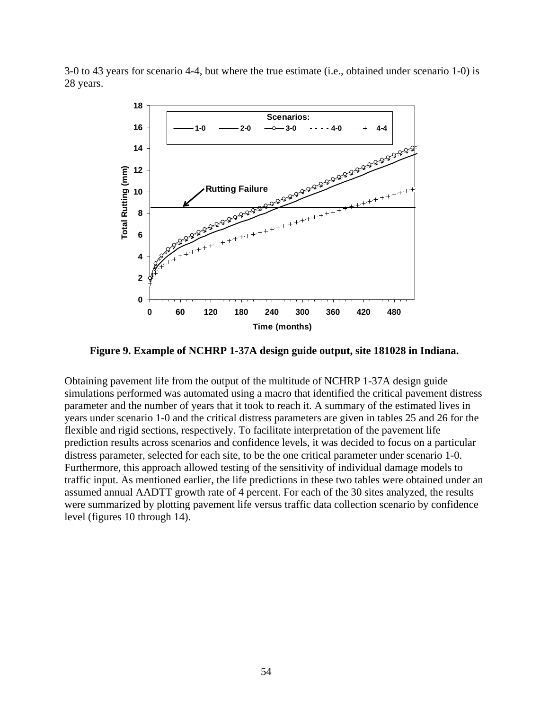3-0 to 43 years for scenario 4-4, but where the true estimate (i.e., obtained under scenario 1-0) is 28 years.



**Figure 9. Example of NCHRP 1-37A design guide output, site 181028 in Indiana.** 

Obtaining pavement life from the output of the multitude of NCHRP 1-37A design guide simulations performed was automated using a macro that identified the critical pavement distress parameter and the number of years that it took to reach it. A summary of the estimated lives in years under scenario 1-0 and the critical distress parameters are given in tables 25 and 26 for the flexible and rigid sections, respectively. To facilitate interpretation of the pavement life prediction results across scenarios and confidence levels, it was decided to focus on a particular distress parameter, selected for each site, to be the one critical parameter under scenario 1-0. Furthermore, this approach allowed testing of the sensitivity of individual damage models to traffic input. As mentioned earlier, the life predictions in these two tables were obtained under an assumed annual AADTT growth rate of 4 percent. For each of the 30 sites analyzed, the results were summarized by plotting pavement life versus traffic data collection scenario by confidence level (figures 10 through 14).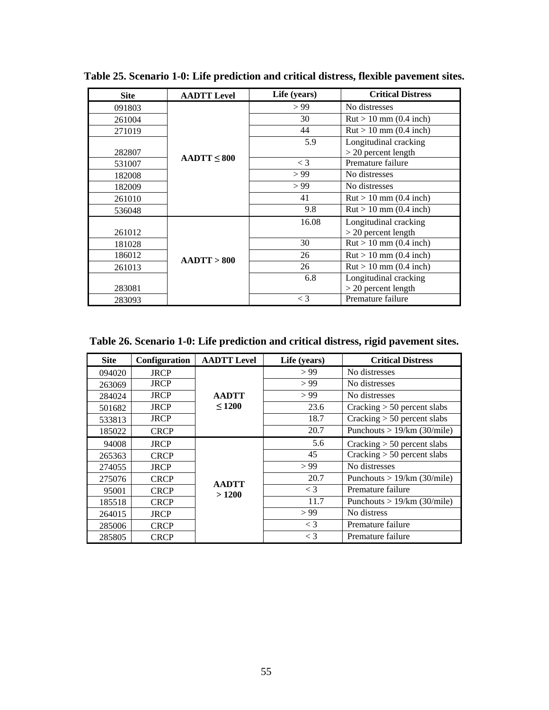| <b>Site</b> | <b>AADTT Level</b> | Life (years) | <b>Critical Distress</b>                |
|-------------|--------------------|--------------|-----------------------------------------|
| 091803      |                    | > 99         | No distresses                           |
| 261004      |                    | 30           | $\text{Rut} > 10 \text{ mm}$ (0.4 inch) |
| 271019      |                    | 44           | $\text{Rut} > 10 \text{ mm}$ (0.4 inch) |
|             |                    | 5.9          | Longitudinal cracking                   |
| 282807      |                    |              | $>$ 20 percent length                   |
| 531007      | $AADTT \leq 800$   | $\lt$ 3      | Premature failure                       |
| 182008      |                    | > 99         | No distresses                           |
| 182009      |                    | > 99         | No distresses                           |
| 261010      |                    | 41           | $\text{Rut} > 10 \text{ mm}$ (0.4 inch) |
| 536048      |                    | 9.8          | $\text{Rut} > 10 \text{ mm}$ (0.4 inch) |
|             |                    | 16.08        | Longitudinal cracking                   |
| 261012      |                    |              | $>$ 20 percent length                   |
| 181028      |                    | 30           | $\text{Rut} > 10 \text{ mm}$ (0.4 inch) |
| 186012      | $AA$ DTT > 800     | 26           | $\text{Rut} > 10 \text{ mm}$ (0.4 inch) |
| 261013      |                    | 26           | $\text{Rut} > 10 \text{ mm}$ (0.4 inch) |
|             |                    | 6.8          | Longitudinal cracking                   |
| 283081      |                    |              | $>$ 20 percent length                   |
| 283093      |                    | $\lt$ 3      | Premature failure                       |

**Table 25. Scenario 1-0: Life prediction and critical distress, flexible pavement sites.** 

**Table 26. Scenario 1-0: Life prediction and critical distress, rigid pavement sites.** 

| <b>Site</b> | Configuration | <b>AADTT Level</b>    | Life (years) | <b>Critical Distress</b>      |
|-------------|---------------|-----------------------|--------------|-------------------------------|
| 094020      | <b>JRCP</b>   |                       | > 99         | No distresses                 |
| 263069      | <b>JRCP</b>   |                       | > 99         | No distresses                 |
| 284024      | <b>JRCP</b>   | <b>AADTT</b>          | > 99         | No distresses                 |
| 501682      | <b>JRCP</b>   | $\leq 1200$           | 23.6         | Cracking $> 50$ percent slabs |
| 533813      | <b>JRCP</b>   |                       | 18.7         | Cracking $> 50$ percent slabs |
| 185022      | <b>CRCP</b>   |                       | 20.7         | Punchouts $> 19/km$ (30/mile) |
| 94008       | <b>JRCP</b>   |                       | 5.6          | Cracking $> 50$ percent slabs |
| 265363      | <b>CRCP</b>   |                       | 45           | Cracking $> 50$ percent slabs |
| 274055      | <b>JRCP</b>   |                       | > 99         | No distresses                 |
| 275076      | <b>CRCP</b>   |                       | 20.7         | Punchouts $> 19/km$ (30/mile) |
| 95001       | <b>CRCP</b>   | <b>AADTT</b><br>>1200 | $<$ 3        | Premature failure             |
| 185518      | <b>CRCP</b>   |                       | 11.7         | Punchouts $> 19/km$ (30/mile) |
| 264015      | <b>JRCP</b>   |                       | > 99         | No distress                   |
| 285006      | <b>CRCP</b>   |                       | $<$ 3        | Premature failure             |
| 285805      | <b>CRCP</b>   |                       | $\lt$ 3      | Premature failure             |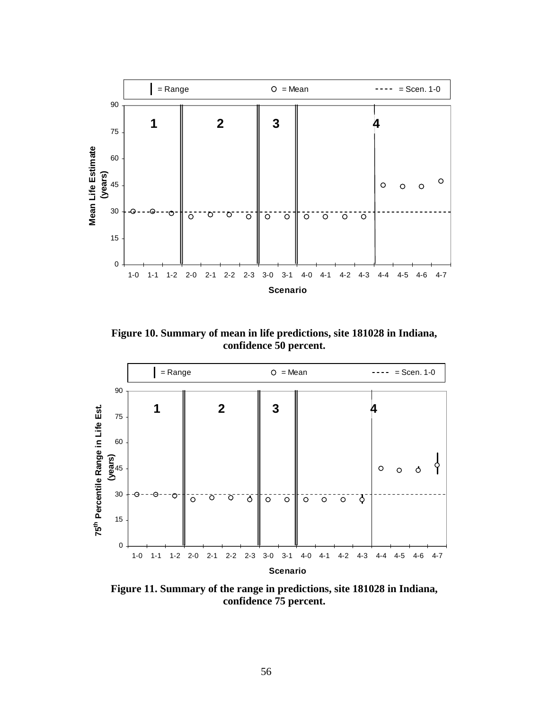

**Figure 10. Summary of mean in life predictions, site 181028 in Indiana, confidence 50 percent.** 



**Figure 11. Summary of the range in predictions, site 181028 in Indiana, confidence 75 percent.**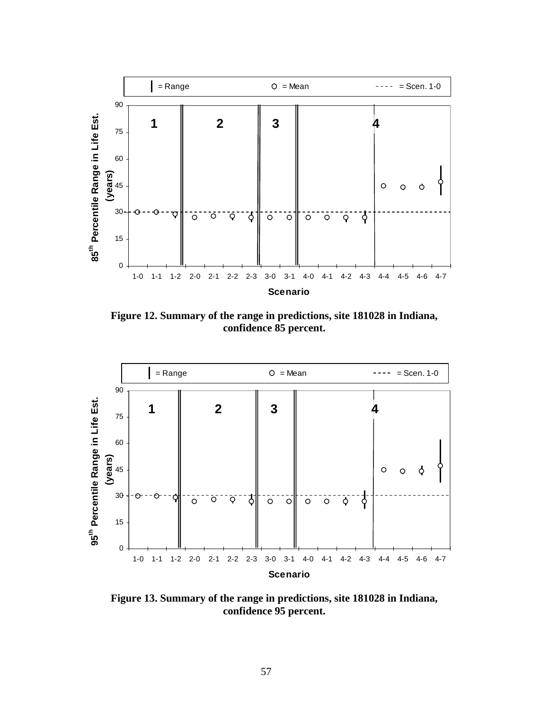

**Figure 12. Summary of the range in predictions, site 181028 in Indiana, confidence 85 percent.** 



**Figure 13. Summary of the range in predictions, site 181028 in Indiana, confidence 95 percent.**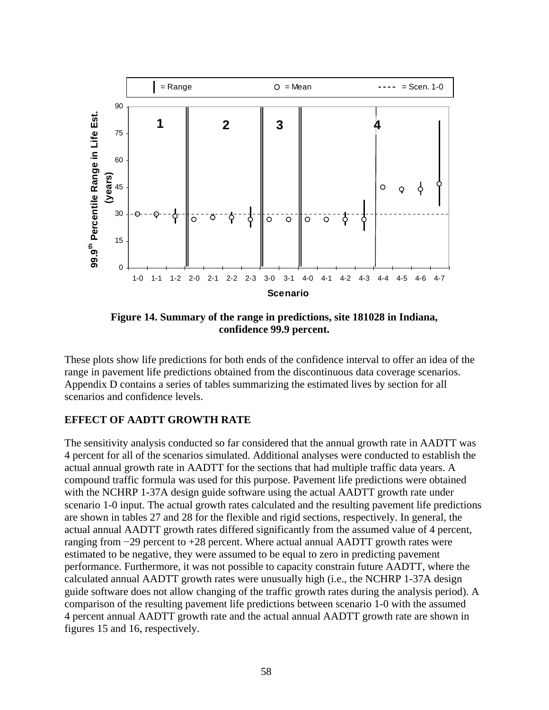

**Figure 14. Summary of the range in predictions, site 181028 in Indiana, confidence 99.9 percent.** 

These plots show life predictions for both ends of the confidence interval to offer an idea of the range in pavement life predictions obtained from the discontinuous data coverage scenarios. Appendix D contains a series of tables summarizing the estimated lives by section for all scenarios and confidence levels.

#### **EFFECT OF AADTT GROWTH RATE**

The sensitivity analysis conducted so far considered that the annual growth rate in AADTT was 4 percent for all of the scenarios simulated. Additional analyses were conducted to establish the actual annual growth rate in AADTT for the sections that had multiple traffic data years. A compound traffic formula was used for this purpose. Pavement life predictions were obtained with the NCHRP 1-37A design guide software using the actual AADTT growth rate under scenario 1-0 input. The actual growth rates calculated and the resulting pavement life predictions are shown in tables 27 and 28 for the flexible and rigid sections, respectively. In general, the actual annual AADTT growth rates differed significantly from the assumed value of 4 percent, ranging from −29 percent to +28 percent. Where actual annual AADTT growth rates were estimated to be negative, they were assumed to be equal to zero in predicting pavement performance. Furthermore, it was not possible to capacity constrain future AADTT, where the calculated annual AADTT growth rates were unusually high (i.e., the NCHRP 1-37A design guide software does not allow changing of the traffic growth rates during the analysis period). A comparison of the resulting pavement life predictions between scenario 1-0 with the assumed 4 percent annual AADTT growth rate and the actual annual AADTT growth rate are shown in figures 15 and 16, respectively.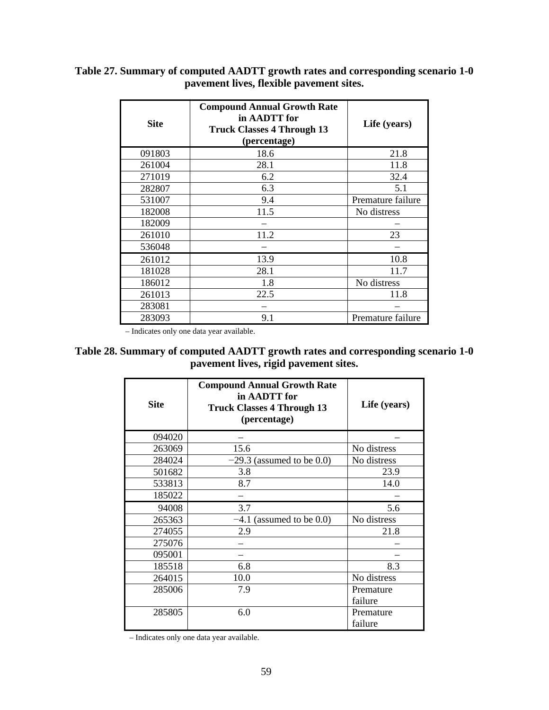| <b>Site</b> | <b>Compound Annual Growth Rate</b><br>in AADTT for<br><b>Truck Classes 4 Through 13</b><br>(percentage) | Life (years)      |
|-------------|---------------------------------------------------------------------------------------------------------|-------------------|
| 091803      | 18.6                                                                                                    | 21.8              |
| 261004      | 28.1                                                                                                    | 11.8              |
| 271019      | 6.2                                                                                                     | 32.4              |
| 282807      | 6.3                                                                                                     | 5.1               |
| 531007      | 9.4                                                                                                     | Premature failure |
| 182008      | 11.5                                                                                                    | No distress       |
| 182009      |                                                                                                         |                   |
| 261010      | 11.2                                                                                                    | 23                |
| 536048      |                                                                                                         |                   |
| 261012      | 13.9                                                                                                    | 10.8              |
| 181028      | 28.1                                                                                                    | 11.7              |
| 186012      | 1.8                                                                                                     | No distress       |
| 261013      | 22.5                                                                                                    | 11.8              |
| 283081      |                                                                                                         |                   |
| 283093      | 9.1                                                                                                     | Premature failure |

# **Table 27. Summary of computed AADTT growth rates and corresponding scenario 1-0 pavement lives, flexible pavement sites.**

– Indicates only one data year available.

### **Table 28. Summary of computed AADTT growth rates and corresponding scenario 1-0 pavement lives, rigid pavement sites.**

| <b>Site</b> | <b>Compound Annual Growth Rate</b><br>in AADTT for<br><b>Truck Classes 4 Through 13</b><br>(percentage) | Life (years) |
|-------------|---------------------------------------------------------------------------------------------------------|--------------|
| 094020      |                                                                                                         |              |
| 263069      | 15.6                                                                                                    | No distress  |
| 284024      | $-29.3$ (assumed to be 0.0)                                                                             | No distress  |
| 501682      | 3.8                                                                                                     | 23.9         |
| 533813      | 8.7                                                                                                     | 14.0         |
| 185022      |                                                                                                         |              |
| 94008       | 3.7                                                                                                     | 5.6          |
| 265363      | $-4.1$<br>(assumed to be $0.0$ )                                                                        | No distress  |
| 274055      | 2.9                                                                                                     | 21.8         |
| 275076      |                                                                                                         |              |
| 095001      |                                                                                                         |              |
| 185518      | 6.8                                                                                                     | 8.3          |
| 264015      | 10.0                                                                                                    | No distress  |
| 285006      | 7.9                                                                                                     | Premature    |
|             |                                                                                                         | failure      |
| 285805      | 6.0                                                                                                     | Premature    |
|             |                                                                                                         | failure      |

– Indicates only one data year available.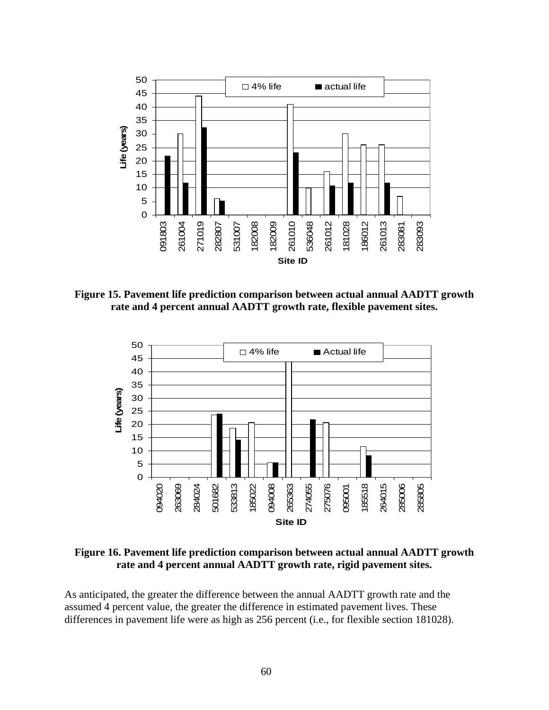

**Figure 15. Pavement life prediction comparison between actual annual AADTT growth rate and 4 percent annual AADTT growth rate, flexible pavement sites.** 



**Figure 16. Pavement life prediction comparison between actual annual AADTT growth rate and 4 percent annual AADTT growth rate, rigid pavement sites.** 

As anticipated, the greater the difference between the annual AADTT growth rate and the assumed 4 percent value, the greater the difference in estimated pavement lives. These differences in pavement life were as high as 256 percent (i.e., for flexible section 181028).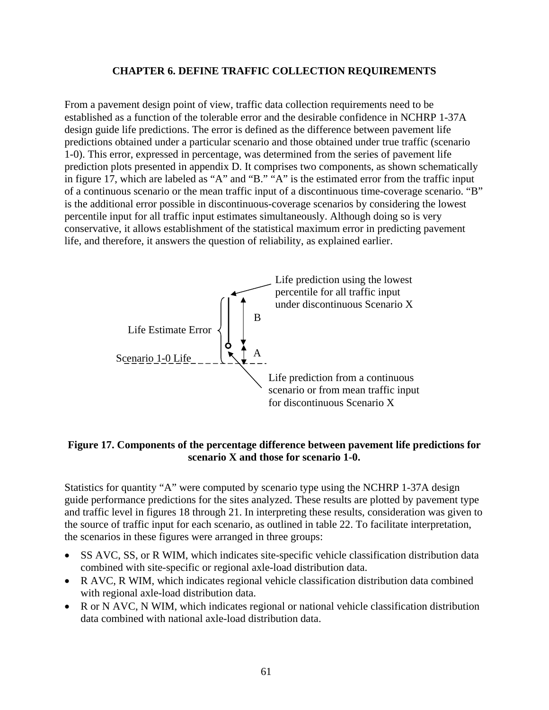#### **CHAPTER 6. DEFINE TRAFFIC COLLECTION REQUIREMENTS**

From a pavement design point of view, traffic data collection requirements need to be established as a function of the tolerable error and the desirable confidence in NCHRP 1-37A design guide life predictions. The error is defined as the difference between pavement life predictions obtained under a particular scenario and those obtained under true traffic (scenario 1-0). This error, expressed in percentage, was determined from the series of pavement life prediction plots presented in appendix D. It comprises two components, as shown schematically in figure 17, which are labeled as "A" and "B." "A" is the estimated error from the traffic input of a continuous scenario or the mean traffic input of a discontinuous time-coverage scenario. "B" is the additional error possible in discontinuous-coverage scenarios by considering the lowest percentile input for all traffic input estimates simultaneously. Although doing so is very conservative, it allows establishment of the statistical maximum error in predicting pavement life, and therefore, it answers the question of reliability, as explained earlier.



### **Figure 17. Components of the percentage difference between pavement life predictions for scenario X and those for scenario 1-0.**

Statistics for quantity "A" were computed by scenario type using the NCHRP 1-37A design guide performance predictions for the sites analyzed. These results are plotted by pavement type and traffic level in figures 18 through 21. In interpreting these results, consideration was given to the source of traffic input for each scenario, as outlined in table 22. To facilitate interpretation, the scenarios in these figures were arranged in three groups:

- SS AVC, SS, or R WIM, which indicates site-specific vehicle classification distribution data combined with site-specific or regional axle-load distribution data.
- R AVC, R WIM, which indicates regional vehicle classification distribution data combined with regional axle-load distribution data.
- R or N AVC, N WIM, which indicates regional or national vehicle classification distribution data combined with national axle-load distribution data.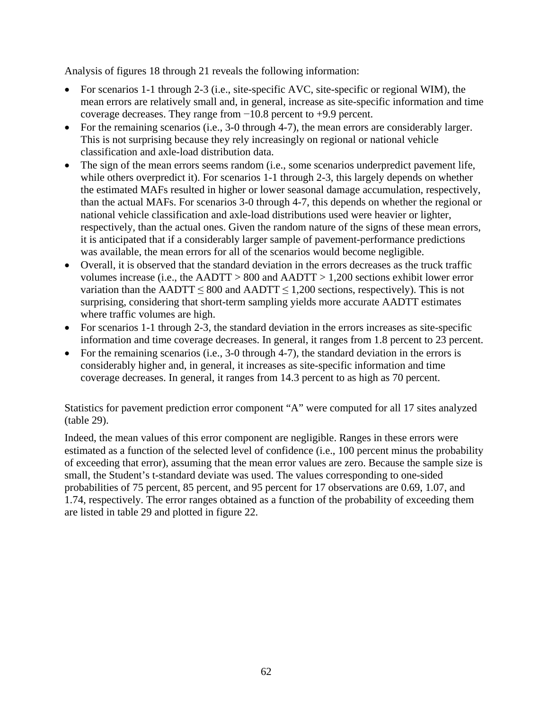Analysis of figures 18 through 21 reveals the following information:

- For scenarios 1-1 through 2-3 (i.e., site-specific AVC, site-specific or regional WIM), the mean errors are relatively small and, in general, increase as site-specific information and time coverage decreases. They range from −10.8 percent to +9.9 percent.
- For the remaining scenarios (i.e., 3-0 through 4-7), the mean errors are considerably larger. This is not surprising because they rely increasingly on regional or national vehicle classification and axle-load distribution data.
- The sign of the mean errors seems random (i.e., some scenarios underpredict pavement life, while others overpredict it). For scenarios 1-1 through 2-3, this largely depends on whether the estimated MAFs resulted in higher or lower seasonal damage accumulation, respectively, than the actual MAFs. For scenarios 3-0 through 4-7, this depends on whether the regional or national vehicle classification and axle-load distributions used were heavier or lighter, respectively, than the actual ones. Given the random nature of the signs of these mean errors, it is anticipated that if a considerably larger sample of pavement-performance predictions was available, the mean errors for all of the scenarios would become negligible.
- Overall, it is observed that the standard deviation in the errors decreases as the truck traffic volumes increase (i.e., the AADTT > 800 and AADTT > 1,200 sections exhibit lower error variation than the AADTT  $\leq 800$  and AADTT  $\leq 1,200$  sections, respectively). This is not surprising, considering that short-term sampling yields more accurate AADTT estimates where traffic volumes are high.
- For scenarios 1-1 through 2-3, the standard deviation in the errors increases as site-specific information and time coverage decreases. In general, it ranges from 1.8 percent to 23 percent.
- For the remaining scenarios (i.e., 3-0 through 4-7), the standard deviation in the errors is considerably higher and, in general, it increases as site-specific information and time coverage decreases. In general, it ranges from 14.3 percent to as high as 70 percent.

Statistics for pavement prediction error component "A" were computed for all 17 sites analyzed (table 29).

Indeed, the mean values of this error component are negligible. Ranges in these errors were estimated as a function of the selected level of confidence (i.e., 100 percent minus the probability of exceeding that error), assuming that the mean error values are zero. Because the sample size is small, the Student's t-standard deviate was used. The values corresponding to one-sided probabilities of 75 percent, 85 percent, and 95 percent for 17 observations are 0.69, 1.07, and 1.74, respectively. The error ranges obtained as a function of the probability of exceeding them are listed in table 29 and plotted in figure 22.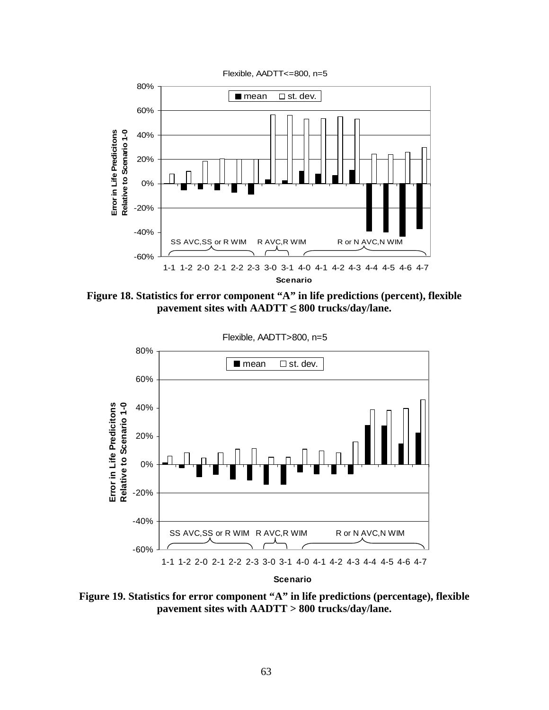

**Figure 18. Statistics for error component "A" in life predictions (percent), flexible pavement sites with AADTT ≤ 800 trucks/day/lane.** 



**Scenario**

**Figure 19. Statistics for error component "A" in life predictions (percentage), flexible pavement sites with AADTT > 800 trucks/day/lane.**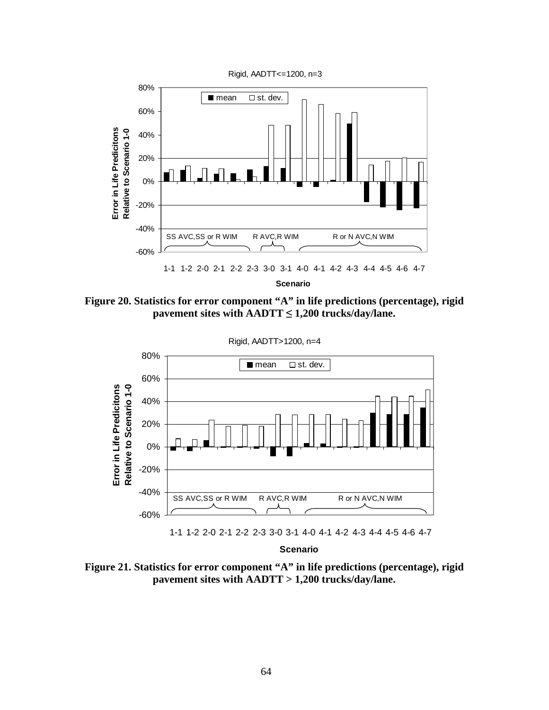

**Scenario**

**Figure 20. Statistics for error component "A" in life predictions (percentage), rigid pavement sites with AADTT ≤ 1,200 trucks/day/lane.** 





**Scenario**

**Figure 21. Statistics for error component "A" in life predictions (percentage), rigid pavement sites with AADTT > 1,200 trucks/day/lane.**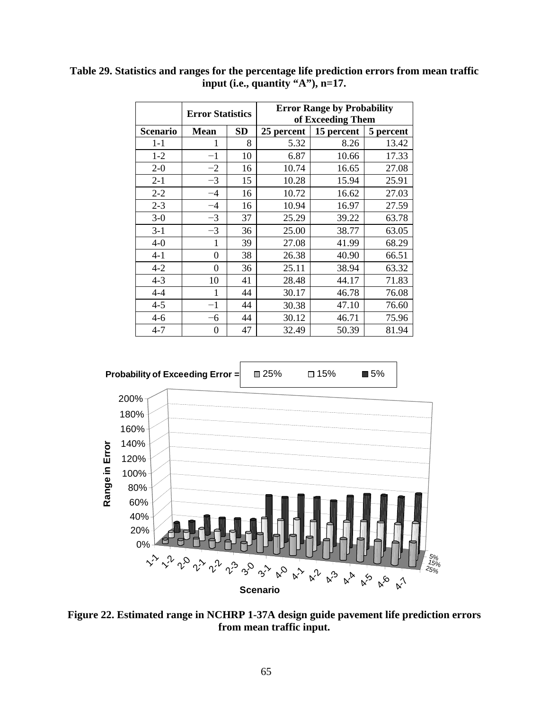|                 | <b>Error Statistics</b> |           | <b>Error Range by Probability</b><br>of Exceeding Them |            |           |  |
|-----------------|-------------------------|-----------|--------------------------------------------------------|------------|-----------|--|
| <b>Scenario</b> | <b>Mean</b>             | <b>SD</b> | 25 percent                                             | 15 percent | 5 percent |  |
| $1 - 1$         |                         | 8         | 5.32                                                   | 8.26       | 13.42     |  |
| $1 - 2$         | $^{-1}$                 | 10        | 6.87                                                   | 10.66      | 17.33     |  |
| $2 - 0$         | $-2$                    | 16        | 10.74                                                  | 16.65      | 27.08     |  |
| $2 - 1$         | $-3$                    | 15        | 10.28                                                  | 15.94      | 25.91     |  |
| $2 - 2$         | $-4$                    | 16        | 10.72                                                  | 16.62      | 27.03     |  |
| $2 - 3$         | $-4$                    | 16        | 10.94                                                  | 16.97      | 27.59     |  |
| $3-0$           | $-3$                    | 37        | 25.29                                                  | 39.22      | 63.78     |  |
| $3 - 1$         | $-3$                    | 36        | 25.00                                                  | 38.77      | 63.05     |  |
| $4-0$           | 1                       | 39        | 27.08                                                  | 41.99      | 68.29     |  |
| $4 - 1$         | $\theta$                | 38        | 26.38                                                  | 40.90      | 66.51     |  |
| $4 - 2$         | 0                       | 36        | 25.11                                                  | 38.94      | 63.32     |  |
| $4 - 3$         | 10                      | 41        | 28.48                                                  | 44.17      | 71.83     |  |
| $4 - 4$         | 1                       | 44        | 30.17                                                  | 46.78      | 76.08     |  |
| $4 - 5$         | $-1$                    | 44        | 30.38                                                  | 47.10      | 76.60     |  |
| $4 - 6$         | -6                      | 44        | 30.12                                                  | 46.71      | 75.96     |  |
| $4 - 7$         | 0                       | 47        | 32.49                                                  | 50.39      | 81.94     |  |

**Table 29. Statistics and ranges for the percentage life prediction errors from mean traffic input (i.e., quantity "A"), n=17.** 



**Figure 22. Estimated range in NCHRP 1-37A design guide pavement life prediction errors from mean traffic input.**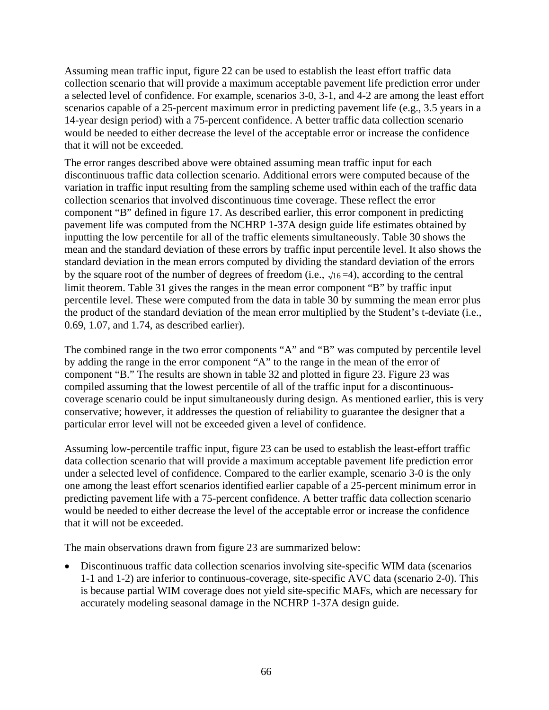Assuming mean traffic input, figure 22 can be used to establish the least effort traffic data collection scenario that will provide a maximum acceptable pavement life prediction error under a selected level of confidence. For example, scenarios 3-0, 3-1, and 4-2 are among the least effort scenarios capable of a 25-percent maximum error in predicting pavement life (e.g., 3.5 years in a 14-year design period) with a 75-percent confidence. A better traffic data collection scenario would be needed to either decrease the level of the acceptable error or increase the confidence that it will not be exceeded.

The error ranges described above were obtained assuming mean traffic input for each discontinuous traffic data collection scenario. Additional errors were computed because of the variation in traffic input resulting from the sampling scheme used within each of the traffic data collection scenarios that involved discontinuous time coverage. These reflect the error component "B" defined in figure 17. As described earlier, this error component in predicting pavement life was computed from the NCHRP 1-37A design guide life estimates obtained by inputting the low percentile for all of the traffic elements simultaneously. Table 30 shows the mean and the standard deviation of these errors by traffic input percentile level. It also shows the standard deviation in the mean errors computed by dividing the standard deviation of the errors by the square root of the number of degrees of freedom (i.e.,  $\sqrt{16} = 4$ ), according to the central limit theorem. Table 31 gives the ranges in the mean error component "B" by traffic input percentile level. These were computed from the data in table 30 by summing the mean error plus the product of the standard deviation of the mean error multiplied by the Student's t-deviate (i.e., 0.69, 1.07, and 1.74, as described earlier).

The combined range in the two error components "A" and "B" was computed by percentile level by adding the range in the error component "A" to the range in the mean of the error of component "B." The results are shown in table 32 and plotted in figure 23. Figure 23 was compiled assuming that the lowest percentile of all of the traffic input for a discontinuouscoverage scenario could be input simultaneously during design. As mentioned earlier, this is very conservative; however, it addresses the question of reliability to guarantee the designer that a particular error level will not be exceeded given a level of confidence.

Assuming low-percentile traffic input, figure 23 can be used to establish the least-effort traffic data collection scenario that will provide a maximum acceptable pavement life prediction error under a selected level of confidence. Compared to the earlier example, scenario 3-0 is the only one among the least effort scenarios identified earlier capable of a 25-percent minimum error in predicting pavement life with a 75-percent confidence. A better traffic data collection scenario would be needed to either decrease the level of the acceptable error or increase the confidence that it will not be exceeded.

The main observations drawn from figure 23 are summarized below:

• Discontinuous traffic data collection scenarios involving site-specific WIM data (scenarios 1-1 and 1-2) are inferior to continuous-coverage, site-specific AVC data (scenario 2-0). This is because partial WIM coverage does not yield site-specific MAFs, which are necessary for accurately modeling seasonal damage in the NCHRP 1-37A design guide.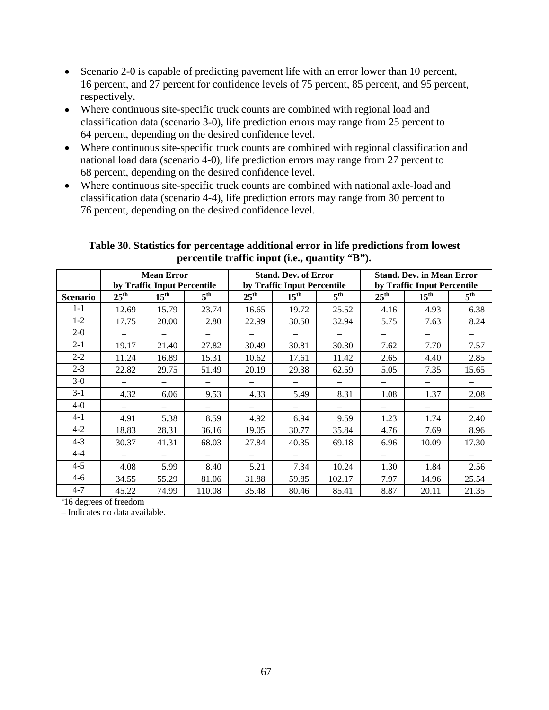- Scenario 2-0 is capable of predicting pavement life with an error lower than 10 percent, 16 percent, and 27 percent for confidence levels of 75 percent, 85 percent, and 95 percent, respectively.
- Where continuous site-specific truck counts are combined with regional load and classification data (scenario 3-0), life prediction errors may range from 25 percent to 64 percent, depending on the desired confidence level.
- Where continuous site-specific truck counts are combined with regional classification and national load data (scenario 4-0), life prediction errors may range from 27 percent to 68 percent, depending on the desired confidence level.
- Where continuous site-specific truck counts are combined with national axle-load and classification data (scenario 4-4), life prediction errors may range from 30 percent to 76 percent, depending on the desired confidence level.

|                             |                  | <b>Mean Error</b>                                          |                 |                  | <b>Stand. Dev. of Error</b> |                 |                             | <b>Stand. Dev. in Mean Error</b> |                 |  |
|-----------------------------|------------------|------------------------------------------------------------|-----------------|------------------|-----------------------------|-----------------|-----------------------------|----------------------------------|-----------------|--|
|                             |                  | by Traffic Input Percentile<br>by Traffic Input Percentile |                 |                  |                             |                 | by Traffic Input Percentile |                                  |                 |  |
| <b>Scenario</b>             | $25^{\text{th}}$ | $15^{\text{th}}$                                           | $5^{\text{th}}$ | $25^{\text{th}}$ | $15^{\text{th}}$            | $5^{\text{th}}$ | $25^{\text{th}}$            | $15^{\text{th}}$                 | $5^{\text{th}}$ |  |
| $1 - 1$                     | 12.69            | 15.79                                                      | 23.74           | 16.65            | 19.72                       | 25.52           | 4.16                        | 4.93                             | 6.38            |  |
| $1-2$                       | 17.75            | 20.00                                                      | 2.80            | 22.99            | 30.50                       | 32.94           | 5.75                        | 7.63                             | 8.24            |  |
| $2 - 0$                     |                  |                                                            |                 |                  |                             |                 |                             |                                  |                 |  |
| $2 - 1$                     | 19.17            | 21.40                                                      | 27.82           | 30.49            | 30.81                       | 30.30           | 7.62                        | 7.70                             | 7.57            |  |
| $2 - 2$                     | 11.24            | 16.89                                                      | 15.31           | 10.62            | 17.61                       | 11.42           | 2.65                        | 4.40                             | 2.85            |  |
| $2 - 3$                     | 22.82            | 29.75                                                      | 51.49           | 20.19            | 29.38                       | 62.59           | 5.05                        | 7.35                             | 15.65           |  |
| $3-0$                       |                  |                                                            |                 |                  |                             |                 |                             |                                  |                 |  |
| $3 - 1$                     | 4.32             | 6.06                                                       | 9.53            | 4.33             | 5.49                        | 8.31            | 1.08                        | 1.37                             | 2.08            |  |
| $4 - 0$                     |                  |                                                            |                 |                  |                             |                 |                             |                                  |                 |  |
| 4-1                         | 4.91             | 5.38                                                       | 8.59            | 4.92             | 6.94                        | 9.59            | 1.23                        | 1.74                             | 2.40            |  |
| $4 - 2$                     | 18.83            | 28.31                                                      | 36.16           | 19.05            | 30.77                       | 35.84           | 4.76                        | 7.69                             | 8.96            |  |
| $4 - 3$                     | 30.37            | 41.31                                                      | 68.03           | 27.84            | 40.35                       | 69.18           | 6.96                        | 10.09                            | 17.30           |  |
| $4 - 4$                     |                  |                                                            |                 |                  |                             |                 |                             |                                  |                 |  |
| $4 - 5$                     | 4.08             | 5.99                                                       | 8.40            | 5.21             | 7.34                        | 10.24           | 1.30                        | 1.84                             | 2.56            |  |
| $4-6$                       | 34.55            | 55.29                                                      | 81.06           | 31.88            | 59.85                       | 102.17          | 7.97                        | 14.96                            | 25.54           |  |
| $4 - 7$                     | 45.22            | 74.99                                                      | 110.08          | 35.48            | 80.46                       | 85.41           | 8.87                        | 20.11                            | 21.35           |  |
| $a_{16}$ decrees of freedom |                  |                                                            |                 |                  |                             |                 |                             |                                  |                 |  |

#### **Table 30. Statistics for percentage additional error in life predictions from lowest percentile traffic input (i.e., quantity "B").**

<sup>a</sup>16 degrees of freedom

– Indicates no data available.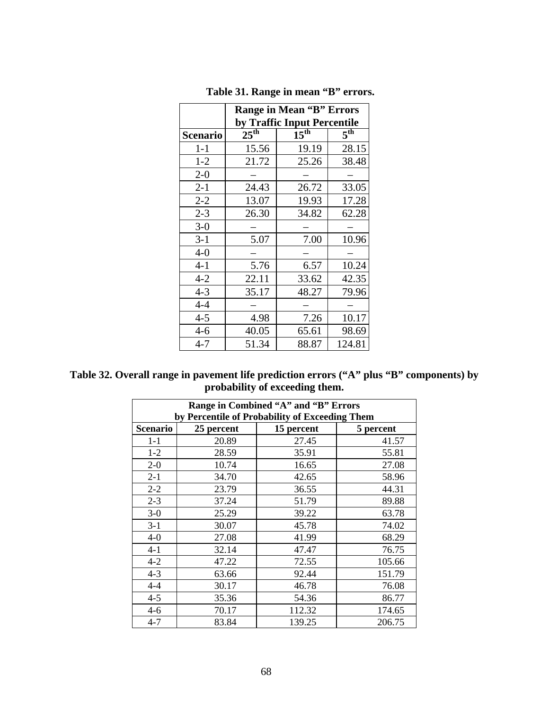|                 | <b>Range in Mean "B" Errors</b> |                  |                 |  |  |  |
|-----------------|---------------------------------|------------------|-----------------|--|--|--|
|                 | by Traffic Input Percentile     |                  |                 |  |  |  |
| <b>Scenario</b> | $25^{\text{th}}$                | $15^{\text{th}}$ | 5 <sup>th</sup> |  |  |  |
| $1-1$           | 15.56                           | 19.19            | 28.15           |  |  |  |
| $1 - 2$         | 21.72                           | 25.26            | 38.48           |  |  |  |
| $2 - 0$         |                                 |                  |                 |  |  |  |
| $2 - 1$         | 24.43                           | 26.72            | 33.05           |  |  |  |
| $2 - 2$         | 13.07                           | 19.93            | 17.28           |  |  |  |
| $2 - 3$         | 26.30                           | 34.82            | 62.28           |  |  |  |
| $3-0$           |                                 |                  |                 |  |  |  |
| $3-1$           | 5.07                            | 7.00             | 10.96           |  |  |  |
| $4-0$           |                                 |                  |                 |  |  |  |
| $4 - 1$         | 5.76                            | 6.57             | 10.24           |  |  |  |
| $4 - 2$         | 22.11                           | 33.62            | 42.35           |  |  |  |
| $4 - 3$         | 35.17                           | 48.27            | 79.96           |  |  |  |
| $4 - 4$         |                                 |                  |                 |  |  |  |
| $4 - 5$         | 4.98                            | 7.26             | 10.17           |  |  |  |
| $4-6$           | 40.05                           | 65.61            | 98.69           |  |  |  |
| $4 - 7$         | 51.34                           | 88.87            | 124.81          |  |  |  |

 **Table 31. Range in mean "B" errors.** 

**Table 32. Overall range in pavement life prediction errors ("A" plus "B" components) by probability of exceeding them.** 

| Range in Combined "A" and "B" Errors           |            |            |           |  |  |  |  |
|------------------------------------------------|------------|------------|-----------|--|--|--|--|
| by Percentile of Probability of Exceeding Them |            |            |           |  |  |  |  |
| <b>Scenario</b>                                | 25 percent | 15 percent | 5 percent |  |  |  |  |
| $1 - 1$                                        | 20.89      | 27.45      | 41.57     |  |  |  |  |
| $1 - 2$                                        | 28.59      | 35.91      | 55.81     |  |  |  |  |
| $2 - 0$                                        | 10.74      | 16.65      | 27.08     |  |  |  |  |
| $2 - 1$                                        | 34.70      | 42.65      | 58.96     |  |  |  |  |
| $2 - 2$                                        | 23.79      | 36.55      | 44.31     |  |  |  |  |
| $2 - 3$                                        | 37.24      | 51.79      | 89.88     |  |  |  |  |
| $3-0$                                          | 25.29      | 39.22      | 63.78     |  |  |  |  |
| $3 - 1$                                        | 30.07      | 45.78      | 74.02     |  |  |  |  |
| $4-0$                                          | 27.08      | 41.99      | 68.29     |  |  |  |  |
| $4 - 1$                                        | 32.14      | 47.47      | 76.75     |  |  |  |  |
| $4 - 2$                                        | 47.22      | 72.55      | 105.66    |  |  |  |  |
| $4 - 3$                                        | 63.66      | 92.44      | 151.79    |  |  |  |  |
| $4 - 4$                                        | 30.17      | 46.78      | 76.08     |  |  |  |  |
| $4 - 5$                                        | 35.36      | 54.36      | 86.77     |  |  |  |  |
| $4 - 6$                                        | 70.17      | 112.32     | 174.65    |  |  |  |  |
| $4 - 7$                                        | 83.84      | 139.25     | 206.75    |  |  |  |  |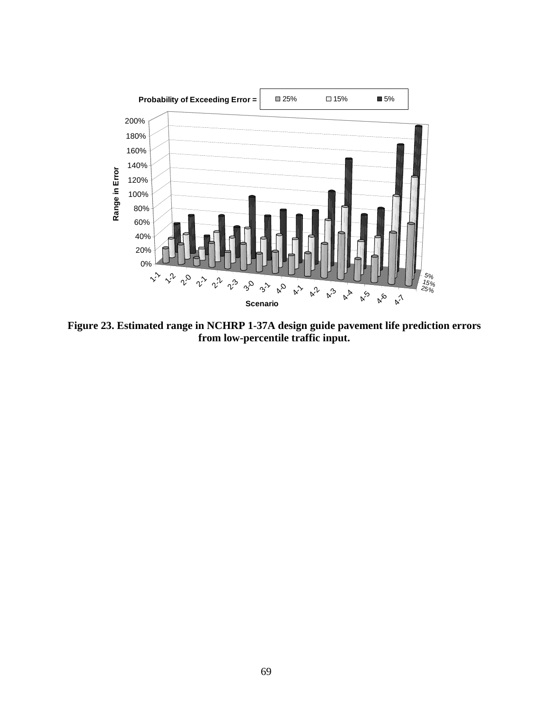

 **Figure 23. Estimated range in NCHRP 1-37A design guide pavement life prediction errors from low-percentile traffic input.**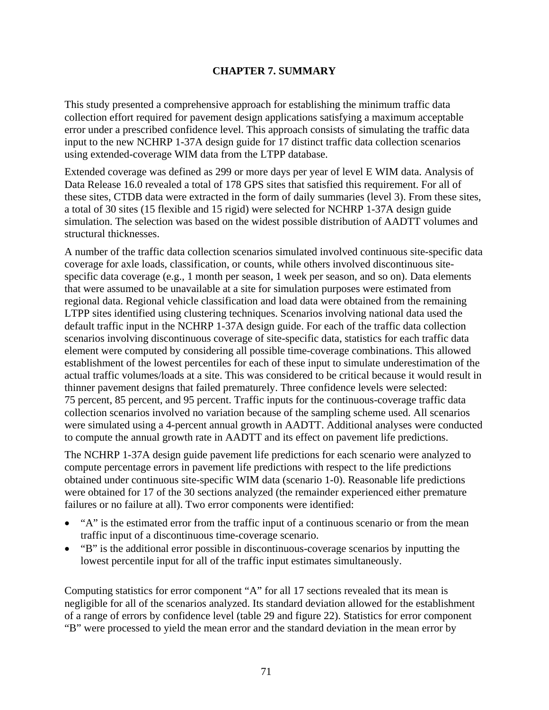## **CHAPTER 7. SUMMARY**

This study presented a comprehensive approach for establishing the minimum traffic data collection effort required for pavement design applications satisfying a maximum acceptable error under a prescribed confidence level. This approach consists of simulating the traffic data input to the new NCHRP 1-37A design guide for 17 distinct traffic data collection scenarios using extended-coverage WIM data from the LTPP database.

Extended coverage was defined as 299 or more days per year of level E WIM data. Analysis of Data Release 16.0 revealed a total of 178 GPS sites that satisfied this requirement. For all of these sites, CTDB data were extracted in the form of daily summaries (level 3). From these sites, a total of 30 sites (15 flexible and 15 rigid) were selected for NCHRP 1-37A design guide simulation. The selection was based on the widest possible distribution of AADTT volumes and structural thicknesses.

A number of the traffic data collection scenarios simulated involved continuous site-specific data coverage for axle loads, classification, or counts, while others involved discontinuous sitespecific data coverage (e.g., 1 month per season, 1 week per season, and so on). Data elements that were assumed to be unavailable at a site for simulation purposes were estimated from regional data. Regional vehicle classification and load data were obtained from the remaining LTPP sites identified using clustering techniques. Scenarios involving national data used the default traffic input in the NCHRP 1-37A design guide. For each of the traffic data collection scenarios involving discontinuous coverage of site-specific data, statistics for each traffic data element were computed by considering all possible time-coverage combinations. This allowed establishment of the lowest percentiles for each of these input to simulate underestimation of the actual traffic volumes/loads at a site. This was considered to be critical because it would result in thinner pavement designs that failed prematurely. Three confidence levels were selected: 75 percent, 85 percent, and 95 percent. Traffic inputs for the continuous-coverage traffic data collection scenarios involved no variation because of the sampling scheme used. All scenarios were simulated using a 4-percent annual growth in AADTT. Additional analyses were conducted to compute the annual growth rate in AADTT and its effect on pavement life predictions.

The NCHRP 1-37A design guide pavement life predictions for each scenario were analyzed to compute percentage errors in pavement life predictions with respect to the life predictions obtained under continuous site-specific WIM data (scenario 1-0). Reasonable life predictions were obtained for 17 of the 30 sections analyzed (the remainder experienced either premature failures or no failure at all). Two error components were identified:

- "A" is the estimated error from the traffic input of a continuous scenario or from the mean traffic input of a discontinuous time-coverage scenario.
- "B" is the additional error possible in discontinuous-coverage scenarios by inputting the lowest percentile input for all of the traffic input estimates simultaneously.

Computing statistics for error component "A" for all 17 sections revealed that its mean is negligible for all of the scenarios analyzed. Its standard deviation allowed for the establishment of a range of errors by confidence level (table 29 and figure 22). Statistics for error component "B" were processed to yield the mean error and the standard deviation in the mean error by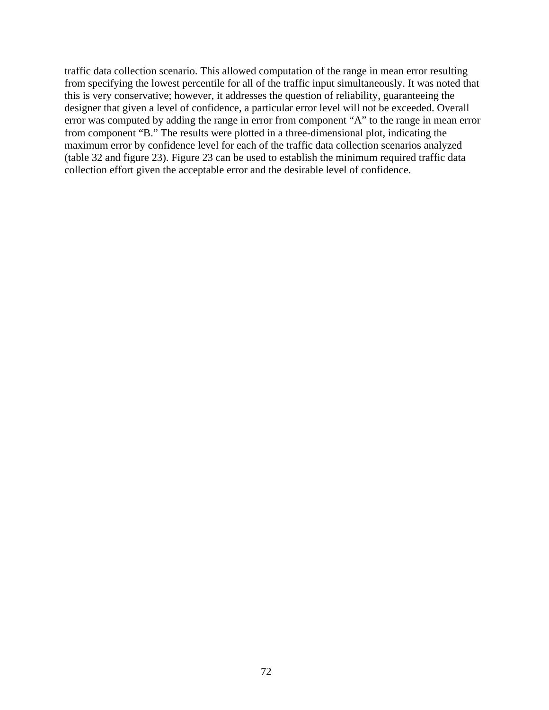traffic data collection scenario. This allowed computation of the range in mean error resulting from specifying the lowest percentile for all of the traffic input simultaneously. It was noted that this is very conservative; however, it addresses the question of reliability, guaranteeing the designer that given a level of confidence, a particular error level will not be exceeded. Overall error was computed by adding the range in error from component "A" to the range in mean error from component "B." The results were plotted in a three-dimensional plot, indicating the maximum error by confidence level for each of the traffic data collection scenarios analyzed (table 32 and figure 23). Figure 23 can be used to establish the minimum required traffic data collection effort given the acceptable error and the desirable level of confidence.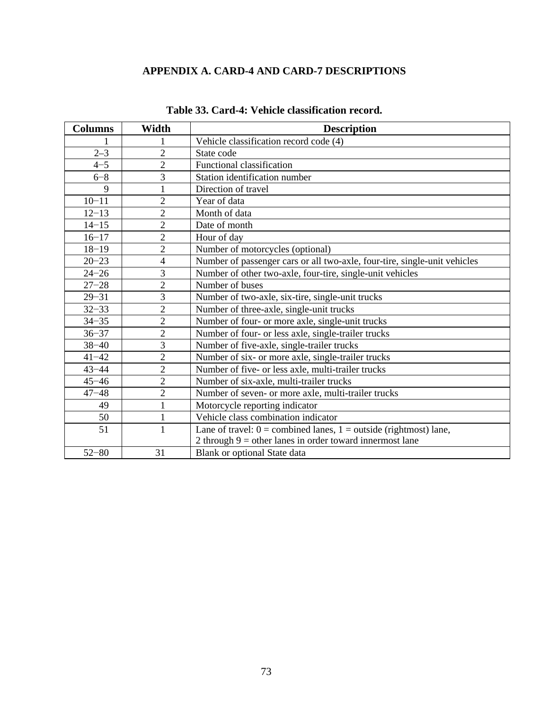# **APPENDIX A. CARD-4 AND CARD-7 DESCRIPTIONS**

| <b>Columns</b> | Width          | <b>Description</b>                                                        |
|----------------|----------------|---------------------------------------------------------------------------|
|                |                | Vehicle classification record code (4)                                    |
| $2 - 3$        | $\overline{2}$ | State code                                                                |
| $4 - 5$        | $\overline{2}$ | Functional classification                                                 |
| $6 - 8$        | 3              | Station identification number                                             |
| 9              |                | Direction of travel                                                       |
| $10 - 11$      | $\overline{c}$ | Year of data                                                              |
| $12 - 13$      | $\overline{2}$ | Month of data                                                             |
| $14 - 15$      | $\overline{2}$ | Date of month                                                             |
| $16 - 17$      | $\mathbf{2}$   | Hour of day                                                               |
| $18 - 19$      | $\overline{2}$ | Number of motorcycles (optional)                                          |
| $20 - 23$      | $\overline{4}$ | Number of passenger cars or all two-axle, four-tire, single-unit vehicles |
| $24 - 26$      | 3              | Number of other two-axle, four-tire, single-unit vehicles                 |
| $27 - 28$      | $\overline{2}$ | Number of buses                                                           |
| $29 - 31$      | 3              | Number of two-axle, six-tire, single-unit trucks                          |
| $32 - 33$      | $\overline{2}$ | Number of three-axle, single-unit trucks                                  |
| $34 - 35$      | $\overline{2}$ | Number of four- or more axle, single-unit trucks                          |
| $36 - 37$      | $\overline{2}$ | Number of four- or less axle, single-trailer trucks                       |
| $38 - 40$      | 3              | Number of five-axle, single-trailer trucks                                |
| $41 - 42$      | $\overline{2}$ | Number of six- or more axle, single-trailer trucks                        |
| $43 - 44$      | $\overline{2}$ | Number of five- or less axle, multi-trailer trucks                        |
| $45 - 46$      | $\mathbf{2}$   | Number of six-axle, multi-trailer trucks                                  |
| $47 - 48$      | $\overline{2}$ | Number of seven- or more axle, multi-trailer trucks                       |
| 49             | $\mathbf{1}$   | Motorcycle reporting indicator                                            |
| 50             | $\mathbf{1}$   | Vehicle class combination indicator                                       |
| 51             | $\mathbf{1}$   | Lane of travel: $0 =$ combined lanes, $1 =$ outside (rightmost) lane,     |
|                |                | 2 through $9 =$ other lanes in order toward innermost lane                |
| $52 - 80$      | 31             | Blank or optional State data                                              |

## **Table 33. Card-4: Vehicle classification record.**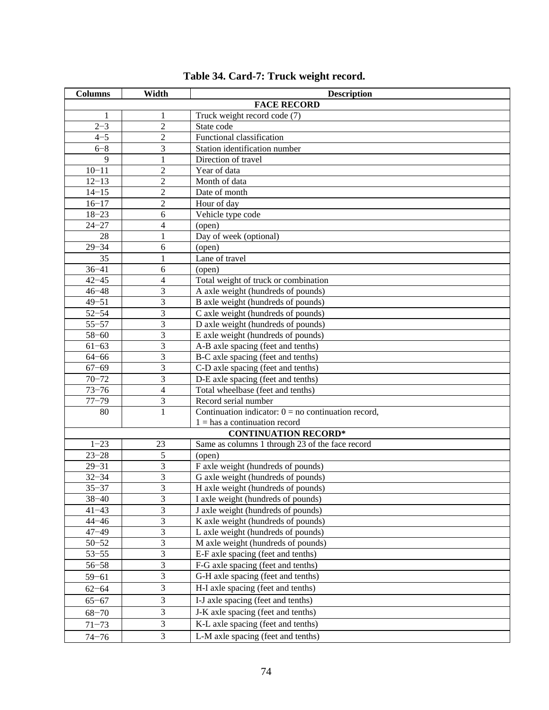| <b>Columns</b>                                                 | Width                   | <b>Description</b>                                    |  |  |  |  |
|----------------------------------------------------------------|-------------------------|-------------------------------------------------------|--|--|--|--|
|                                                                |                         | <b>FACE RECORD</b>                                    |  |  |  |  |
| 1                                                              | 1                       | Truck weight record code (7)                          |  |  |  |  |
| $2 - 3$                                                        | $\overline{2}$          | State code                                            |  |  |  |  |
| $4 - 5$                                                        | $\overline{2}$          | Functional classification                             |  |  |  |  |
| $6 - 8$                                                        | 3                       | Station identification number                         |  |  |  |  |
| $\mathbf{Q}$                                                   | 1                       | Direction of travel                                   |  |  |  |  |
| $10 - 11$                                                      | $\overline{2}$          | Year of data                                          |  |  |  |  |
| $12 - 13$                                                      | 2                       | Month of data                                         |  |  |  |  |
| $14 - 15$                                                      | $\overline{2}$          | Date of month                                         |  |  |  |  |
| $16 - 17$                                                      | $\overline{2}$          | Hour of day                                           |  |  |  |  |
| $18 - 23$                                                      | 6                       | Vehicle type code                                     |  |  |  |  |
| $24 - 27$                                                      | 4                       | (open)                                                |  |  |  |  |
| 28                                                             | 1                       | Day of week (optional)                                |  |  |  |  |
| $29 - 34$                                                      | 6                       | (open)                                                |  |  |  |  |
| 35                                                             | $\mathbf{1}$            | Lane of travel                                        |  |  |  |  |
| $36 - 41$                                                      | 6                       | (open)                                                |  |  |  |  |
| $42 - 45$                                                      | 4                       | Total weight of truck or combination                  |  |  |  |  |
| $46 - 48$                                                      | 3                       | A axle weight (hundreds of pounds)                    |  |  |  |  |
| $49 - 51$                                                      | 3                       | B axle weight (hundreds of pounds)                    |  |  |  |  |
| $52 - 54$                                                      | 3                       | C axle weight (hundreds of pounds)                    |  |  |  |  |
| $55 - 57$                                                      | 3                       | D axle weight (hundreds of pounds)                    |  |  |  |  |
| $58 - 60$                                                      | 3                       | E axle weight (hundreds of pounds)                    |  |  |  |  |
| $61 - 63$                                                      | 3                       | A-B axle spacing (feet and tenths)                    |  |  |  |  |
| $64 - 66$                                                      | 3                       | B-C axle spacing (feet and tenths)                    |  |  |  |  |
| $67 - 69$                                                      | 3                       | C-D axle spacing (feet and tenths)                    |  |  |  |  |
| $70 - 72$                                                      | 3                       | D-E axle spacing (feet and tenths)                    |  |  |  |  |
| $73 - 76$                                                      | $\overline{4}$          | Total wheelbase (feet and tenths)                     |  |  |  |  |
| $77 - 79$                                                      | 3                       | Record serial number                                  |  |  |  |  |
| 80                                                             | 1                       | Continuation indicator: $0 = no$ continuation record, |  |  |  |  |
| $1 =$ has a continuation record<br><b>CONTINUATION RECORD*</b> |                         |                                                       |  |  |  |  |
| $1 - 23$                                                       | 23                      | Same as columns 1 through 23 of the face record       |  |  |  |  |
| $23 - 28$                                                      | 5                       | (open)                                                |  |  |  |  |
| $29 - 31$                                                      | 3                       | F axle weight (hundreds of pounds)                    |  |  |  |  |
| $32 - 34$                                                      | 3                       | G axle weight (hundreds of pounds)                    |  |  |  |  |
| $35 - 37$                                                      | 3                       | H axle weight (hundreds of pounds)                    |  |  |  |  |
| $38 - 40$                                                      | 3                       | I axle weight (hundreds of pounds)                    |  |  |  |  |
| $41 - 43$                                                      | 3                       | J axle weight (hundreds of pounds)                    |  |  |  |  |
| $44 - 46$                                                      | $\overline{\mathbf{3}}$ | K axle weight (hundreds of pounds)                    |  |  |  |  |
| $47 - 49$                                                      | 3                       | L axle weight (hundreds of pounds)                    |  |  |  |  |
| $50 - 52$                                                      | 3                       | M axle weight (hundreds of pounds)                    |  |  |  |  |
| $53 - 55$                                                      | 3                       | $E-F$ axle spacing (feet and tenths)                  |  |  |  |  |
| $56 - 58$                                                      | $\overline{3}$          | F-G axle spacing (feet and tenths)                    |  |  |  |  |
| $59 - 61$                                                      | 3                       | G-H axle spacing (feet and tenths)                    |  |  |  |  |
| $62 - 64$                                                      | 3                       | H-I axle spacing (feet and tenths)                    |  |  |  |  |
| $65 - 67$                                                      | 3                       | I-J axle spacing (feet and tenths)                    |  |  |  |  |
| $68 - 70$                                                      | 3                       | J-K axle spacing (feet and tenths)                    |  |  |  |  |
| $71 - 73$                                                      | $\overline{3}$          | K-L axle spacing (feet and tenths)                    |  |  |  |  |
|                                                                | 3                       | L-M axle spacing (feet and tenths)                    |  |  |  |  |
| $74 - 76$                                                      |                         |                                                       |  |  |  |  |

| Table 34. Card-7: Truck weight record. |
|----------------------------------------|
|----------------------------------------|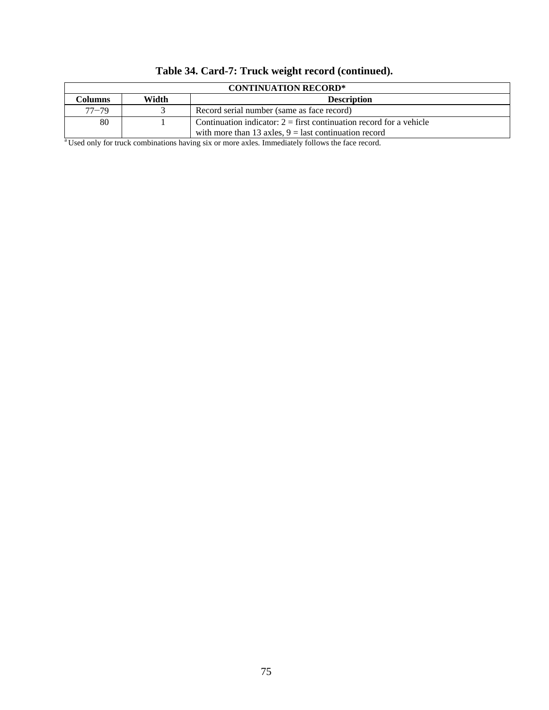| <b>CONTINUATION RECORD*</b> |       |                                                                       |  |  |  |
|-----------------------------|-------|-----------------------------------------------------------------------|--|--|--|
| Columns                     | Width | <b>Description</b>                                                    |  |  |  |
| $77 - 79$                   |       | Record serial number (same as face record)                            |  |  |  |
| 80                          |       | Continuation indicator: $2 =$ first continuation record for a vehicle |  |  |  |
|                             |       | with more than 13 axles, $9 =$ last continuation record               |  |  |  |

# **Table 34. Card-7: Truck weight record (continued).**

<sup>a</sup> Used only for truck combinations having six or more axles. Immediately follows the face record.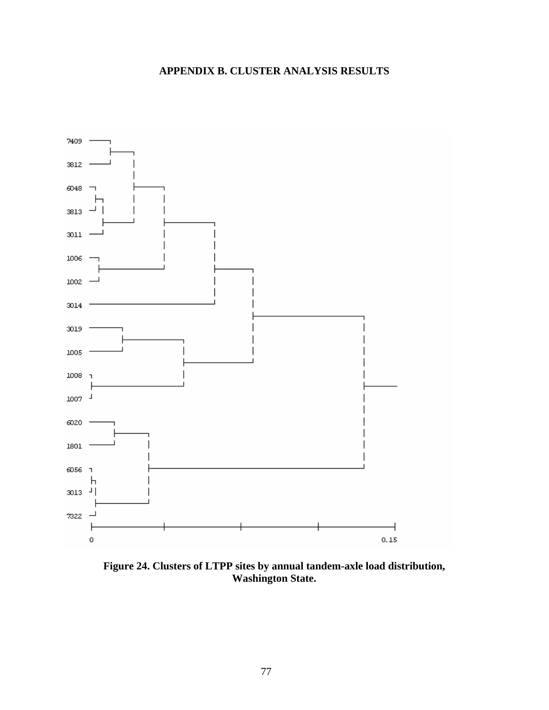# **APPENDIX B. CLUSTER ANALYSIS RESULTS**



**Figure 24. Clusters of LTPP sites by annual tandem-axle load distribution, Washington State.**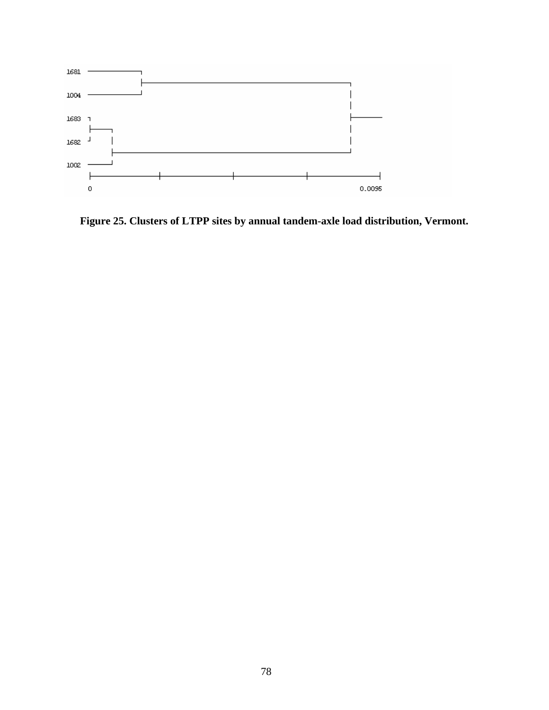

**Figure 25. Clusters of LTPP sites by annual tandem-axle load distribution, Vermont.**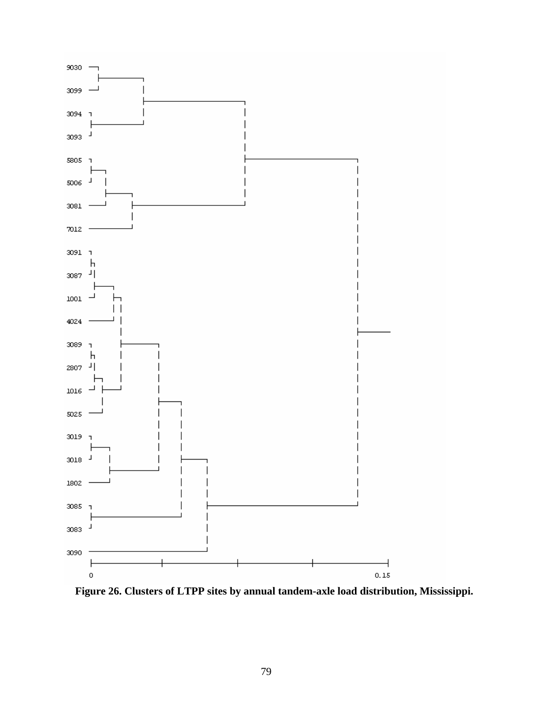

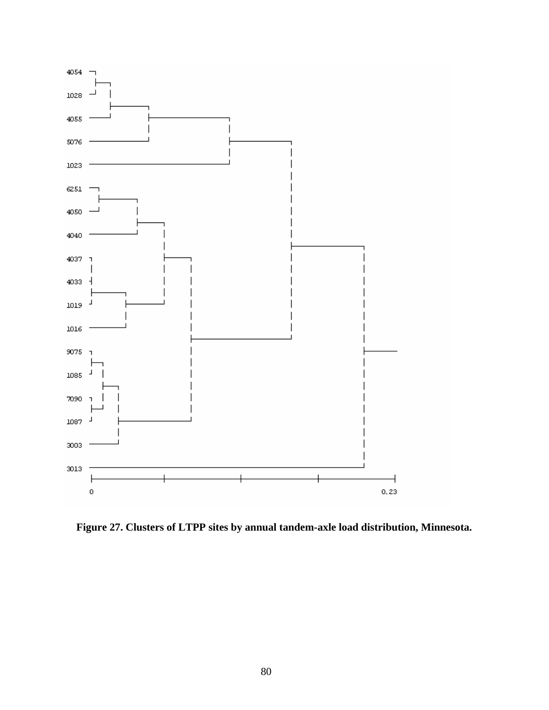

**Figure 27. Clusters of LTPP sites by annual tandem-axle load distribution, Minnesota.**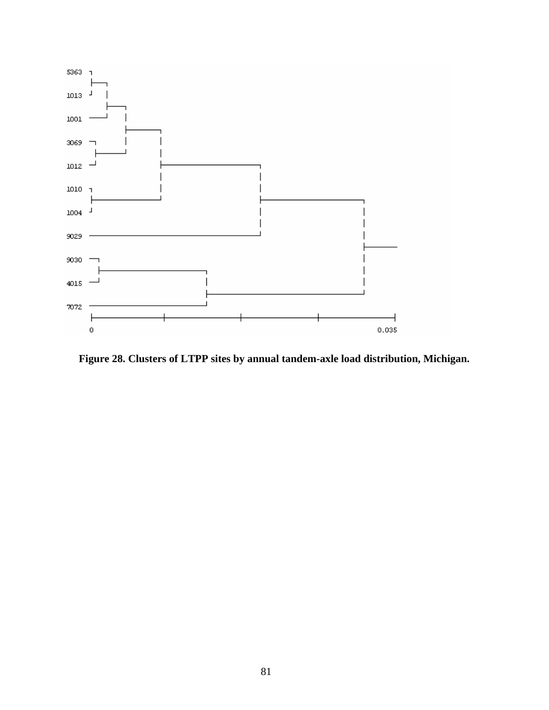

**Figure 28. Clusters of LTPP sites by annual tandem-axle load distribution, Michigan.**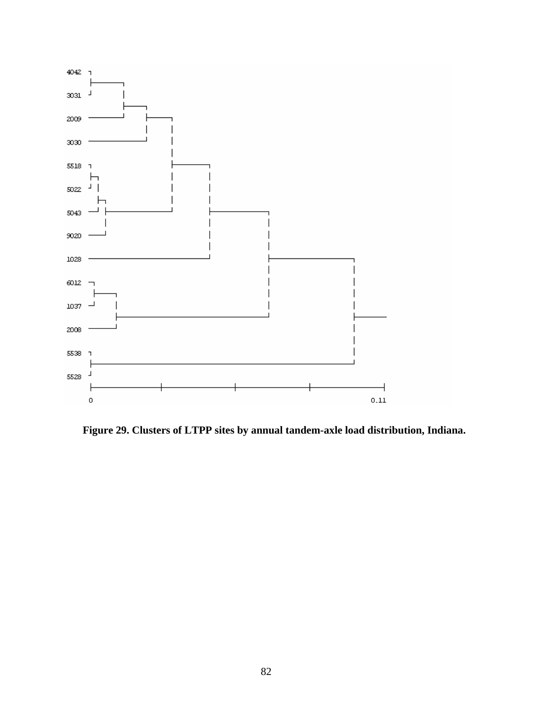

**Figure 29. Clusters of LTPP sites by annual tandem-axle load distribution, Indiana.**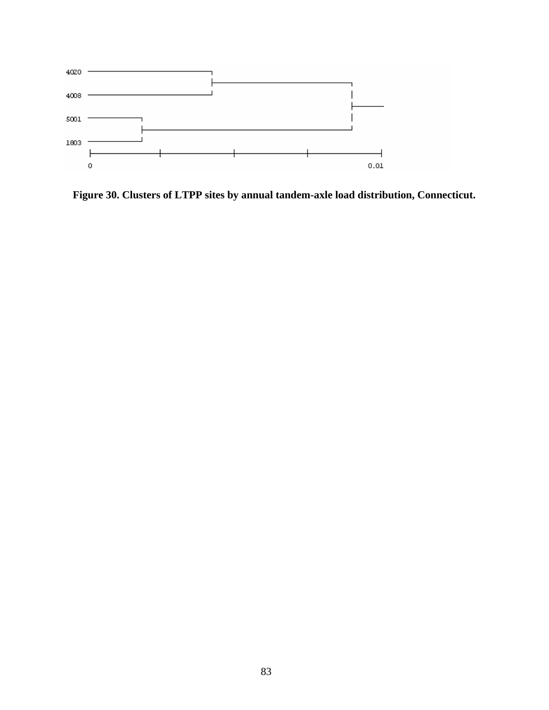

**Figure 30. Clusters of LTPP sites by annual tandem-axle load distribution, Connecticut.**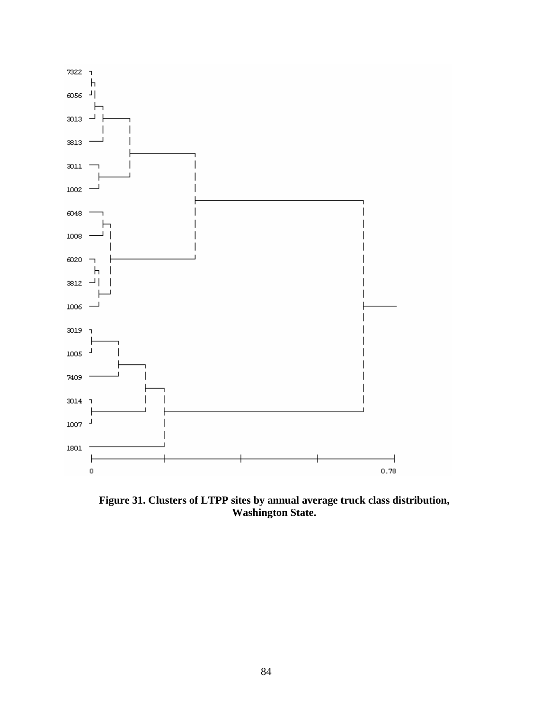

**Figure 31. Clusters of LTPP sites by annual average truck class distribution, Washington State.**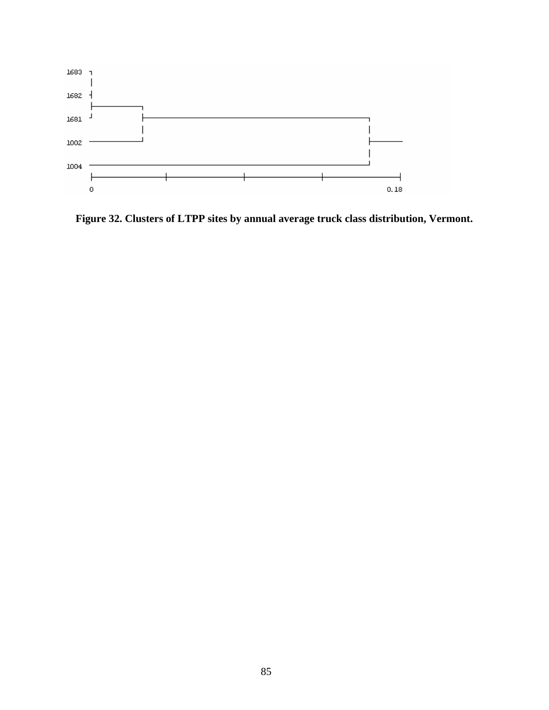

**Figure 32. Clusters of LTPP sites by annual average truck class distribution, Vermont.**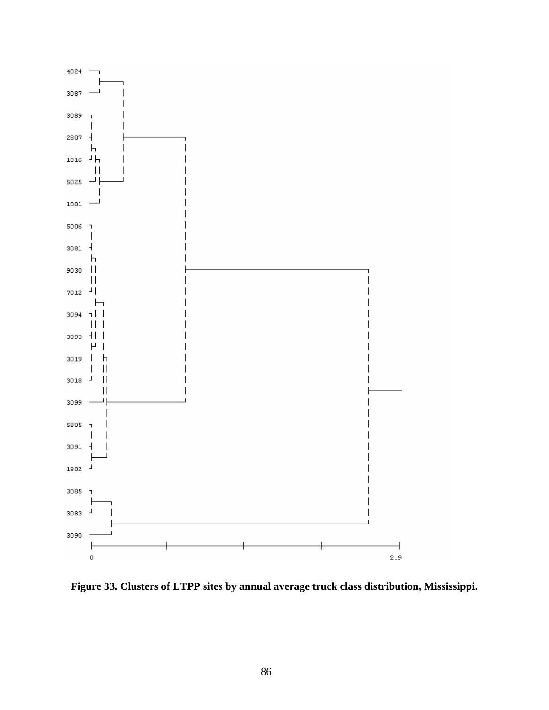

**Figure 33. Clusters of LTPP sites by annual average truck class distribution, Mississippi.**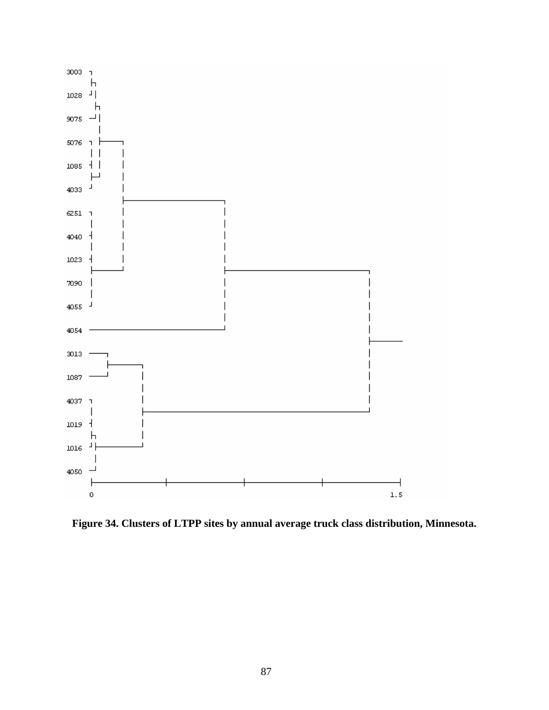

**Figure 34. Clusters of LTPP sites by annual average truck class distribution, Minnesota.**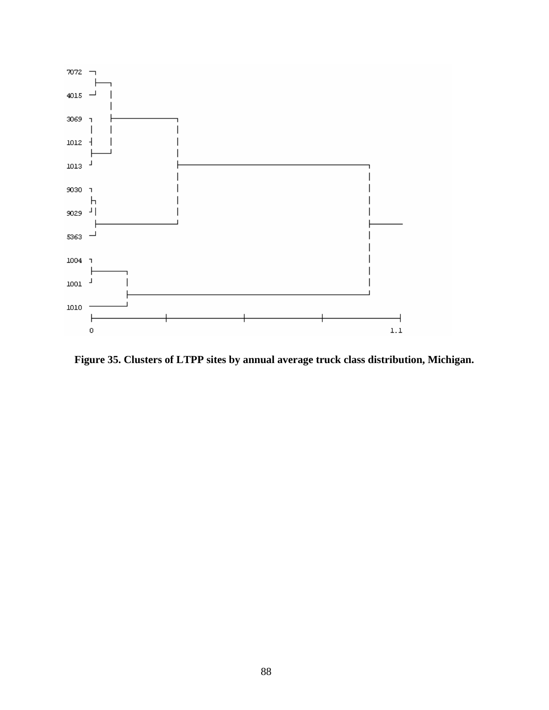

**Figure 35. Clusters of LTPP sites by annual average truck class distribution, Michigan.**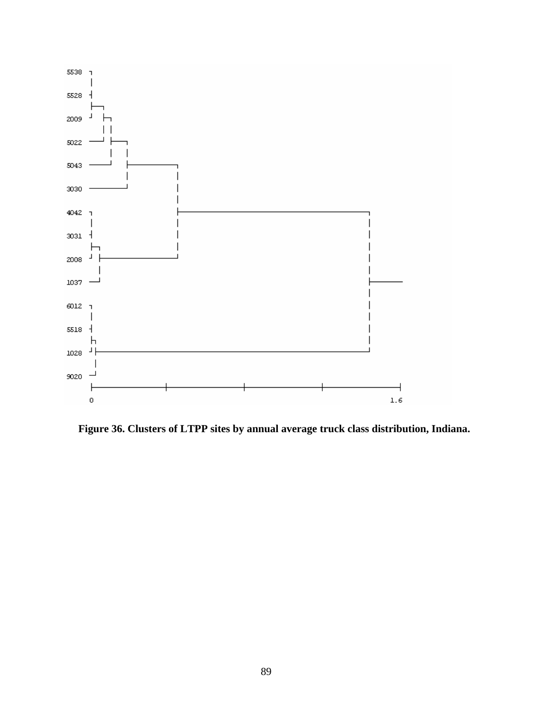

**Figure 36. Clusters of LTPP sites by annual average truck class distribution, Indiana.**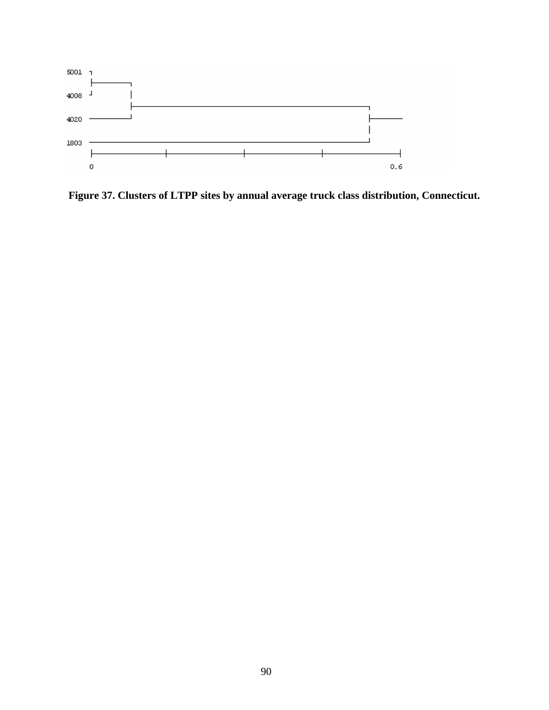

**Figure 37. Clusters of LTPP sites by annual average truck class distribution, Connecticut.**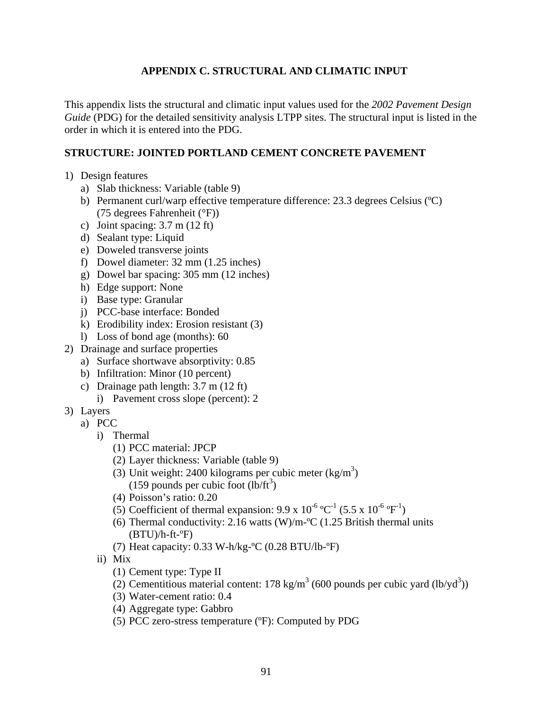## **APPENDIX C. STRUCTURAL AND CLIMATIC INPUT**

This appendix lists the structural and climatic input values used for the *2002 Pavement Design Guide* (PDG) for the detailed sensitivity analysis LTPP sites. The structural input is listed in the order in which it is entered into the PDG.

## **STRUCTURE: JOINTED PORTLAND CEMENT CONCRETE PAVEMENT**

- 1) Design features
	- a) Slab thickness: Variable (table 9)
	- b) Permanent curl/warp effective temperature difference: 23.3 degrees Celsius (ºC) (75 degrees Fahrenheit (°F))
	- c) Joint spacing:  $3.7 \text{ m}$  (12 ft)
	- d) Sealant type: Liquid
	- e) Doweled transverse joints
	- f) Dowel diameter: 32 mm (1.25 inches)
	- g) Dowel bar spacing: 305 mm (12 inches)
	- h) Edge support: None
	- i) Base type: Granular
	- j) PCC-base interface: Bonded
	- k) Erodibility index: Erosion resistant (3)
	- l) Loss of bond age (months): 60
- 2) Drainage and surface properties
	- a) Surface shortwave absorptivity: 0.85
	- b) Infiltration: Minor (10 percent)
	- c) Drainage path length: 3.7 m (12 ft)
		- i) Pavement cross slope (percent): 2
- 3) Layers
	- a) PCC
		- i) Thermal
			- (1) PCC material: JPCP
			- (2) Layer thickness: Variable (table 9)
			- (3) Unit weight: 2400 kilograms per cubic meter  $(kg/m<sup>3</sup>)$  $(159$  pounds per cubic foot  $(l\bar{b}/ft^3)$
			- (4) Poisson's ratio: 0.20
			- (5) Coefficient of thermal expansion:  $9.9 \times 10^{-6} \,^{\circ}C^{-1}$  (5.5 x  $10^{-6} \,^{\circ}F^{-1}$ )
			- (6) Thermal conductivity: 2.16 watts  $(W)/m$ <sup>-o</sup>C (1.25 British thermal units  $(BTU)/h$ -ft- ${}^{\circ}F)$
			- (7) Heat capacity: 0.33 W-h/kg-ºC (0.28 BTU/lb-ºF)
		- ii) Mix
			- (1) Cement type: Type II
			- (2) Cementitious material content:  $178 \text{ kg/m}^3$  (600 pounds per cubic yard (lb/yd<sup>3</sup>))
			- (3) Water-cement ratio: 0.4
			- (4) Aggregate type: Gabbro
			- (5) PCC zero-stress temperature (ºF): Computed by PDG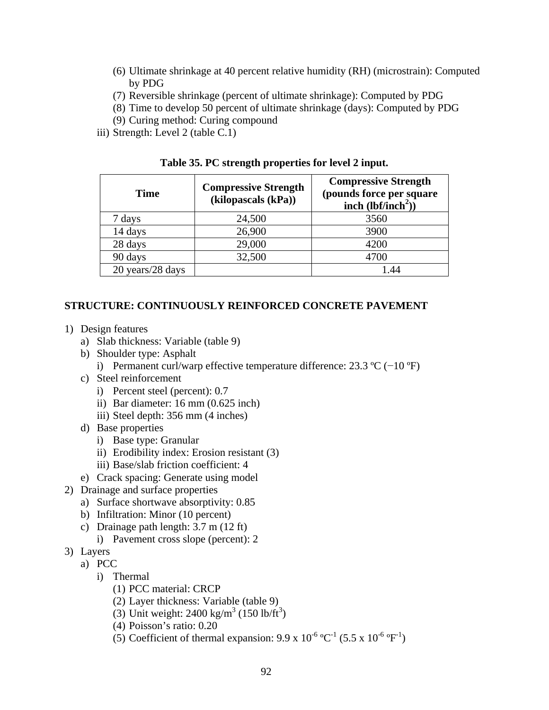- (6) Ultimate shrinkage at 40 percent relative humidity (RH) (microstrain): Computed by PDG
- (7) Reversible shrinkage (percent of ultimate shrinkage): Computed by PDG
- (8) Time to develop 50 percent of ultimate shrinkage (days): Computed by PDG
- (9) Curing method: Curing compound
- iii) Strength: Level 2 (table C.1)

| <b>Time</b>      | <b>Compressive Strength</b><br>(kilopascals (kPa)) | <b>Compressive Strength</b><br>(pounds force per square<br>inch $(lbf/inch2)$ |
|------------------|----------------------------------------------------|-------------------------------------------------------------------------------|
| 7 days           | 24,500                                             | 3560                                                                          |
| 14 days          | 26,900                                             | 3900                                                                          |
| 28 days          | 29,000                                             | 4200                                                                          |
| 90 days          | 32,500                                             | 4700                                                                          |
| 20 years/28 days |                                                    |                                                                               |

**Table 35. PC strength properties for level 2 input.** 

### **STRUCTURE: CONTINUOUSLY REINFORCED CONCRETE PAVEMENT**

- 1) Design features
	- a) Slab thickness: Variable (table 9)
	- b) Shoulder type: Asphalt
		- i) Permanent curl/warp effective temperature difference: 23.3 ºC (−10 ºF)
	- c) Steel reinforcement
		- i) Percent steel (percent): 0.7
		- ii) Bar diameter: 16 mm (0.625 inch)
		- iii) Steel depth: 356 mm (4 inches)
	- d) Base properties
		- i) Base type: Granular
		- ii) Erodibility index: Erosion resistant (3)
		- iii) Base/slab friction coefficient: 4
	- e) Crack spacing: Generate using model
- 2) Drainage and surface properties
	- a) Surface shortwave absorptivity: 0.85
	- b) Infiltration: Minor (10 percent)
	- c) Drainage path length: 3.7 m (12 ft)
		- i) Pavement cross slope (percent): 2
- 3) Layers
	- a) PCC
		- i) Thermal
			- (1) PCC material: CRCP
			- (2) Layer thickness: Variable (table 9)
			- (3) Unit weight:  $2400 \text{ kg/m}^3$  (150 lb/ft<sup>3</sup>)
			- (4) Poisson's ratio: 0.20
			- (5) Coefficient of thermal expansion:  $9.9 \times 10^{-6} \,^{\circ}C^{-1}$  (5.5 x  $10^{-6} \,^{\circ}F^{-1}$ )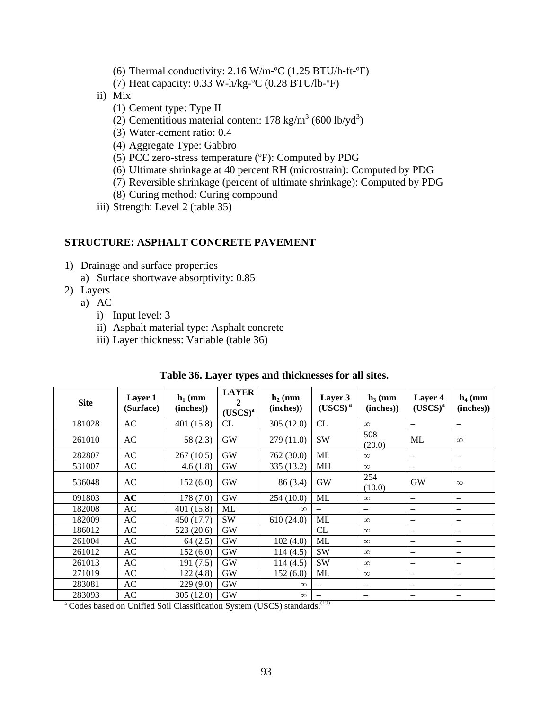- (6) Thermal conductivity:  $2.16 \text{ W/m-}^{\circ}\text{C}$  (1.25 BTU/h-ft- $^{\circ}\text{F}$ )
- (7) Heat capacity: 0.33 W-h/kg-ºC (0.28 BTU/lb-ºF)
- ii) Mix
	- (1) Cement type: Type II
	- (2) Cementitious material content:  $178 \text{ kg/m}^3$  (600 lb/yd<sup>3</sup>)
	- (3) Water-cement ratio: 0.4
	- (4) Aggregate Type: Gabbro
	- (5) PCC zero-stress temperature (ºF): Computed by PDG
	- (6) Ultimate shrinkage at 40 percent RH (microstrain): Computed by PDG
	- (7) Reversible shrinkage (percent of ultimate shrinkage): Computed by PDG
	- (8) Curing method: Curing compound
- iii) Strength: Level 2 (table 35)

#### **STRUCTURE: ASPHALT CONCRETE PAVEMENT**

- 1) Drainage and surface properties
	- a) Surface shortwave absorptivity: 0.85
- 2) Layers
	- a) AC
		- i) Input level: 3
		- ii) Asphalt material type: Asphalt concrete
		- iii) Layer thickness: Variable (table 36)

| <b>Site</b> | Layer 1<br>(Surface) | $h_1$ (mm<br>(inches) | <b>LAYER</b><br>$\mathbf{2}$<br>$(USCS)^a$ | $\mathbf{h}_2$ (mm<br>(inches) | Layer 3<br>(USCS) <sup>a</sup> | $\mathbf{h}_3$ (mm<br>(inches) | Layer 4<br>$(USCS)^a$    | $h_4$ (mm<br>(inches)    |
|-------------|----------------------|-----------------------|--------------------------------------------|--------------------------------|--------------------------------|--------------------------------|--------------------------|--------------------------|
| 181028      | AC                   | 401 (15.8)            | CL                                         | 305 (12.0)                     | CL                             | $\infty$                       | -                        | $\overline{\phantom{m}}$ |
| 261010      | AC                   | 58 (2.3)              | <b>GW</b>                                  | 279 (11.0)                     | <b>SW</b>                      | 508<br>(20.0)                  | ML                       | $\infty$                 |
| 282807      | AC                   | 267 (10.5)            | <b>GW</b>                                  | 762 (30.0)                     | ML                             | $\infty$                       | $\overline{\phantom{0}}$ | $\qquad \qquad -$        |
| 531007      | AC                   | 4.6(1.8)              | <b>GW</b>                                  | 335 (13.2)                     | MH                             | $\infty$                       | $\qquad \qquad -$        | $\overline{\phantom{m}}$ |
| 536048      | AC                   | 152(6.0)              | GW                                         | 86 (3.4)                       | GW                             | 254<br>(10.0)                  | <b>GW</b>                | $\infty$                 |
| 091803      | AC                   | 178 (7.0)             | GW                                         | 254 (10.0)                     | ML                             | $\infty$                       | $\qquad \qquad -$        | $\overline{\phantom{m}}$ |
| 182008      | AC                   | 401 (15.8)            | ML                                         | $\infty$                       |                                |                                | $\overline{\phantom{0}}$ | $\overline{\phantom{m}}$ |
| 182009      | AC                   | 450 (17.7)            | <b>SW</b>                                  | 610(24.0)                      | ML                             | $\infty$                       | $\qquad \qquad$          | $\overline{\phantom{m}}$ |
| 186012      | AC                   | 523 (20.6)            | <b>GW</b>                                  |                                | CL                             | $\infty$                       | $\qquad \qquad -$        | $\overline{\phantom{m}}$ |
| 261004      | AC                   | 64(2.5)               | <b>GW</b>                                  | 102(4.0)                       | ML                             | $\infty$                       | $\overline{\phantom{m}}$ | $\overline{\phantom{m}}$ |
| 261012      | AC                   | 152(6.0)              | <b>GW</b>                                  | 114(4.5)                       | <b>SW</b>                      | $\infty$                       | $\overline{\phantom{m}}$ | $\qquad \qquad$          |
| 261013      | AC                   | 191 (7.5)             | <b>GW</b>                                  | 114(4.5)                       | <b>SW</b>                      | $\infty$                       | -                        | $\overline{\phantom{m}}$ |
| 271019      | AC                   | 122(4.8)              | <b>GW</b>                                  | 152(6.0)                       | ML                             | $\infty$                       | $\overline{\phantom{m}}$ | $\overline{\phantom{m}}$ |
| 283081      | AC                   | 229(9.0)              | <b>GW</b>                                  | $\infty$                       |                                | $\overline{\phantom{m}}$       | $\overline{\phantom{0}}$ | $\overline{\phantom{m}}$ |
| 283093      | AC                   | 305 (12.0)            | <b>GW</b>                                  | $\infty$                       |                                |                                |                          |                          |

#### **Table 36. Layer types and thicknesses for all sites.**

<sup>a</sup> Codes based on Unified Soil Classification System (USCS) standards.<sup>(19)</sup>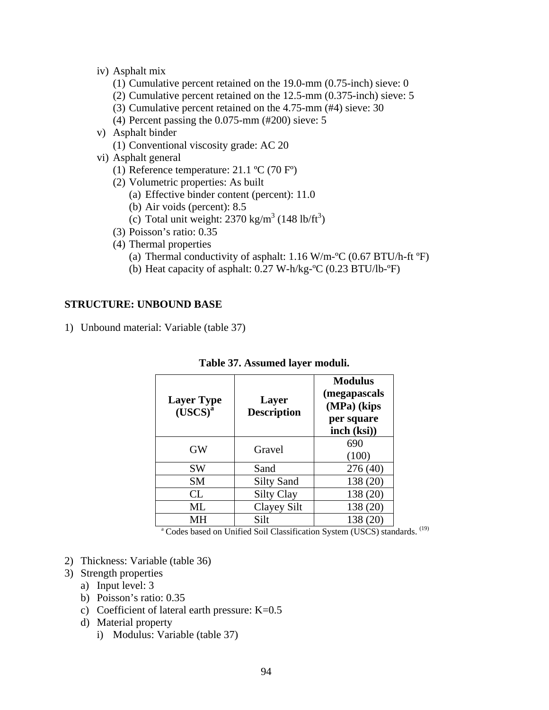- iv) Asphalt mix
	- (1) Cumulative percent retained on the 19.0-mm (0.75-inch) sieve: 0
	- (2) Cumulative percent retained on the 12.5-mm (0.375-inch) sieve: 5
	- (3) Cumulative percent retained on the 4.75-mm (#4) sieve: 30
	- (4) Percent passing the 0.075-mm (#200) sieve: 5
- v) Asphalt binder
	- (1) Conventional viscosity grade: AC 20
- vi) Asphalt general
	- (1) Reference temperature: 21.1 ºC (70 Fº)
	- (2) Volumetric properties: As built
		- (a) Effective binder content (percent): 11.0
		- (b) Air voids (percent): 8.5
		- (c) Total unit weight:  $2370 \text{ kg/m}^3$  (148 lb/ft<sup>3</sup>)
	- (3) Poisson's ratio: 0.35
	- (4) Thermal properties
		- (a) Thermal conductivity of asphalt:  $1.16$  W/m- $\degree$ C (0.67 BTU/h-ft  $\degree$ F)
		- (b) Heat capacity of asphalt: 0.27 W-h/kg-ºC (0.23 BTU/lb-ºF)

### **STRUCTURE: UNBOUND BASE**

1) Unbound material: Variable (table 37)

| <b>Layer Type</b><br>(USCS) <sup>a</sup> | <b>Layer</b><br><b>Description</b> | <b>Modulus</b><br>(megapascals<br>(MPa) (kips<br>per square<br>inch (ksi) |
|------------------------------------------|------------------------------------|---------------------------------------------------------------------------|
| GW                                       | Gravel                             | 690<br>(100)                                                              |
| <b>SW</b>                                | Sand                               | 276 (40)                                                                  |
| <b>SM</b>                                | <b>Silty Sand</b>                  | 138 (20)                                                                  |
| CL                                       | <b>Silty Clay</b>                  | 138 (20)                                                                  |
| ML                                       | Clayey Silt                        | 138 (20)                                                                  |
| MН                                       | Silt                               | 138                                                                       |

#### **Table 37. Assumed layer moduli.**

<sup>a</sup> Codes based on Unified Soil Classification System (USCS) standards. <sup>(19)</sup>

- 2) Thickness: Variable (table 36)
- 3) Strength properties
	- a) Input level: 3
	- b) Poisson's ratio: 0.35
	- c) Coefficient of lateral earth pressure: K=0.5
	- d) Material property
		- i) Modulus: Variable (table 37)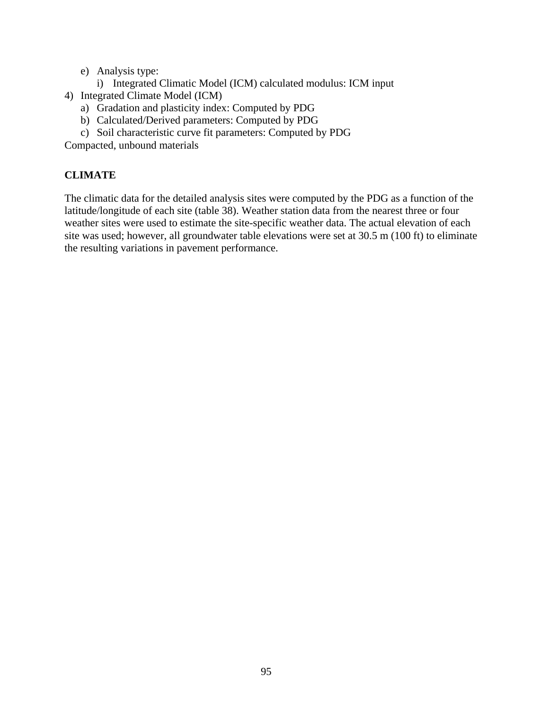- e) Analysis type:
	- i) Integrated Climatic Model (ICM) calculated modulus: ICM input
- 4) Integrated Climate Model (ICM)
	- a) Gradation and plasticity index: Computed by PDG
	- b) Calculated/Derived parameters: Computed by PDG
	- c) Soil characteristic curve fit parameters: Computed by PDG

Compacted, unbound materials

# **CLIMATE**

The climatic data for the detailed analysis sites were computed by the PDG as a function of the latitude/longitude of each site (table 38). Weather station data from the nearest three or four weather sites were used to estimate the site-specific weather data. The actual elevation of each site was used; however, all groundwater table elevations were set at 30.5 m (100 ft) to eliminate the resulting variations in pavement performance.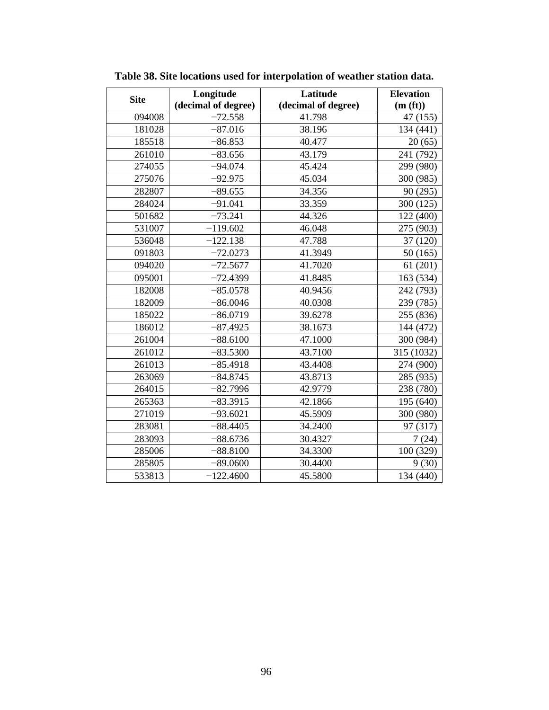| <b>Site</b> | Longitude           | Latitude            | <b>Elevation</b> |
|-------------|---------------------|---------------------|------------------|
|             | (decimal of degree) | (decimal of degree) | (m(ft))          |
| 094008      | $-72.558$           | 41.798              | 47 (155)         |
| 181028      | $-87.016$           | 38.196              | 134 (441)        |
| 185518      | $-86.853$           | 40.477              | 20(65)           |
| 261010      | $-83.656$           | 43.179              | 241 (792)        |
| 274055      | $-94.074$           | 45.424              | 299 (980)        |
| 275076      | $-92.975$           | 45.034              | 300 (985)        |
| 282807      | $-89.655$           | 34.356              | 90 (295)         |
| 284024      | $-91.041$           | 33.359              | 300 (125)        |
| 501682      | $-73.241$           | 44.326              | 122 (400)        |
| 531007      | $-119.602$          | 46.048              | 275 (903)        |
| 536048      | $-122.138$          | 47.788              | 37 (120)         |
| 091803      | $-72.0273$          | 41.3949             | 50(165)          |
| 094020      | $-72.5677$          | 41.7020             | 61(201)          |
| 095001      | $-72.4399$          | 41.8485             | 163 (534)        |
| 182008      | $-85.0578$          | 40.9456             | 242 (793)        |
| 182009      | $-86.0046$          | 40.0308             | 239 (785)        |
| 185022      | $-86.0719$          | 39.6278             | 255 (836)        |
| 186012      | $-87.4925$          | 38.1673             | 144 (472)        |
| 261004      | $-88.6100$          | 47.1000             | 300 (984)        |
| 261012      | $-83.5300$          | 43.7100             | 315 (1032)       |
| 261013      | $-85.4918$          | 43.4408             | 274 (900)        |
| 263069      | $-84.8745$          | 43.8713             | 285 (935)        |
| 264015      | $-82.7996$          | 42.9779             | 238 (780)        |
| 265363      | $-83.3915$          | 42.1866             | 195 (640)        |
| 271019      | $-93.6021$          | 45.5909             | 300 (980)        |
| 283081      | $-88.4405$          | 34.2400             | 97 (317)         |
| 283093      | $-88.6736$          | 30.4327             | 7(24)            |
| 285006      | $-88.8100$          | 34.3300             | 100 (329)        |
| 285805      | $-89.0600$          | 30.4400             | 9(30)            |
| 533813      | $-122.4600$         | 45.5800             | 134 (440)        |

**Table 38. Site locations used for interpolation of weather station data.**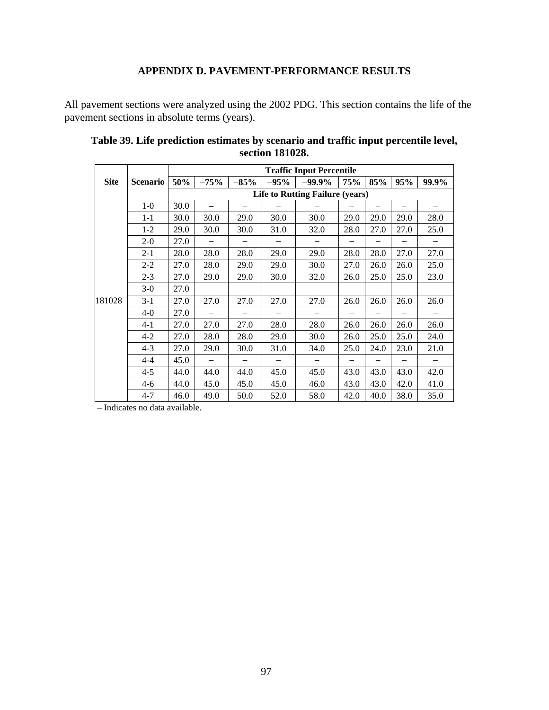## **APPENDIX D. PAVEMENT-PERFORMANCE RESULTS**

All pavement sections were analyzed using the 2002 PDG. This section contains the life of the pavement sections in absolute terms (years).

|             |                 | <b>Traffic Input Percentile</b>        |                          |        |        |           |                          |      |      |       |  |  |  |
|-------------|-----------------|----------------------------------------|--------------------------|--------|--------|-----------|--------------------------|------|------|-------|--|--|--|
| <b>Site</b> | <b>Scenario</b> | 50%                                    | $-75%$                   | $-85%$ | $-95%$ | $-99.9\%$ | <b>75%</b>               | 85%  | 95%  | 99.9% |  |  |  |
|             |                 | <b>Life to Rutting Failure (years)</b> |                          |        |        |           |                          |      |      |       |  |  |  |
|             | $1-0$           | 30.0                                   |                          |        |        |           |                          |      |      |       |  |  |  |
|             | $1 - 1$         | 30.0                                   | 30.0                     | 29.0   | 30.0   | 30.0      | 29.0                     | 29.0 | 29.0 | 28.0  |  |  |  |
|             | $1-2$           | 29.0                                   | 30.0                     | 30.0   | 31.0   | 32.0      | 28.0                     | 27.0 | 27.0 | 25.0  |  |  |  |
|             | $2 - 0$         | 27.0                                   |                          |        |        |           |                          |      |      |       |  |  |  |
|             | $2 - 1$         | 28.0                                   | 28.0                     | 28.0   | 29.0   | 29.0      | 28.0                     | 28.0 | 27.0 | 27.0  |  |  |  |
|             | $2 - 2$         | 27.0                                   | 28.0                     | 29.0   | 29.0   | 30.0      | 27.0                     | 26.0 | 26.0 | 25.0  |  |  |  |
|             | $2 - 3$         | 27.0                                   | 29.0                     | 29.0   | 30.0   | 32.0      | 26.0                     | 25.0 | 25.0 | 23.0  |  |  |  |
|             | $3-0$           | 27.0                                   |                          |        |        |           |                          |      |      |       |  |  |  |
| 181028      | $3-1$           | 27.0                                   | 27.0                     | 27.0   | 27.0   | 27.0      | 26.0                     | 26.0 | 26.0 | 26.0  |  |  |  |
|             | $4 - 0$         | 27.0                                   |                          |        |        |           | $\overline{\phantom{0}}$ |      |      |       |  |  |  |
|             | $4-1$           | 27.0                                   | 27.0                     | 27.0   | 28.0   | 28.0      | 26.0                     | 26.0 | 26.0 | 26.0  |  |  |  |
|             | $4 - 2$         | 27.0                                   | 28.0                     | 28.0   | 29.0   | 30.0      | 26.0                     | 25.0 | 25.0 | 24.0  |  |  |  |
|             | $4 - 3$         | 27.0                                   | 29.0                     | 30.0   | 31.0   | 34.0      | 25.0                     | 24.0 | 23.0 | 21.0  |  |  |  |
|             | $4 - 4$         | 45.0                                   | $\overline{\phantom{0}}$ |        |        |           | $\overline{\phantom{0}}$ |      |      |       |  |  |  |
|             | $4 - 5$         | 44.0                                   | 44.0                     | 44.0   | 45.0   | 45.0      | 43.0                     | 43.0 | 43.0 | 42.0  |  |  |  |
|             | $4-6$           | 44.0                                   | 45.0                     | 45.0   | 45.0   | 46.0      | 43.0                     | 43.0 | 42.0 | 41.0  |  |  |  |
|             | $4 - 7$         | 46.0                                   | 49.0                     | 50.0   | 52.0   | 58.0      | 42.0                     | 40.0 | 38.0 | 35.0  |  |  |  |

## **Table 39. Life prediction estimates by scenario and traffic input percentile level, section 181028.**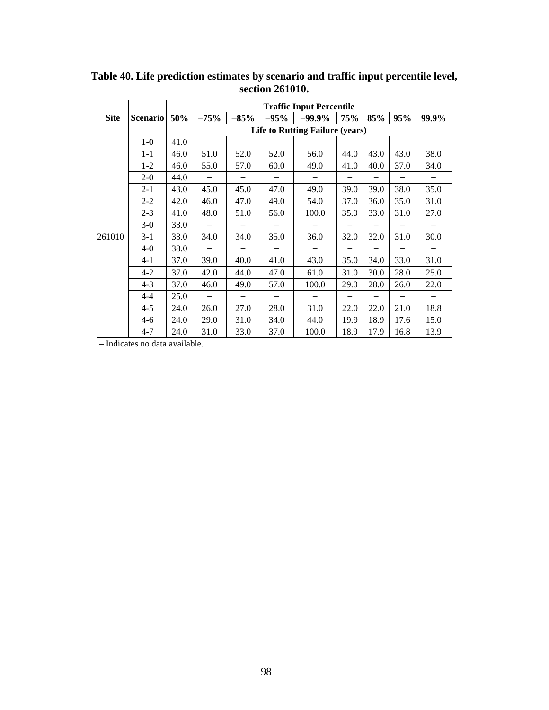|             |                 | <b>Traffic Input Percentile</b>        |                          |        |        |           |      |      |                          |       |  |  |  |
|-------------|-----------------|----------------------------------------|--------------------------|--------|--------|-----------|------|------|--------------------------|-------|--|--|--|
| <b>Site</b> | <b>Scenario</b> | 50%                                    | $-75%$                   | $-85%$ | $-95%$ | $-99.9\%$ | 75%  | 85%  | 95%                      | 99.9% |  |  |  |
|             |                 | <b>Life to Rutting Failure (years)</b> |                          |        |        |           |      |      |                          |       |  |  |  |
|             | $1-0$           | 41.0                                   |                          |        |        |           |      |      |                          |       |  |  |  |
|             | $1 - 1$         | 46.0                                   | 51.0                     | 52.0   | 52.0   | 56.0      | 44.0 | 43.0 | 43.0                     | 38.0  |  |  |  |
|             | $1 - 2$         | 46.0                                   | 55.0                     | 57.0   | 60.0   | 49.0      | 41.0 | 40.0 | 37.0                     | 34.0  |  |  |  |
|             | $2-0$           | 44.0                                   |                          |        |        |           |      |      |                          |       |  |  |  |
|             | $2 - 1$         | 43.0                                   | 45.0                     | 45.0   | 47.0   | 49.0      | 39.0 | 39.0 | 38.0                     | 35.0  |  |  |  |
|             | $2 - 2$         | 42.0                                   | 46.0                     | 47.0   | 49.0   | 54.0      | 37.0 | 36.0 | 35.0                     | 31.0  |  |  |  |
|             | $2 - 3$         | 41.0                                   | 48.0                     | 51.0   | 56.0   | 100.0     | 35.0 | 33.0 | 31.0                     | 27.0  |  |  |  |
|             | $3-0$           | 33.0                                   |                          |        |        |           |      |      |                          |       |  |  |  |
| 261010      | $3-1$           | 33.0                                   | 34.0                     | 34.0   | 35.0   | 36.0      | 32.0 | 32.0 | 31.0                     | 30.0  |  |  |  |
|             | $4 - 0$         | 38.0                                   |                          |        |        |           |      |      |                          |       |  |  |  |
|             | $4-1$           | 37.0                                   | 39.0                     | 40.0   | 41.0   | 43.0      | 35.0 | 34.0 | 33.0                     | 31.0  |  |  |  |
|             | $4 - 2$         | 37.0                                   | 42.0                     | 44.0   | 47.0   | 61.0      | 31.0 | 30.0 | 28.0                     | 25.0  |  |  |  |
|             | $4 - 3$         | 37.0                                   | 46.0                     | 49.0   | 57.0   | 100.0     | 29.0 | 28.0 | 26.0                     | 22.0  |  |  |  |
|             | $4 - 4$         | 25.0                                   | $\overline{\phantom{0}}$ |        | -      |           |      |      | $\overline{\phantom{0}}$ |       |  |  |  |
|             | $4 - 5$         | 24.0                                   | 26.0                     | 27.0   | 28.0   | 31.0      | 22.0 | 22.0 | 21.0                     | 18.8  |  |  |  |
|             | $4-6$           | 24.0                                   | 29.0                     | 31.0   | 34.0   | 44.0      | 19.9 | 18.9 | 17.6                     | 15.0  |  |  |  |
|             | $4 - 7$         | 24.0                                   | 31.0                     | 33.0   | 37.0   | 100.0     | 18.9 | 17.9 | 16.8                     | 13.9  |  |  |  |

**Table 40. Life prediction estimates by scenario and traffic input percentile level, section 261010.**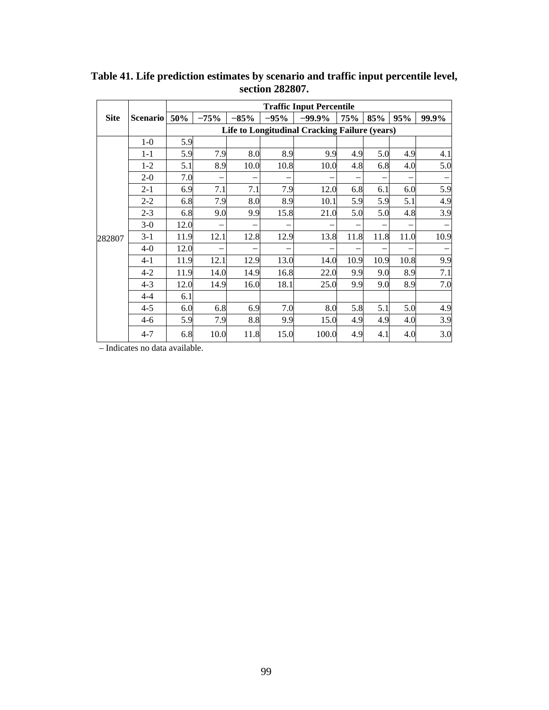|             |                 |                                                      | <b>Traffic Input Percentile</b> |        |        |          |      |                          |      |       |  |  |  |  |
|-------------|-----------------|------------------------------------------------------|---------------------------------|--------|--------|----------|------|--------------------------|------|-------|--|--|--|--|
| <b>Site</b> | <b>Scenario</b> | 50%                                                  | $-75%$                          | $-85%$ | $-95%$ | $-99.9%$ | 75%  | 85%                      | 95%  | 99.9% |  |  |  |  |
|             |                 | <b>Life to Longitudinal Cracking Failure (years)</b> |                                 |        |        |          |      |                          |      |       |  |  |  |  |
|             | $1-0$           | 5.9                                                  |                                 |        |        |          |      |                          |      |       |  |  |  |  |
|             | $1 - 1$         | 5.9                                                  | 7.9                             | 8.0    | 8.9    | 9.9      | 4.9  | 5.0                      | 4.9  | 4.1   |  |  |  |  |
|             | $1 - 2$         | 5.1                                                  | 8.9                             | 10.0   | 10.8   | 10.0     | 4.8  | 6.8                      | 4.0  | 5.0   |  |  |  |  |
|             | $2 - 0$         | 7.0                                                  | -                               |        |        |          |      | $\overline{\phantom{0}}$ |      |       |  |  |  |  |
|             | $2 - 1$         | 6.9                                                  | 7.1                             | 7.1    | 7.9    | 12.0     | 6.8  | 6.1                      | 6.0  | 5.9   |  |  |  |  |
|             | $2 - 2$         | 6.8                                                  | 7.9                             | 8.0    | 8.9    | 10.1     | 5.9  | 5.9                      | 5.1  | 4.9   |  |  |  |  |
|             | $2 - 3$         | 6.8                                                  | 9.0                             | 9.9    | 15.8   | 21.0     | 5.0  | 5.0                      | 4.8  | 3.9   |  |  |  |  |
|             | $3-0$           | 12.0                                                 | -                               |        |        |          |      | -                        |      |       |  |  |  |  |
| 282807      | $3-1$           | 11.9                                                 | 12.1                            | 12.8   | 12.9   | 13.8     | 11.8 | 11.8                     | 11.0 | 10.9  |  |  |  |  |
|             | $4-0$           | 12.0                                                 |                                 |        |        |          |      |                          |      |       |  |  |  |  |
|             | $4 - 1$         | 11.9                                                 | 12.1                            | 12.9   | 13.0   | 14.0     | 10.9 | 10.9                     | 10.8 | 9.9   |  |  |  |  |
|             | $4 - 2$         | 11.9                                                 | 14.0                            | 14.9   | 16.8   | 22.0     | 9.9  | 9.0                      | 8.9  | 7.1   |  |  |  |  |
|             | $4 - 3$         | 12.0                                                 | 14.9                            | 16.0   | 18.1   | 25.0     | 9.9  | 9.0                      | 8.9  | 7.0   |  |  |  |  |
|             | $4 - 4$         | 6.1                                                  |                                 |        |        |          |      |                          |      |       |  |  |  |  |
|             | $4 - 5$         | 6.0                                                  | 6.8                             | 6.9    | 7.0    | 8.0      | 5.8  | 5.1                      | 5.0  | 4.9   |  |  |  |  |
|             | $4 - 6$         | 5.9                                                  | 7.9                             | 8.8    | 9.9    | 15.0     | 4.9  | 4.9                      | 4.0  | 3.9   |  |  |  |  |
|             | $4 - 7$         | 6.8                                                  | 10.0                            | 11.8   | 15.0   | 100.0    | 4.9  | 4.1                      | 4.0  | 3.0   |  |  |  |  |

**Table 41. Life prediction estimates by scenario and traffic input percentile level, section 282807.**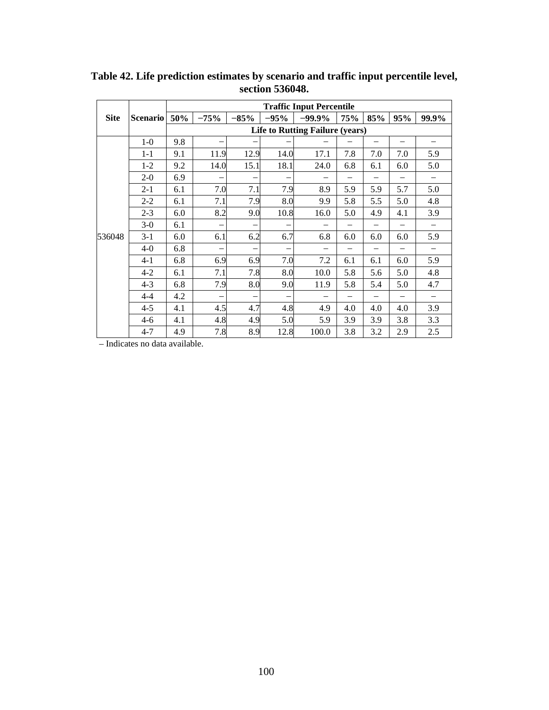|             |                 | <b>Traffic Input Percentile</b> |                          |        |                          |                                        |                          |     |     |       |  |  |  |
|-------------|-----------------|---------------------------------|--------------------------|--------|--------------------------|----------------------------------------|--------------------------|-----|-----|-------|--|--|--|
| <b>Site</b> | <b>Scenario</b> | 50%                             | $-75%$                   | $-85%$ | $-95%$                   | $-99.9\%$                              | <b>75%</b>               | 85% | 95% | 99.9% |  |  |  |
|             |                 |                                 |                          |        |                          | <b>Life to Rutting Failure (years)</b> |                          |     |     |       |  |  |  |
|             | $1-0$           | 9.8                             |                          |        |                          |                                        |                          |     |     |       |  |  |  |
|             | $1 - 1$         | 9.1                             | 11.9                     | 12.9   | 14.0                     | 17.1                                   | 7.8                      | 7.0 | 7.0 | 5.9   |  |  |  |
|             | $1 - 2$         | 9.2                             | 14.0                     | 15.1   | 18.1                     | 24.0                                   | 6.8                      | 6.1 | 6.0 | 5.0   |  |  |  |
|             | $2 - 0$         | 6.9                             | -                        |        | -                        |                                        |                          |     |     |       |  |  |  |
|             | $2 - 1$         | 6.1                             | 7.0                      | 7.1    | 7.9                      | 8.9                                    | 5.9                      | 5.9 | 5.7 | 5.0   |  |  |  |
|             | $2 - 2$         | 6.1                             | 7.1                      | 7.9    | 8.0                      | 9.9                                    | 5.8                      | 5.5 | 5.0 | 4.8   |  |  |  |
|             | $2 - 3$         | 6.0                             | 8.2                      | 9.0    | 10.8                     | 16.0                                   | 5.0                      | 4.9 | 4.1 | 3.9   |  |  |  |
|             | $3-0$           | 6.1                             | $\overline{\phantom{0}}$ |        | -                        |                                        |                          |     |     |       |  |  |  |
| 536048      | $3-1$           | 6.0                             | 6.1                      | 6.2    | 6.7                      | 6.8                                    | 6.0                      | 6.0 | 6.0 | 5.9   |  |  |  |
|             | $4 - 0$         | 6.8                             | -                        |        | -                        |                                        | $\overline{\phantom{0}}$ |     |     |       |  |  |  |
|             | $4-1$           | 6.8                             | 6.9                      | 6.9    | 7.0                      | 7.2                                    | 6.1                      | 6.1 | 6.0 | 5.9   |  |  |  |
|             | $4 - 2$         | 6.1                             | 7.1                      | 7.8    | 8.0                      | 10.0                                   | 5.8                      | 5.6 | 5.0 | 4.8   |  |  |  |
|             | $4 - 3$         | 6.8                             | 7.9                      | 8.0    | 9.0                      | 11.9                                   | 5.8                      | 5.4 | 5.0 | 4.7   |  |  |  |
|             | $4 - 4$         | 4.2                             | $\overline{\phantom{0}}$ |        | $\overline{\phantom{0}}$ |                                        |                          |     |     |       |  |  |  |
|             | $4 - 5$         | 4.1                             | 4.5                      | 4.7    | 4.8                      | 4.9                                    | 4.0                      | 4.0 | 4.0 | 3.9   |  |  |  |
|             | $4-6$           | 4.1                             | 4.8                      | 4.9    | 5.0                      | 5.9                                    | 3.9                      | 3.9 | 3.8 | 3.3   |  |  |  |
|             | $4 - 7$         | 4.9                             | 7.8                      | 8.9    | 12.8                     | 100.0                                  | 3.8                      | 3.2 | 2.9 | 2.5   |  |  |  |

**Table 42. Life prediction estimates by scenario and traffic input percentile level, section 536048.**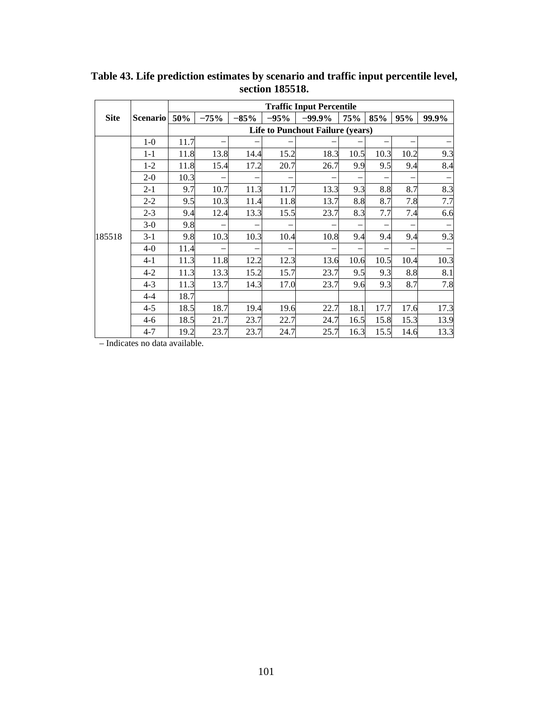|             |                 | <b>Traffic Input Percentile</b> |        |        |        |                                         |            |                          |      |       |  |  |  |
|-------------|-----------------|---------------------------------|--------|--------|--------|-----------------------------------------|------------|--------------------------|------|-------|--|--|--|
| <b>Site</b> | <b>Scenario</b> | 50%                             | $-75%$ | $-85%$ | $-95%$ | $-99.9\%$                               | <b>75%</b> | 85%                      | 95%  | 99.9% |  |  |  |
|             |                 |                                 |        |        |        | <b>Life to Punchout Failure (years)</b> |            |                          |      |       |  |  |  |
|             | $1-0$           | 11.7                            |        |        |        |                                         |            |                          |      |       |  |  |  |
|             | $1 - 1$         | 11.8                            | 13.8   | 14.4   | 15.2   | 18.3                                    | 10.5       | 10.3                     | 10.2 | 9.3   |  |  |  |
|             | $1-2$           | 11.8                            | 15.4   | 17.2   | 20.7   | 26.7                                    | 9.9        | 9.5                      | 9.4  | 8.4   |  |  |  |
|             | $2-0$           | 10.3                            |        |        |        |                                         |            | $\overline{\phantom{0}}$ | —    |       |  |  |  |
|             | $2 - 1$         | 9.7                             | 10.7   | 11.3   | 11.7   | 13.3                                    | 9.3        | 8.8                      | 8.7  | 8.3   |  |  |  |
|             | $2 - 2$         | 9.5                             | 10.3   | 11.4   | 11.8   | 13.7                                    | 8.8        | 8.7                      | 7.8  | 7.7   |  |  |  |
|             | $2 - 3$         | 9.4                             | 12.4   | 13.3   | 15.5   | 23.7                                    | 8.3        | 7.7                      | 7.4  | 6.6   |  |  |  |
|             | $3-0$           | 9.8                             |        |        |        |                                         |            | -                        | -    |       |  |  |  |
| 185518      | $3-1$           | 9.8                             | 10.3   | 10.3   | 10.4   | 10.8                                    | 9.4        | 9.4                      | 9.4  | 9.3   |  |  |  |
|             | $4-0$           | 11.4                            |        |        |        |                                         |            | -                        | -    |       |  |  |  |
|             | $4 - 1$         | 11.3                            | 11.8   | 12.2   | 12.3   | 13.6                                    | 10.6       | 10.5                     | 10.4 | 10.3  |  |  |  |
|             | $4-2$           | 11.3                            | 13.3   | 15.2   | 15.7   | 23.7                                    | 9.5        | 9.3                      | 8.8  | 8.1   |  |  |  |
|             | $4 - 3$         | 11.3                            | 13.7   | 14.3   | 17.0   | 23.7                                    | 9.6        | 9.3                      | 8.7  | 7.8   |  |  |  |
|             | $4 - 4$         | 18.7                            |        |        |        |                                         |            |                          |      |       |  |  |  |
|             | $4 - 5$         | 18.5                            | 18.7   | 19.4   | 19.6   | 22.7                                    | 18.1       | 17.7                     | 17.6 | 17.3  |  |  |  |
|             | $4 - 6$         | 18.5                            | 21.7   | 23.7   | 22.7   | 24.7                                    | 16.5       | 15.8                     | 15.3 | 13.9  |  |  |  |
|             | $4 - 7$         | 19.2                            | 23.7   | 23.7   | 24.7   | 25.7                                    | 16.3       | 15.5                     | 14.6 | 13.3  |  |  |  |

**Table 43. Life prediction estimates by scenario and traffic input percentile level, section 185518.**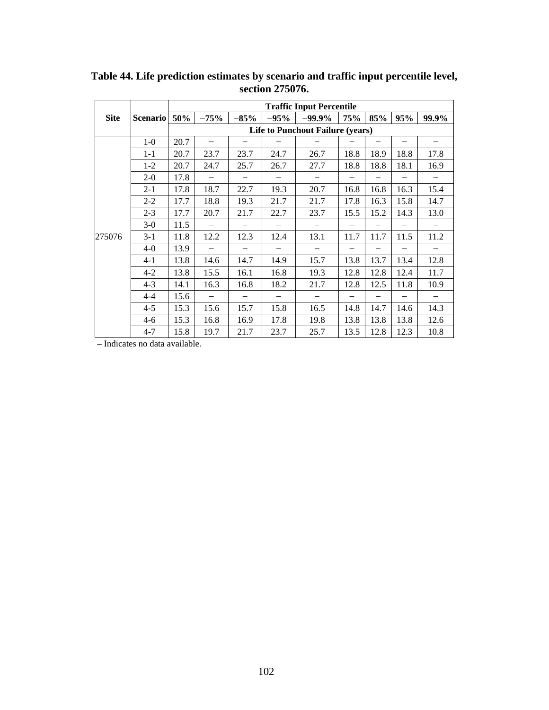|             |                 | <b>Traffic Input Percentile</b>         |                          |        |                          |                          |                          |      |      |       |  |  |  |
|-------------|-----------------|-----------------------------------------|--------------------------|--------|--------------------------|--------------------------|--------------------------|------|------|-------|--|--|--|
| <b>Site</b> | <b>Scenario</b> | 50%                                     | $-75%$                   | $-85%$ | $-95%$                   | $-99.9\%$                | <b>75%</b>               | 85%  | 95%  | 99.9% |  |  |  |
|             |                 | <b>Life to Punchout Failure (years)</b> |                          |        |                          |                          |                          |      |      |       |  |  |  |
|             | $1-0$           | 20.7                                    |                          |        |                          |                          |                          |      |      |       |  |  |  |
|             | $1 - 1$         | 20.7                                    | 23.7                     | 23.7   | 24.7                     | 26.7                     | 18.8                     | 18.9 | 18.8 | 17.8  |  |  |  |
|             | $1 - 2$         | 20.7                                    | 24.7                     | 25.7   | 26.7                     | 27.7                     | 18.8                     | 18.8 | 18.1 | 16.9  |  |  |  |
|             | $2 - 0$         | 17.8                                    |                          | -      | -                        |                          |                          |      |      |       |  |  |  |
|             | $2 - 1$         | 17.8                                    | 18.7                     | 22.7   | 19.3                     | 20.7                     | 16.8                     | 16.8 | 16.3 | 15.4  |  |  |  |
|             | $2 - 2$         | 17.7                                    | 18.8                     | 19.3   | 21.7                     | 21.7                     | 17.8                     | 16.3 | 15.8 | 14.7  |  |  |  |
|             | $2 - 3$         | 17.7                                    | 20.7                     | 21.7   | 22.7                     | 23.7                     | 15.5                     | 15.2 | 14.3 | 13.0  |  |  |  |
|             | $3-0$           | 11.5                                    |                          |        |                          |                          |                          |      |      |       |  |  |  |
| 275076      | $3 - 1$         | 11.8                                    | 12.2                     | 12.3   | 12.4                     | 13.1                     | 11.7                     | 11.7 | 11.5 | 11.2  |  |  |  |
|             | $4 - 0$         | 13.9                                    |                          |        |                          |                          |                          |      |      |       |  |  |  |
|             | $4-1$           | 13.8                                    | 14.6                     | 14.7   | 14.9                     | 15.7                     | 13.8                     | 13.7 | 13.4 | 12.8  |  |  |  |
|             | $4 - 2$         | 13.8                                    | 15.5                     | 16.1   | 16.8                     | 19.3                     | 12.8                     | 12.8 | 12.4 | 11.7  |  |  |  |
|             | $4 - 3$         | 14.1                                    | 16.3                     | 16.8   | 18.2                     | 21.7                     | 12.8                     | 12.5 | 11.8 | 10.9  |  |  |  |
|             | $4 - 4$         | 15.6                                    | $\overline{\phantom{0}}$ |        | $\overline{\phantom{0}}$ | $\overline{\phantom{0}}$ | $\overline{\phantom{0}}$ |      |      |       |  |  |  |
|             | $4 - 5$         | 15.3                                    | 15.6                     | 15.7   | 15.8                     | 16.5                     | 14.8                     | 14.7 | 14.6 | 14.3  |  |  |  |
|             | $4 - 6$         | 15.3                                    | 16.8                     | 16.9   | 17.8                     | 19.8                     | 13.8                     | 13.8 | 13.8 | 12.6  |  |  |  |
|             | $4 - 7$         | 15.8                                    | 19.7                     | 21.7   | 23.7                     | 25.7                     | 13.5                     | 12.8 | 12.3 | 10.8  |  |  |  |

**Table 44. Life prediction estimates by scenario and traffic input percentile level, section 275076.**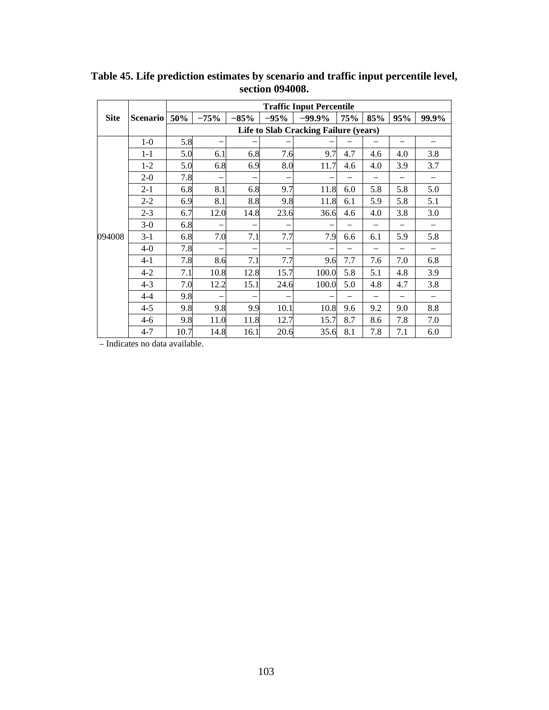|             |                 | <b>Traffic Input Percentile</b>              |                          |                          |         |           |            |     |     |       |  |  |  |
|-------------|-----------------|----------------------------------------------|--------------------------|--------------------------|---------|-----------|------------|-----|-----|-------|--|--|--|
| <b>Site</b> | <b>Scenario</b> | 50%                                          | $-75%$                   | $-85%$                   | $-95\%$ | $-99.9\%$ | <b>75%</b> | 85% | 95% | 99.9% |  |  |  |
|             |                 | <b>Life to Slab Cracking Failure (years)</b> |                          |                          |         |           |            |     |     |       |  |  |  |
|             | $1-0$           | 5.8                                          | $\overline{\phantom{0}}$ |                          |         |           |            |     |     |       |  |  |  |
|             | $1 - 1$         | 5.0                                          | 6.1                      | 6.8                      | 7.6     | 9.7       | 4.7        | 4.6 | 4.0 | 3.8   |  |  |  |
|             | $1 - 2$         | 5.0                                          | 6.8                      | 6.9                      | 8.0     | 11.7      | 4.6        | 4.0 | 3.9 | 3.7   |  |  |  |
|             | $2 - 0$         | 7.8                                          | -                        | $\overline{\phantom{0}}$ |         |           |            |     |     |       |  |  |  |
|             | $2 - 1$         | 6.8                                          | 8.1                      | 6.8                      | 9.7     | 11.8      | 6.0        | 5.8 | 5.8 | 5.0   |  |  |  |
|             | $2 - 2$         | 6.9                                          | 8.1                      | 8.8                      | 9.8     | 11.8      | 6.1        | 5.9 | 5.8 | 5.1   |  |  |  |
|             | $2 - 3$         | 6.7                                          | 12.0                     | 14.8                     | 23.6    | 36.6      | 4.6        | 4.0 | 3.8 | 3.0   |  |  |  |
|             | $3-0$           | 6.8                                          | -                        |                          |         |           |            |     |     |       |  |  |  |
| 094008      | $3 - 1$         | 6.8                                          | 7.0                      | 7.1                      | 7.7     | 7.9       | 6.6        | 6.1 | 5.9 | 5.8   |  |  |  |
|             | $4-0$           | 7.8                                          | $\overline{\phantom{0}}$ |                          | -       |           |            |     | -   |       |  |  |  |
|             | $4 - 1$         | 7.8                                          | 8.6                      | 7.1                      | 7.7     | 9.6       | 7.7        | 7.6 | 7.0 | 6.8   |  |  |  |
|             | $4 - 2$         | 7.1                                          | 10.8                     | 12.8                     | 15.7    | 100.0     | 5.8        | 5.1 | 4.8 | 3.9   |  |  |  |
|             | $4 - 3$         | 7.0                                          | 12.2                     | 15.1                     | 24.6    | 100.0     | 5.0        | 4.8 | 4.7 | 3.8   |  |  |  |
|             | $4 - 4$         | 9.8                                          |                          |                          | -       |           |            |     |     |       |  |  |  |
|             | $4 - 5$         | 9.8                                          | 9.8                      | 9.9                      | 10.1    | 10.8      | 9.6        | 9.2 | 9.0 | 8.8   |  |  |  |
|             | $4-6$           | 9.8                                          | 11.0                     | 11.8                     | 12.7    | 15.7      | 8.7        | 8.6 | 7.8 | 7.0   |  |  |  |
|             | $4 - 7$         | 10.7                                         | 14.8                     | 16.1                     | 20.6    | 35.6      | 8.1        | 7.8 | 7.1 | 6.0   |  |  |  |

**Table 45. Life prediction estimates by scenario and traffic input percentile level, section 094008.**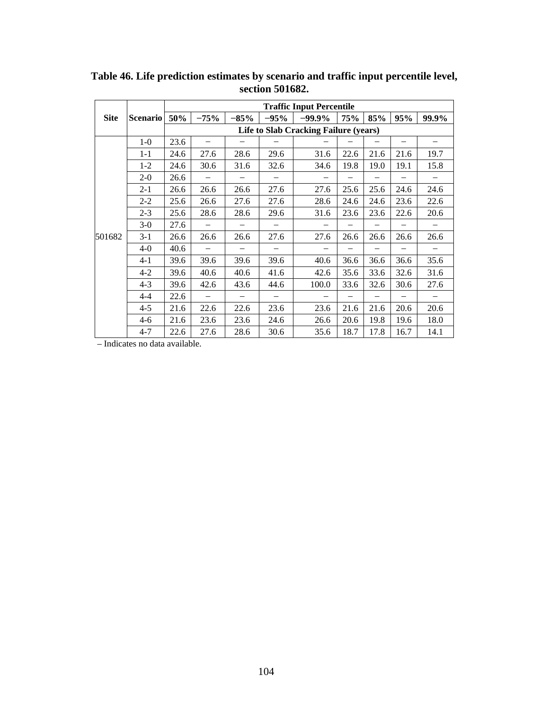|             |                 |                                       |        |        | <b>Traffic Input Percentile</b> |           |                          |      |                          |       |  |  |
|-------------|-----------------|---------------------------------------|--------|--------|---------------------------------|-----------|--------------------------|------|--------------------------|-------|--|--|
| <b>Site</b> | <b>Scenario</b> | 50%                                   | $-75%$ | $-85%$ | $-95%$                          | $-99.9\%$ | <b>75%</b>               | 85%  | 95%                      | 99.9% |  |  |
|             |                 | Life to Slab Cracking Failure (years) |        |        |                                 |           |                          |      |                          |       |  |  |
|             | $1-0$           | 23.6                                  |        |        |                                 |           |                          |      |                          |       |  |  |
|             | $1 - 1$         | 24.6                                  | 27.6   | 28.6   | 29.6                            | 31.6      | 22.6                     | 21.6 | 21.6                     | 19.7  |  |  |
|             | $1-2$           | 24.6                                  | 30.6   | 31.6   | 32.6                            | 34.6      | 19.8                     | 19.0 | 19.1                     | 15.8  |  |  |
|             | $2-0$           | 26.6                                  |        |        |                                 |           |                          |      |                          |       |  |  |
|             | $2 - 1$         | 26.6                                  | 26.6   | 26.6   | 27.6                            | 27.6      | 25.6                     | 25.6 | 24.6                     | 24.6  |  |  |
|             | $2 - 2$         | 25.6                                  | 26.6   | 27.6   | 27.6                            | 28.6      | 24.6                     | 24.6 | 23.6                     | 22.6  |  |  |
|             | $2 - 3$         | 25.6                                  | 28.6   | 28.6   | 29.6                            | 31.6      | 23.6                     | 23.6 | 22.6                     | 20.6  |  |  |
|             | $3-0$           | 27.6                                  |        |        |                                 |           |                          |      |                          |       |  |  |
| 501682      | $3-1$           | 26.6                                  | 26.6   | 26.6   | 27.6                            | 27.6      | 26.6                     | 26.6 | 26.6                     | 26.6  |  |  |
|             | $4-0$           | 40.6                                  |        |        |                                 |           |                          |      |                          |       |  |  |
|             | $4 - 1$         | 39.6                                  | 39.6   | 39.6   | 39.6                            | 40.6      | 36.6                     | 36.6 | 36.6                     | 35.6  |  |  |
|             | $4 - 2$         | 39.6                                  | 40.6   | 40.6   | 41.6                            | 42.6      | 35.6                     | 33.6 | 32.6                     | 31.6  |  |  |
|             | $4 - 3$         | 39.6                                  | 42.6   | 43.6   | 44.6                            | 100.0     | 33.6                     | 32.6 | 30.6                     | 27.6  |  |  |
|             | $4 - 4$         | 22.6                                  |        |        | $\overline{\phantom{0}}$        | -         | $\overline{\phantom{0}}$ |      | $\overline{\phantom{0}}$ |       |  |  |
|             | $4 - 5$         | 21.6                                  | 22.6   | 22.6   | 23.6                            | 23.6      | 21.6                     | 21.6 | 20.6                     | 20.6  |  |  |
|             | $4-6$           | 21.6                                  | 23.6   | 23.6   | 24.6                            | 26.6      | 20.6                     | 19.8 | 19.6                     | 18.0  |  |  |
|             | $4 - 7$         | 22.6                                  | 27.6   | 28.6   | 30.6                            | 35.6      | 18.7                     | 17.8 | 16.7                     | 14.1  |  |  |

**Table 46. Life prediction estimates by scenario and traffic input percentile level, section 501682.**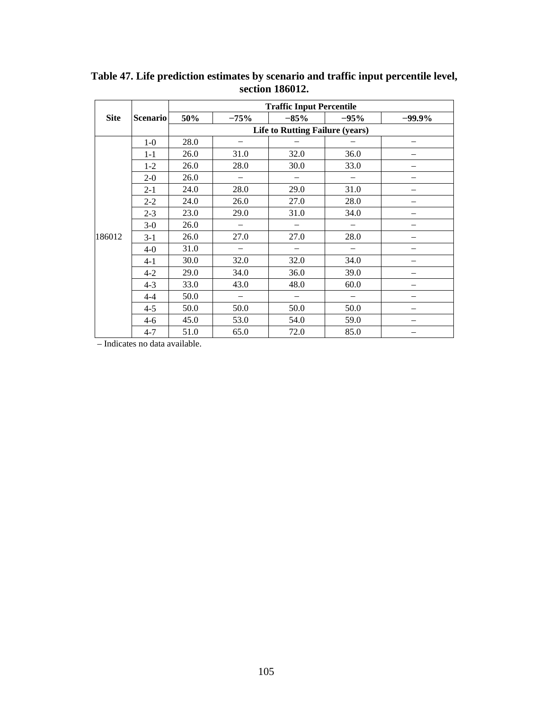|             |                 |      |                          | <b>Traffic Input Percentile</b>        |                          |           |
|-------------|-----------------|------|--------------------------|----------------------------------------|--------------------------|-----------|
| <b>Site</b> | <b>Scenario</b> | 50%  | $-75%$                   | $-85%$                                 | $-95%$                   | $-99.9\%$ |
|             |                 |      |                          | <b>Life to Rutting Failure (years)</b> |                          |           |
|             | $1-0$           | 28.0 | $\overline{\phantom{0}}$ |                                        |                          |           |
|             | $1 - 1$         | 26.0 | 31.0                     | 32.0                                   | 36.0                     |           |
|             | $1 - 2$         | 26.0 | 28.0                     | 30.0                                   | 33.0                     |           |
|             | $2-0$           | 26.0 | $\overline{\phantom{0}}$ |                                        |                          |           |
|             | $2 - 1$         | 24.0 | 28.0                     | 29.0                                   | 31.0                     |           |
|             | $2 - 2$         | 24.0 | 26.0                     | 27.0                                   | 28.0                     |           |
|             | $2 - 3$         | 23.0 | 29.0                     | 31.0                                   | 34.0                     |           |
|             | $3-0$           | 26.0 | $\overline{\phantom{0}}$ |                                        |                          |           |
| 186012      | $3 - 1$         | 26.0 | 27.0                     | 27.0                                   | 28.0                     |           |
|             | $4-0$           | 31.0 |                          |                                        |                          |           |
|             | $4-1$           | 30.0 | 32.0                     | 32.0                                   | 34.0                     |           |
|             | $4 - 2$         | 29.0 | 34.0                     | 36.0                                   | 39.0                     |           |
|             | $4 - 3$         | 33.0 | 43.0                     | 48.0                                   | 60.0                     |           |
|             | $4 - 4$         | 50.0 | $\overline{\phantom{0}}$ | $\overline{\phantom{0}}$               | $\overline{\phantom{0}}$ |           |
|             | $4 - 5$         | 50.0 | 50.0                     | 50.0                                   | 50.0                     |           |
|             | $4 - 6$         | 45.0 | 53.0                     | 54.0                                   | 59.0                     |           |
|             | $4 - 7$         | 51.0 | 65.0                     | 72.0                                   | 85.0                     |           |

**Table 47. Life prediction estimates by scenario and traffic input percentile level, section 186012.**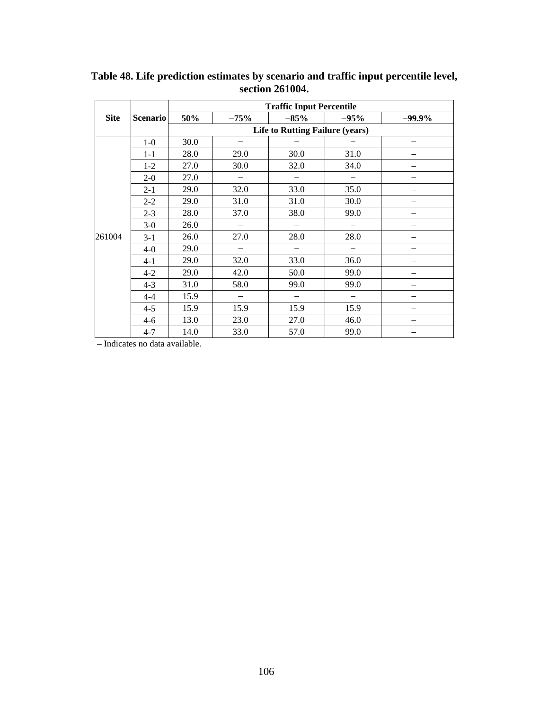|             |                 |      |                          | <b>Traffic Input Percentile</b>        |        |          |
|-------------|-----------------|------|--------------------------|----------------------------------------|--------|----------|
| <b>Site</b> | <b>Scenario</b> | 50%  | $-75%$                   | $-85%$                                 | $-95%$ | $-99.9%$ |
|             |                 |      |                          | <b>Life to Rutting Failure (years)</b> |        |          |
|             | $1-0$           | 30.0 | $\overline{\phantom{0}}$ |                                        |        |          |
|             | $1 - 1$         | 28.0 | 29.0                     | 30.0                                   | 31.0   |          |
|             | $1-2$           | 27.0 | 30.0                     | 32.0                                   | 34.0   |          |
|             | $2 - 0$         | 27.0 | $\overline{\phantom{0}}$ |                                        |        |          |
|             | $2 - 1$         | 29.0 | 32.0                     | 33.0                                   | 35.0   |          |
|             | $2 - 2$         | 29.0 | 31.0                     | 31.0                                   | 30.0   |          |
|             | $2 - 3$         | 28.0 | 37.0                     | 38.0                                   | 99.0   |          |
|             | $3-0$           | 26.0 |                          |                                        |        |          |
| 261004      | $3-1$           | 26.0 | 27.0                     | 28.0                                   | 28.0   |          |
|             | $4-0$           | 29.0 |                          |                                        |        |          |
|             | $4-1$           | 29.0 | 32.0                     | 33.0                                   | 36.0   |          |
|             | $4 - 2$         | 29.0 | 42.0                     | 50.0                                   | 99.0   | -        |
|             | $4 - 3$         | 31.0 | 58.0                     | 99.0                                   | 99.0   |          |
|             | $4 - 4$         | 15.9 | $\overline{\phantom{0}}$ | $\overbrace{\phantom{1232211}}$        |        |          |
|             | $4 - 5$         | 15.9 | 15.9                     | 15.9                                   | 15.9   |          |
|             | $4 - 6$         | 13.0 | 23.0                     | 27.0                                   | 46.0   |          |
|             | $4 - 7$         | 14.0 | 33.0                     | 57.0                                   | 99.0   |          |

**Table 48. Life prediction estimates by scenario and traffic input percentile level, section 261004.**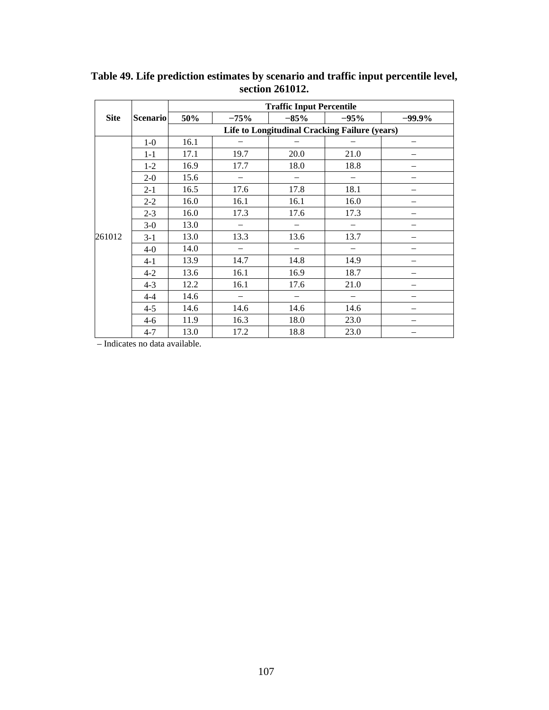|             |                 |      |                          | <b>Traffic Input Percentile</b>                      |                   |           |
|-------------|-----------------|------|--------------------------|------------------------------------------------------|-------------------|-----------|
| <b>Site</b> | <b>Scenario</b> | 50%  | $-75%$                   | $-85%$                                               | $-95%$            | $-99.9\%$ |
|             |                 |      |                          | <b>Life to Longitudinal Cracking Failure (years)</b> |                   |           |
|             | $1-0$           | 16.1 |                          |                                                      |                   |           |
|             | $1 - 1$         | 17.1 | 19.7                     | 20.0                                                 | 21.0              |           |
|             | $1 - 2$         | 16.9 | 17.7                     | 18.0                                                 | 18.8              |           |
|             | $2 - 0$         | 15.6 | $\overline{\phantom{0}}$ |                                                      |                   |           |
|             | $2 - 1$         | 16.5 | 17.6                     | 17.8                                                 | 18.1              |           |
|             | $2 - 2$         | 16.0 | 16.1                     | 16.1                                                 | 16.0              |           |
|             | $2 - 3$         | 16.0 | 17.3                     | 17.6                                                 | 17.3              |           |
|             | $3-0$           | 13.0 |                          |                                                      |                   |           |
| 261012      | $3 - 1$         | 13.0 | 13.3                     | 13.6                                                 | 13.7              |           |
|             | $4-0$           | 14.0 |                          |                                                      |                   |           |
|             | $4 - 1$         | 13.9 | 14.7                     | 14.8                                                 | 14.9              |           |
|             | $4 - 2$         | 13.6 | 16.1                     | 16.9                                                 | 18.7              |           |
|             | $4 - 3$         | 12.2 | 16.1                     | 17.6                                                 | 21.0              |           |
|             | $4 - 4$         | 14.6 | $\overline{\phantom{0}}$ |                                                      | $\qquad \qquad -$ |           |
|             | $4 - 5$         | 14.6 | 14.6                     | 14.6                                                 | 14.6              |           |
|             | $4 - 6$         | 11.9 | 16.3                     | 18.0                                                 | 23.0              |           |
|             | $4 - 7$         | 13.0 | 17.2                     | 18.8                                                 | 23.0              |           |

**Table 49. Life prediction estimates by scenario and traffic input percentile level, section 261012.**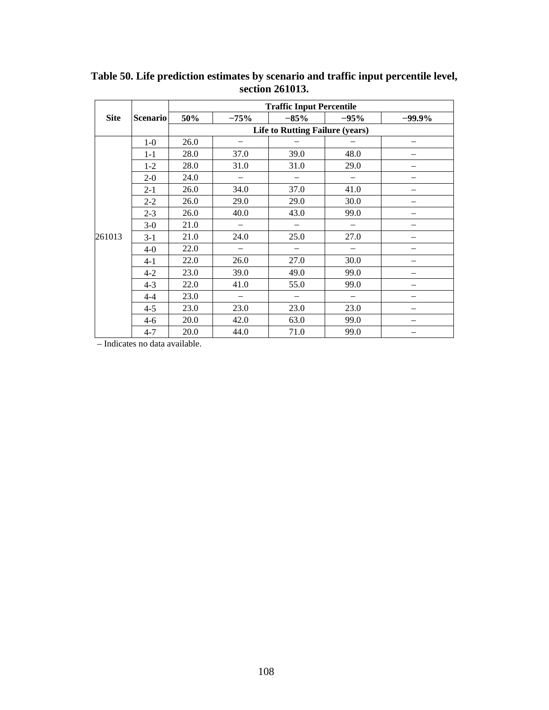|             |                 |      |                          | <b>Traffic Input Percentile</b>        |                          |           |
|-------------|-----------------|------|--------------------------|----------------------------------------|--------------------------|-----------|
| <b>Site</b> | <b>Scenario</b> | 50%  | $-75%$                   | $-85%$                                 | $-95%$                   | $-99.9\%$ |
|             |                 |      |                          | <b>Life to Rutting Failure (years)</b> |                          |           |
|             | $1-0$           | 26.0 | $\overline{\phantom{0}}$ |                                        |                          |           |
|             | $1-1$           | 28.0 | 37.0                     | 39.0                                   | 48.0                     |           |
|             | $1-2$           | 28.0 | 31.0                     | 31.0                                   | 29.0                     |           |
|             | $2 - 0$         | 24.0 | $\qquad \qquad -$        |                                        |                          |           |
|             | $2 - 1$         | 26.0 | 34.0                     | 37.0                                   | 41.0                     |           |
|             | $2 - 2$         | 26.0 | 29.0                     | 29.0                                   | 30.0                     |           |
|             | $2 - 3$         | 26.0 | 40.0                     | 43.0                                   | 99.0                     |           |
|             | $3-0$           | 21.0 | $\overline{\phantom{0}}$ |                                        |                          |           |
| 261013      | $3-1$           | 21.0 | 24.0                     | 25.0                                   | 27.0                     |           |
|             | $4-0$           | 22.0 | $\overline{\phantom{0}}$ |                                        |                          |           |
|             | $4 - 1$         | 22.0 | 26.0                     | 27.0                                   | 30.0                     |           |
|             | $4 - 2$         | 23.0 | 39.0                     | 49.0                                   | 99.0                     |           |
|             | $4 - 3$         | 22.0 | 41.0                     | 55.0                                   | 99.0                     |           |
|             | $4 - 4$         | 23.0 | $\overline{\phantom{m}}$ | $\overline{\phantom{m}}$               | $\overline{\phantom{m}}$ |           |
|             | $4 - 5$         | 23.0 | 23.0                     | 23.0                                   | 23.0                     |           |
|             | $4-6$           | 20.0 | 42.0                     | 63.0                                   | 99.0                     |           |
|             | $4 - 7$         | 20.0 | 44.0                     | 71.0                                   | 99.0                     |           |

**Table 50. Life prediction estimates by scenario and traffic input percentile level, section 261013.**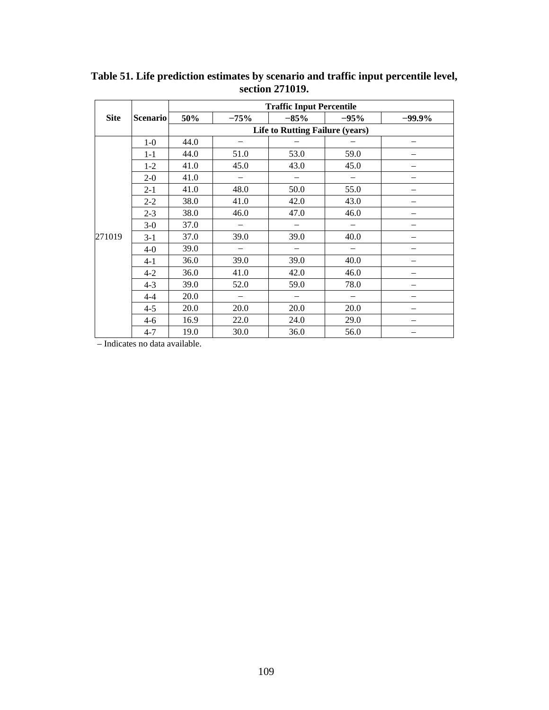|             |                 | <b>Traffic Input Percentile</b>        |                          |                          |                          |          |  |  |
|-------------|-----------------|----------------------------------------|--------------------------|--------------------------|--------------------------|----------|--|--|
| <b>Site</b> | <b>Scenario</b> | 50%                                    | $-75%$                   | $-85%$                   | $-95%$                   | $-99.9%$ |  |  |
|             |                 | <b>Life to Rutting Failure (years)</b> |                          |                          |                          |          |  |  |
|             | $1-0$           | 44.0                                   | $\overline{\phantom{0}}$ |                          |                          |          |  |  |
|             | $1 - 1$         | 44.0                                   | 51.0                     | 53.0                     | 59.0                     |          |  |  |
|             | $1-2$           | 41.0                                   | 45.0                     | 43.0                     | 45.0                     |          |  |  |
|             | $2 - 0$         | 41.0                                   | $\overline{\phantom{0}}$ |                          |                          |          |  |  |
|             | $2 - 1$         | 41.0                                   | 48.0                     | 50.0                     | 55.0                     |          |  |  |
|             | $2 - 2$         | 38.0                                   | 41.0                     | 42.0                     | 43.0                     |          |  |  |
|             | $2 - 3$         | 38.0                                   | 46.0                     | 47.0                     | 46.0                     |          |  |  |
|             | $3-0$           | 37.0                                   | $\overline{\phantom{0}}$ |                          |                          |          |  |  |
| 271019      | $3-1$           | 37.0                                   | 39.0                     | 39.0                     | 40.0                     |          |  |  |
|             | $4-0$           | 39.0                                   |                          |                          |                          |          |  |  |
|             | $4 - 1$         | 36.0                                   | 39.0                     | 39.0                     | 40.0                     |          |  |  |
|             | $4 - 2$         | 36.0                                   | 41.0                     | 42.0                     | 46.0                     |          |  |  |
|             | $4 - 3$         | 39.0                                   | 52.0                     | 59.0                     | 78.0                     |          |  |  |
|             | $4 - 4$         | 20.0                                   | $\overline{\phantom{m}}$ | $\overline{\phantom{m}}$ | $\overline{\phantom{m}}$ |          |  |  |
|             | $4 - 5$         | 20.0                                   | 20.0                     | 20.0                     | 20.0                     |          |  |  |
|             | $4-6$           | 16.9                                   | 22.0                     | 24.0                     | 29.0                     |          |  |  |
|             | $4 - 7$         | 19.0                                   | 30.0                     | 36.0                     | 56.0                     |          |  |  |

**Table 51. Life prediction estimates by scenario and traffic input percentile level, section 271019.**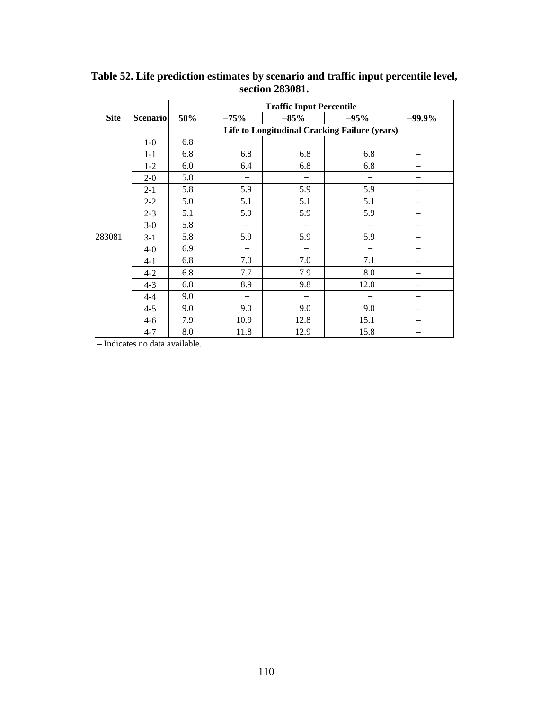|             |                 | <b>Traffic Input Percentile</b>               |        |        |        |          |  |
|-------------|-----------------|-----------------------------------------------|--------|--------|--------|----------|--|
| <b>Site</b> | <b>Scenario</b> | 50%                                           | $-75%$ | $-85%$ | $-95%$ | $-99.9%$ |  |
|             |                 | Life to Longitudinal Cracking Failure (years) |        |        |        |          |  |
|             | $1-0$           | 6.8                                           |        |        |        |          |  |
|             | $1 - 1$         | 6.8                                           | 6.8    | 6.8    | 6.8    |          |  |
|             | $1-2$           | 6.0                                           | 6.4    | 6.8    | 6.8    |          |  |
|             | $2 - 0$         | 5.8                                           |        |        |        |          |  |
|             | $2 - 1$         | 5.8                                           | 5.9    | 5.9    | 5.9    | —        |  |
|             | $2 - 2$         | 5.0                                           | 5.1    | 5.1    | 5.1    |          |  |
|             | $2 - 3$         | 5.1                                           | 5.9    | 5.9    | 5.9    |          |  |
|             | $3-0$           | 5.8                                           |        |        |        |          |  |
| 283081      | $3-1$           | 5.8                                           | 5.9    | 5.9    | 5.9    |          |  |
|             | $4-0$           | 6.9                                           |        |        |        |          |  |
|             | $4-1$           | 6.8                                           | 7.0    | 7.0    | 7.1    |          |  |
|             | $4 - 2$         | 6.8                                           | 7.7    | 7.9    | 8.0    |          |  |
|             | $4 - 3$         | 6.8                                           | 8.9    | 9.8    | 12.0   |          |  |
|             | $4 - 4$         | 9.0                                           |        |        |        |          |  |
|             | $4 - 5$         | 9.0                                           | 9.0    | 9.0    | 9.0    |          |  |
|             | $4 - 6$         | 7.9                                           | 10.9   | 12.8   | 15.1   |          |  |
|             | $4 - 7$         | 8.0                                           | 11.8   | 12.9   | 15.8   |          |  |

**Table 52. Life prediction estimates by scenario and traffic input percentile level, section 283081.**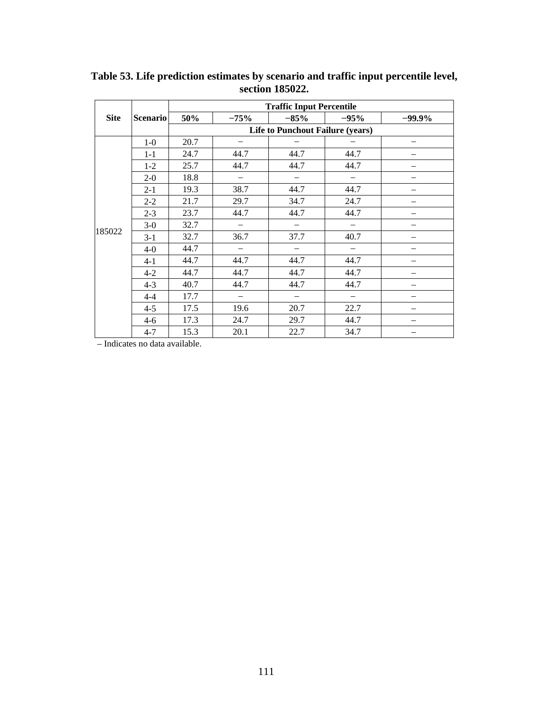|             |                 | <b>Traffic Input Percentile</b>  |                                 |                          |                          |           |  |  |
|-------------|-----------------|----------------------------------|---------------------------------|--------------------------|--------------------------|-----------|--|--|
| <b>Site</b> | <b>Scenario</b> | 50%                              | $-75%$                          | $-85%$                   | $-95%$                   | $-99.9\%$ |  |  |
|             |                 | Life to Punchout Failure (years) |                                 |                          |                          |           |  |  |
|             | $1-0$           | 20.7                             | $\overline{\phantom{0}}$        |                          |                          |           |  |  |
|             | $1 - 1$         | 24.7                             | 44.7                            | 44.7                     | 44.7                     |           |  |  |
|             | $1-2$           | 25.7                             | 44.7                            | 44.7                     | 44.7                     |           |  |  |
|             | $2 - 0$         | 18.8                             | $\overline{\phantom{0}}$        | $\qquad \qquad -$        | $\overline{\phantom{m}}$ |           |  |  |
|             | $2 - 1$         | 19.3                             | 38.7                            | 44.7                     | 44.7                     |           |  |  |
|             | $2 - 2$         | 21.7                             | 29.7                            | 34.7                     | 24.7                     |           |  |  |
|             | $2 - 3$         | 23.7                             | 44.7                            | 44.7                     | 44.7                     |           |  |  |
|             | $3-0$           | 32.7                             |                                 |                          |                          |           |  |  |
| 185022      | $3-1$           | 32.7                             | 36.7                            | 37.7                     | 40.7                     |           |  |  |
|             | $4-0$           | 44.7                             | $\overline{\phantom{0}}$        |                          |                          |           |  |  |
|             | $4-1$           | 44.7                             | 44.7                            | 44.7                     | 44.7                     |           |  |  |
|             | $4 - 2$         | 44.7                             | 44.7                            | 44.7                     | 44.7                     |           |  |  |
|             | $4 - 3$         | 40.7                             | 44.7                            | 44.7                     | 44.7                     |           |  |  |
|             | $4 - 4$         | 17.7                             | $\overbrace{\phantom{1232211}}$ | $\overline{\phantom{m}}$ | $\overline{\phantom{m}}$ |           |  |  |
|             | $4 - 5$         | 17.5                             | 19.6                            | 20.7                     | 22.7                     |           |  |  |
|             | $4-6$           | 17.3                             | 24.7                            | 29.7                     | 44.7                     |           |  |  |
|             | $4 - 7$         | 15.3                             | 20.1                            | 22.7                     | 34.7                     |           |  |  |

**Table 53. Life prediction estimates by scenario and traffic input percentile level, section 185022.**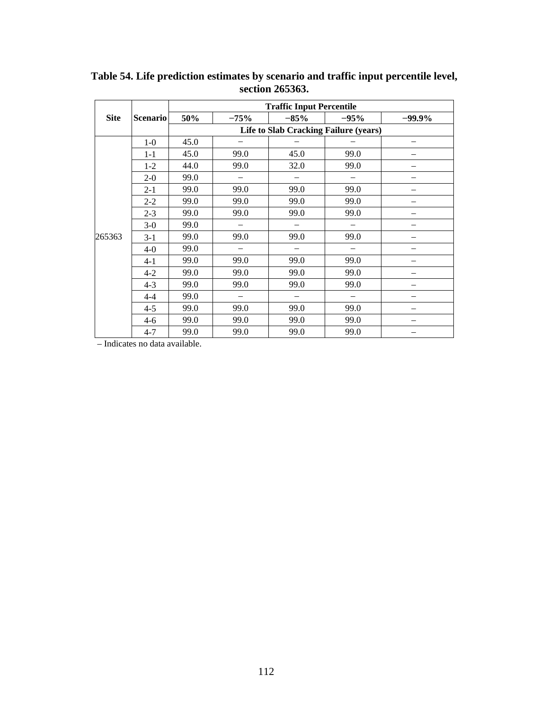|             |                 | <b>Traffic Input Percentile</b> |                                              |        |        |           |  |  |
|-------------|-----------------|---------------------------------|----------------------------------------------|--------|--------|-----------|--|--|
| <b>Site</b> | <b>Scenario</b> | 50%                             | $-75%$                                       | $-85%$ | $-95%$ | $-99.9\%$ |  |  |
|             |                 |                                 | <b>Life to Slab Cracking Failure (years)</b> |        |        |           |  |  |
|             | $1-0$           | 45.0                            |                                              |        |        |           |  |  |
|             | $1 - 1$         | 45.0                            | 99.0                                         | 45.0   | 99.0   |           |  |  |
|             | $1-2$           | 44.0                            | 99.0                                         | 32.0   | 99.0   |           |  |  |
|             | $2-0$           | 99.0                            | $\overline{\phantom{0}}$                     |        |        |           |  |  |
|             | $2 - 1$         | 99.0                            | 99.0                                         | 99.0   | 99.0   |           |  |  |
| 265363      | $2 - 2$         | 99.0                            | 99.0                                         | 99.0   | 99.0   |           |  |  |
|             | $2 - 3$         | 99.0                            | 99.0                                         | 99.0   | 99.0   |           |  |  |
|             | $3-0$           | 99.0                            |                                              |        |        |           |  |  |
|             | $3-1$           | 99.0                            | 99.0                                         | 99.0   | 99.0   |           |  |  |
|             | $4-0$           | 99.0                            |                                              |        |        |           |  |  |
|             | $4-1$           | 99.0                            | 99.0                                         | 99.0   | 99.0   |           |  |  |
|             | $4 - 2$         | 99.0                            | 99.0                                         | 99.0   | 99.0   | —         |  |  |
|             | $4 - 3$         | 99.0                            | 99.0                                         | 99.0   | 99.0   |           |  |  |
|             | $4 - 4$         | 99.0                            |                                              |        |        |           |  |  |
|             | $4 - 5$         | 99.0                            | 99.0                                         | 99.0   | 99.0   |           |  |  |
|             | $4 - 6$         | 99.0                            | 99.0                                         | 99.0   | 99.0   |           |  |  |
|             | $4 - 7$         | 99.0                            | 99.0                                         | 99.0   | 99.0   |           |  |  |

**Table 54. Life prediction estimates by scenario and traffic input percentile level, section 265363.**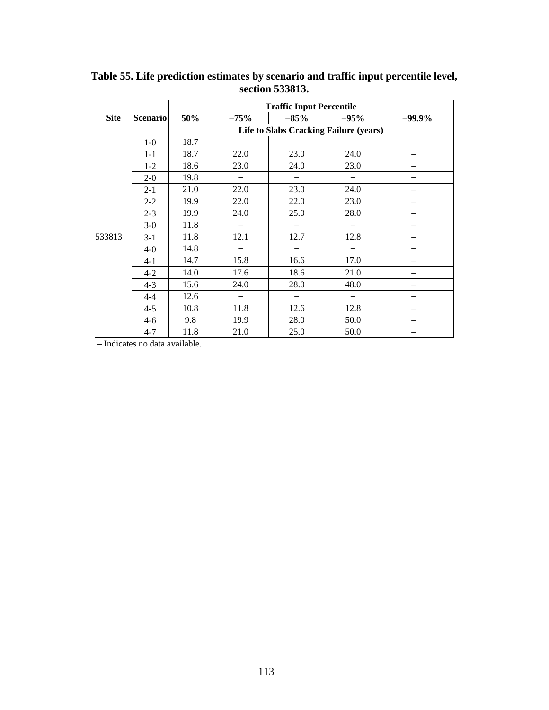|             |                 | <b>Traffic Input Percentile</b> |                          |                                               |                          |           |  |
|-------------|-----------------|---------------------------------|--------------------------|-----------------------------------------------|--------------------------|-----------|--|
| <b>Site</b> | <b>Scenario</b> | 50%                             | $-75%$                   | $-85%$                                        | $-95%$                   | $-99.9\%$ |  |
|             |                 |                                 |                          | <b>Life to Slabs Cracking Failure (years)</b> |                          |           |  |
|             | $1-0$           | 18.7                            |                          |                                               |                          |           |  |
|             | $1 - 1$         | 18.7                            | 22.0                     | 23.0                                          | 24.0                     |           |  |
|             | $1 - 2$         | 18.6                            | 23.0                     | 24.0                                          | 23.0                     |           |  |
|             | $2 - 0$         | 19.8                            | $\overline{\phantom{0}}$ |                                               |                          |           |  |
|             | $2 - 1$         | 21.0                            | 22.0                     | 23.0                                          | 24.0                     |           |  |
|             | $2 - 2$         | 19.9                            | 22.0                     | 22.0                                          | 23.0                     |           |  |
|             | $2 - 3$         | 19.9                            | 24.0                     | 25.0                                          | 28.0                     |           |  |
|             | $3-0$           | 11.8                            |                          |                                               |                          |           |  |
| 533813      | $3-1$           | 11.8                            | 12.1                     | 12.7                                          | 12.8                     |           |  |
|             | $4-0$           | 14.8                            |                          |                                               |                          |           |  |
|             | $4 - 1$         | 14.7                            | 15.8                     | 16.6                                          | 17.0                     |           |  |
|             | $4 - 2$         | 14.0                            | 17.6                     | 18.6                                          | 21.0                     |           |  |
|             | $4 - 3$         | 15.6                            | 24.0                     | 28.0                                          | 48.0                     |           |  |
|             | $4 - 4$         | 12.6                            | $\qquad \qquad -$        | $\overline{\phantom{m}}$                      | $\overline{\phantom{m}}$ |           |  |
|             | $4 - 5$         | 10.8                            | 11.8                     | 12.6                                          | 12.8                     |           |  |
|             | $4-6$           | 9.8                             | 19.9                     | 28.0                                          | 50.0                     |           |  |
|             | $4 - 7$         | 11.8                            | 21.0                     | 25.0                                          | 50.0                     |           |  |

**Table 55. Life prediction estimates by scenario and traffic input percentile level, section 533813.**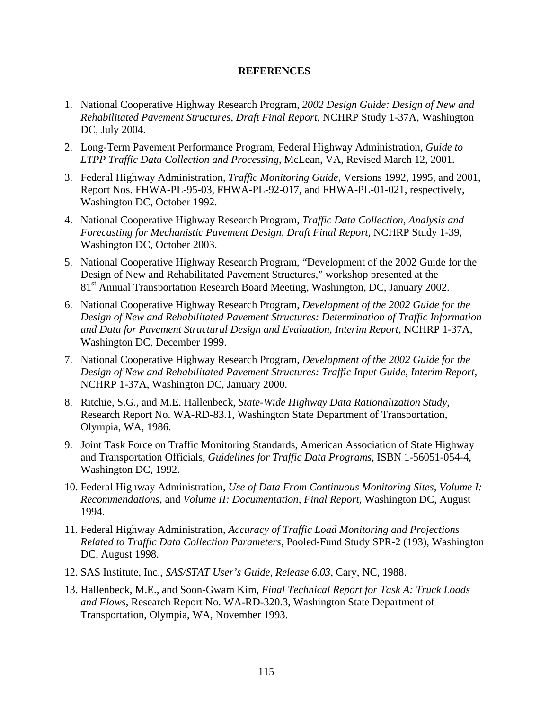## **REFERENCES**

- 1. National Cooperative Highway Research Program, *2002 Design Guide: Design of New and Rehabilitated Pavement Structures, Draft Final Report*, NCHRP Study 1-37A, Washington DC, July 2004.
- 2. Long-Term Pavement Performance Program, Federal Highway Administration, *Guide to LTPP Traffic Data Collection and Processing*, McLean, VA, Revised March 12, 2001.
- 3. Federal Highway Administration, *Traffic Monitoring Guide*, Versions 1992, 1995, and 2001, Report Nos. FHWA-PL-95-03, FHWA-PL-92-017, and FHWA-PL-01-021, respectively, Washington DC, October 1992.
- 4. National Cooperative Highway Research Program, *Traffic Data Collection, Analysis and Forecasting for Mechanistic Pavement Design, Draft Final Report*, NCHRP Study 1-39, Washington DC, October 2003.
- 5. National Cooperative Highway Research Program, "Development of the 2002 Guide for the Design of New and Rehabilitated Pavement Structures," workshop presented at the 81<sup>st</sup> Annual Transportation Research Board Meeting, Washington, DC, January 2002.
- 6. National Cooperative Highway Research Program, *Development of the 2002 Guide for the Design of New and Rehabilitated Pavement Structures: Determination of Traffic Information and Data for Pavement Structural Design and Evaluation, Interim Report*, NCHRP 1-37A, Washington DC, December 1999.
- 7. National Cooperative Highway Research Program, *Development of the 2002 Guide for the Design of New and Rehabilitated Pavement Structures: Traffic Input Guide, Interim Report*, NCHRP 1-37A, Washington DC, January 2000.
- 8. Ritchie, S.G., and M.E. Hallenbeck, *State-Wide Highway Data Rationalization Study*, Research Report No. WA-RD-83.1, Washington State Department of Transportation, Olympia, WA, 1986.
- 9. Joint Task Force on Traffic Monitoring Standards, American Association of State Highway and Transportation Officials, *Guidelines for Traffic Data Programs*, ISBN 1-56051-054-4, Washington DC, 1992.
- 10. Federal Highway Administration, *Use of Data From Continuous Monitoring Sites, Volume I: Recommendations*, and *Volume II: Documentation, Final Report*, Washington DC, August 1994.
- 11. Federal Highway Administration, *Accuracy of Traffic Load Monitoring and Projections Related to Traffic Data Collection Parameters*, Pooled-Fund Study SPR-2 (193), Washington DC, August 1998.
- 12. SAS Institute, Inc., *SAS/STAT User's Guide, Release 6.03*, Cary, NC, 1988.
- 13. Hallenbeck, M.E., and Soon-Gwam Kim, *Final Technical Report for Task A: Truck Loads and Flows*, Research Report No. WA-RD-320.3, Washington State Department of Transportation, Olympia, WA, November 1993.